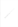**ONLBOYS** AFSS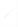BALBOARY 55

 $-5$  -  $-1$  -  $-1$  -  $-5$  -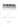# TURMOIL **IN PARADISE**

#### TROUBLE SHOOTER OR HITMAN

#### K  $M$  $\overline{A}$ F  $R$ D M  $O N$  $D S$

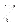Copyright © 2022 Mark Edmonds.

All rights reserved. No part of this book may be used or reproduced by any means, graphic, electronic, or mechanical, including photocopying, recording, taping or by any information storage retrieval system without the written permission of the author except in the case of brief quotations embodied in critical articles and reviews.

Balboa Press books may be ordered through booksellers or by contacting:

Balboa Press A Division of Hay House 1663 Liberty Drive Bloomington, IN 47403 www.balboapress.com.au AU TFN: 1 800 844 925 (Toll Free inside Australia) AU Local: (02) 8310 7086 (+61 2 8310 7086 from outside Australia)

Because of the dynamic nature of the Internet, any web addresses or links contained in this book may have changed since publication and may no longer be valid. The views expressed in this work are solely those of the author and do not necessarily reflect the views of the publisher, and the publisher hereby disclaims any responsibility for them.

The author of this book does not dispense medical advice or prescribe the use of any technique as a form of treatment for physical, emotional, or medical problems without the advice of a physician, either directly or indirectly. The intent of the author is only to offer information of a general nature to help you in your quest for emotional and spiritual well-being. In the event you use any of the information in this book for yourself, which is your constitutional right, the author and the publisher assume no responsibility for your actions.

Any people depicted in stock imagery provided by Getty Images are models, and such images are being used for illustrative purposes only. Certain stock imagery © Getty Images.

Print information available on the last page.

ISBN: 978-1-9822-9369-7 (sc) ISBN: 978-1-9822-9368-0 (e)

Balboa Press rev. date: 01/29/2022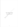#### They Called Me A Hitman

 $\frac{c}{c}$ 

Memoir by Mark Edmonds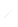BALBOARY SISS

 $-5$  -  $-1$  -  $-1$  -  $-5$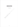### **DEDICATION**

For Carolyn

V® OP LE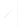BALBOARY 55

 $-5$  -  $-1$  -  $-1$  -  $-5$  -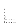### **CONTENTS**

|                                                                                                                 | $\ldots$ 9  |
|-----------------------------------------------------------------------------------------------------------------|-------------|
| CHAPTER 3.                                                                                                      | $\ldots$ 15 |
|                                                                                                                 |             |
|                                                                                                                 |             |
|                                                                                                                 |             |
|                                                                                                                 |             |
|                                                                                                                 |             |
|                                                                                                                 |             |
|                                                                                                                 |             |
| CHAPTER 11 22 22 22 22 22 22 22 23 24 25 26 27 28 29 20 21 22 23 24 25 26 27 28 29 20 21 22 23 24 25 26 27 28 2 |             |
|                                                                                                                 |             |
| CHAPTER 13. 2006. 2014. 2015. 2016. 2016. 2016. 2016. 2016. 2016. 2017. 2018. 2019. 2016. 2017. 2018. 2019. 20  |             |
|                                                                                                                 |             |
|                                                                                                                 |             |
|                                                                                                                 |             |
|                                                                                                                 |             |
|                                                                                                                 |             |
|                                                                                                                 |             |
|                                                                                                                 |             |
|                                                                                                                 |             |
|                                                                                                                 |             |

5 .<br>סו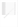$1 - 5 - 1 - 1 - 1 - 6$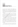### CHAPTER 1

Sam Gawler slowly trundled his shabby Humvee into Buckleboo Creek, an industrial town in tropical North Queensland. The car was enveloped in a thick curtain of fog. He had been driving all day from Cairns, the headlamps cutting through the grey blanket as he approached his destination.

Gawler was weary yet restless, tired yet still vigilant. He had no choice but to remain wide awake, no option other than to keep himself completely alert. *Stay with it*, he murmured. *You won't be able to unravel this sinister puzzle unless you stay totally within the moment.*

He checked his watch. His journey had seemed interminable as he traversed the dreary landscape. Time and memories were his only companions as the Humvee rumbled along the highway. The vehicle had become a place of solitude, a retreat offering him the freedom to clear his mind. Gawler had relished the chance to make this journey. It would provide him with the solitary time he needed.

It was not often in recent memory he had the chance to just sit and think. He took every second for what it was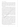worth. But mulling over the past soon waned. Gawler's thoughts began focusing on the details of the dangerous project he had been assigned and the possibilities of what he may encounter. He had a preliminary plan of action. But he knew fate. It had a tendency to have the final say in these matters.

His shirt was drenched in perspiration as he closed in on the coast, He lowered the car windows to allow a cool gust of air to wash over him. He breathed deeply, relishing the eucalyptus infused ocean breeze filtering through the forested shoreline to his left. It teased his nostrils, the scent reminding him of how he had been told the locals referred to this time of the year as "the build-up," a precursor to the rapidly approaching tropical monsoon. The monsoon would inevitably bring an inflow of moist north-westerly winds, producing convective clouds that would eventually build up and breakthrough in a continuous torrential downpour.

Gawler eased the engine to a gentle purr. He loosely held the steering wheel, sliding it in his right hand as he steered the car to a turnoff on his left. The Humvee looked well worn. Its rugged patina was peppered with a few bumps and scrapes. There was a patchy coating of dried mud on the once green body which had faded in all the right places. It had a charming kind of threadbare quality. But the decrepit look of the vehicle was deceptive. Gawler did not need a flashy set of wheels that would turn heads. Beneath its battered exterior, the body of the vehicle was a durable and damn-near indestructible beast.

The engine had been tuned to deliver extra grunt. It gave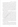off a soft throaty throb which hinted at some tantalising performance possibilities. The tyres were heavy duty, allterrain quality, just as durable on a tarmac highway as on a rugged unmade track. A hidden feature, was the false floor in the rear compartment, which concealed a securely locked built-in steel trunk containing all of the equipment Gawler would need on his sojourn in Buckleboo Creek

Turning his head toward the heavens, Gawler admired the beauty of the sky. The clouds were slowly turning to hues of salmon tinted with traces of tangerine. Night was falling, and the day-dwellers would soon be replaced by the denizens of the night.

Gawler turned right onto the town's main road. He scanned the entrance to the town. He expected this to be a habitat populated mainly by hard working men. Gold mining and processing were what the town was known for. Many of the citizenry working in this remote part of the world had relocated here in a bid to distance themselves from their troubles in the south. The work to be had here was hard and dirty, but as compensation for the tough conditions, a job well done could be very well rewarded.

It was the kind of place promoted in the tourist brochures as a tropical paradise, but the seedy underbelly was a factor that the brochures made no point of mentioning. The kind of trouble brewing in its bowels sometimes attracted men the likes of Sam Gawler.

Gawler was a large unit. At one hundred and ninetyfive centimetres, muscled like a line-backer and clocking in at one hundred and forty kilograms, Gawler was the type of individual who tended to attract some members of the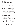fairer sex, as well as the muscle-bound, testosterone-fuelled heavies of the world. It was expected. The cost of looking the way he did.

Shifting his weight behind the wheel, Gawler cruised down the main street. He casually evaluated the road, which was wide, sparse, dry and dusty. A dilapidated pub stuck out like a sore thumb fifty metres away. The paint on the pub's exterior was peeling. The clapboards hung loose. The corrugated metal roof showed signs of rust. There was a carpark at the side of the pub filled with scrappy looking vehicles of all types and sizes, and beyond that a spectacular view of Albatross Bay.

Gawler lightly applied the brakes as he caught a glimmer of the bay. From his map and based on the planning he had put in; he knew that Albatross Bay was one of the many coves and tributaries around the shores of the Gulf of Capricornia. A picturesque contrast to the dusty main street and the clapped-out old pub.

He brought the Humvee to a halt and gazed at the exterior of the pub. *Two stories*, he deduced, making a mental map of his surroundings. *Balcony on the right with an outside stairway leading up from the yard.* He looked to his left. Out on the street a few men were strolling languidly along the footpath. Just men. No women.

*What else is there*? he pondered. *Check out the entire area.*  He spotted a betting shop to the left of the pub. A bottle shop on its right. Further down the road, Gawler noticed a woman opening the door of a tired looking Chinese café. Beside it was a dusty old general store. Across the road he noted a fuel stop with an adjoining diner. Adjacent to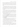that was a second-hand tyre yard with used tyres stacked in several unorganized piles. All was quiet. Calm. Serene. And the fact of the matter was that none of it sat well with Gawler—there was always the proverbial quiet before the storm.

Gawler pulled the Humvee into the kerb, opened the door and stepped out onto the rough pavement. Two thugs crashed out of the Chinese café wrestling, locked together and struggling to get a grip on the pistol one of them held by its butt.

They were both heavily built. But not as big as Gawler. One had a barbed wire tattoo across his forehead, the other sported long scraggly, greasy hair and a bushranger's beard. They reeked from the sickly-sweet aroma of the rum seeping from their pores.

The bearded guy had one hand trying to rip the gun away from the hand of the tattooed guy. He was forcing the gun downwards. With his free hand the bearded guy was gouging the face of the tattooed guy who in turn was using his free hand to try and claw the bearded guy's hand away from his face.

Three shots splattered slugs onto the pavement. One of the slugs ricocheted millimetres from Gawler's boot.

The thugs collided heavily with Gawler. One of them screamed "get out of the way you pussy." Gawler thought "last *week I was called a hitman, now I'm a pussy- not possible to be both, this needs to be resolved right now."*

Gawler used both hands to apply a vice-like grip to each of the thugs' wrists which were still the focus of the wrestle to possess the gun. With a mighty weightlifter's heave, he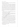wrenched both combatants' arms upwards momentarily lifting both thugs off balance.

The gun was now at chest height pointing upwards with each guy still using one hand to get a controlling grip on it. Another shot rang out and a bullet smashed into the mouth of the tattooed guy. The bullet exited through a large and ugly hole in the back of the tattooed guy's head after blowing fragments of teeth, brain, skull and portions of his face onto the pavement and over the face of the bearded guy. Some smatterings of brain also splattered onto the front window of the Chinese café as the guy fell to the pavement.

As the tattooed guy was falling the bearded guy finally wrenched the gun away from him.

He pointed the gun at Gawler and breathlessly grunted. "You got yourself into something you should have stayed out of you pussy, now you must pay."

Gawler decided to end the conversation before the bearded guy could utter another word. He stepped to one side as he swung his outstretched left arm in an arc extending with full force from his chest and shoulder. He sliced the guy with a backhanded rabbit killer which thumped onto the righthand side of his neck shutting off his arterial artery, - Gawler hoped *temporarily.* Still clutching the gun, the guy fell across his fallen former adversary.

The woman from the Chinese café came rushing out through the glass door. She appeared to Gawler like a normally quiet sort of person. He imagined she only shouted when she got excited.

She screamed.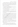Gawler said softly to her, "There has been a shooting here. One guy will need an ambulance. I think the other will need a hearse. The guy who did the shooting still has the gun in his hand. His fingerprints will be all over it if anyone cares to investigate."

The woman said, "We don't have a hearse in this town. The ambulance usually doubles for it."

Gawler said, "I think the bearded guy would appreciate it if you could make the call."

As she ran back inside her café. She shouted, "I'll call the cops and the ambulance."

Several of the languid passers-by were starting to gather and gawk, but all-the-while cautiously keeping themselves at a safe distance.

In a few moments the woman from the cafe came back outside and told Gawler that the police were out on a domestic dispute and the local station was shut. She told him her call had been diverted to the nearest police station in Cairns, 800 kilometres to the south. She said a recorded message advised her that the call was important to them, but unfortunately, they could not take her call at the moment, and if she could kindly leave a message, they would get back to her as soon as possible.

Gawler told her, "You have been magnificent in this horrible crisis, but I can't just idly stand around here any longer in this heat and humidity. I will be in the pub if anybody needs me."

He said, "my name is Sam Gawler, what's yours."

She said, "Krystal Chung, I'm from Shanghai originally." He said, "I am glad to meet you Krystal, I'm sorry it had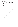to be in such unpleasant circumstances, but I hope we can meet up again when things are a bit quieter. I think maybe I could drop by your café for a meal sometime soon."

Then they heard the shrill ringing of the phone inside Krystal's café.

> OF AVE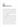### CHAPTER 2

Gawler strolled down the sidewalk to the pub. He stepped inside through the swinging glass door. The hubbub inside momentarily fell silent as Gawler entered. He noted the movement of heads as all eyes turned his way. With the volume of music, currently blasting The Rolling Stones "Fool To Cry," through the bar speakers, he surmised most patrons would probably not have noticed the ruckus that had just occurred outside.

Gawler scrutinized his surrounds as he approached the bar. The place was as rough inside as it appeared from the outside. At ground level the bar and dining area was spread across the full width of the building with a kitchen he could see at the back. It was as hot and humid inside as the atmosphere outside and noisy and busy with what looked to Gawler like mine workers and other assorted roughnecks. The air was thick with the aroma of cigarette smoke and perspiring bodies combined with the smell of beer mixed with fumes of grease and onions from the kitchen.

He glanced sideways at a group that had the calculated appearance of gangster heavies. They obviously had no intention to disguise themselves. On the contrary, they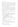appeared proud of their appearance: massive, gawky, heavily tattooed, lots of gold bling. Their eyes were glued on Gawler as he made his way to the bar. Peripherally, he spotted two of the heavies making their way toward him. *Wonderful*, he thought. *Maybe I'll be making an early acquaintance with a couple of them.*

The two guys followed Gawler to the bar. One on the left. One on the right. As Gawler snagged a barstool, the guy on the left with a thick moustache covering his upper lip cozied up alongside him, the other, with a faded tattoo of a sparrow on his neck, posted up behind him, and together, they waited.

*Let them wait*, Gawler thought. *I still haven't gotten down to business here.*

The bartender approached. Gawler ordered an orange juice. A few moments later, it arrived, and raising it to his lips, he took a conservative sip to signal his presence.

The moustached guy spoke.

"What's with the orange juice?" he said.

"It is my beverage of choice" Gawler replied.

"You new in town?" the thug said with a guttural Russian timbre

Gawler picked up his drink and turned away. "What gave it away?"

The guy shrugged. "Everything."

The other guy jutted his chin. "Why are you here?"

"It's a bar." Gawler shrugged. "I'm thirsty, I wanted a drink"

"Why are you in this town?"

"It's probably as good a town as any."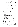The guy with the moustache tugged on Gawler's shirt. "Answer question."

Gawler did not appreciate being tugged at by this thug. He removed the hand from his shirt by grabbing one finger and twisting it backwards until he heard the light a snap of a bone breaking.

The guy stifled a gasp and tried to straighten his broken finger.

Gawler said. "Your accent. Georgian, yes?"

"*Answer*," the Russian breathlessly grunted into Gawler's ear, "*question*."

*Enough*, Gawler thought. *Stop playing with them. You're outnumbered.* "Work," he said out loud.

"What kind?"

"Gold"

"Interesting."

"Not really. Just work."

"Two choices," the other Russian said.

"I'm listening," Gawler replied.

"You watch yourself in this town," the Russian with the moustache said, "or we break your neck."

Sighing, Gawler weighed his options. *It's not worth the trouble. Consider this the price of admission.* He stood beside his stool and looked down on the Russian whose face came up just level with his shoulder. He stepped closer to the Russian until they were toe to toe.

"I could probably break a couple more fingers and more if that is what you are looking for" he said.

The Russian backed off. Gawler understood that this guy needed to save face, but it was not going to happen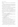tonight. He was going to have to live with his humiliation for now.

The Russian nodded to his partner indicating that they were finished. They shuffled back to their group who had been watching with a certain degree of animation from their position at the side of the room.

Gawler noted the development of a lively discussion in the group. Voices were being raised, chests were being puffed, fingers were being pointed and wagged.

Alone with his drink, Gawler shook his head and gestured to the bartender, a man who appeared to have an unusually strong infatuation with Elvis Presley based on the pointed-toe cowboy boots and pompadour he was sporting.

"I need to book a room," Gawler said. "One at the back. One on the balcony overlooking the cove."

The bartender pouted his lip. "Got plenty of those. How long you plan on staying?"

"Let's call it a week."

"I will need your credit card details to secure the booking", the bartender said.

Gawler passed him the credit card.

Several moments later, the bartender slapped the key for a room down in front of Gawler's orange juice.

Gawler, gesturing to the door, asked the bartender if he had picked up on the incident outside just a while ago.

The bartender huffed. "Saw it through the window."

"Just curious if that's going to ruffle any feathers."

The bartender informed Gawler that one of the men involved in the incident – the tattooed one, went by the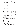name of "Capable" Elwood, a convict who had recently been released on parole from prison in Melbourne.

Brow furrowed, Gawler asked, "Why do they call him 'Capable'?"

"Because he's capable of anything."

"Not very original."

"Well, no one's paying him to write books, last I checked."

"Sipping his drink," Gawler said.

"He was shot in the head just now during a fight over a gun with a bearded guy."

"The bearded guy ended up with a nasty hit to the neck which knocked him out for a while. He probably needs medical attention. I was a by-stander. What are the chances that some of this will come back to bite me in the arse later on?"

The bartender proceeded to tell Gawler that Capable had an issue to resolve with the Russians in Buckleboo Creek regarding a delivery of cocaine he had paid for but had not received. It was an issue high on his list of priorities.

Gawler said, "He doesn't have any priorities at all now. The Russians will not be troubled by him after today unless they will be wanting to give him a funeral. Basically, he is one less problem that they will need to deal with."

Gawler prepared to take another sip of his drink. "I expected this to be a sleepy town."

"This *is* sleepy," the bartender grunted before moving away to tend to another patron.

Gawler slapped a five dollar note on the bar and worked his way through the crowd towards the swinging door he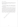#### Mark Ed m onds

had entered through. The group of Russians were still arguing and gesticulating. They glared at Gawler as he strode out the door.

The deceased 'Capable' and his antagonist had been evacuated and were nowhere to be seen. The footpath had been hosed down.

Not wanting to dwell on his reception in the town, and looking forward to some much-needed rest, Gawler piled into his Humvee and drove the few metres to the carpark at the side of the pub. He carried his bag up the back stairs and along the balcony and found his room. After stripping off his clothes and resting his head against the pillow, it took just a couple of minutes for him to drift off to sleep.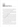### CHAPTER 3

There was nothing special about the room. Standard, wellworn, a bit musty. A bathroom off the main bedroom cum living room. The linen looked passably clean.

He had slept solidly. It was now later than usual for him to start his day. He had slept with the sliding doors to the balcony open to get some air circulating. He felt refreshed after such a good night's sleep.

He had been woken by the music from downstairs subtly seeping through the door to the balcony. Someone down below grunted in Russian. The volume was turned up in reply. Gawler found himself being serenated by Bob Seger's "Night Moves." He couldn't for the life of him guess why the Russians were so privy to American choices in music.

Moving to the bathroom he stepped into the shower and relaxed under the strong pressure of the steaming hot water. He soaped himself thoroughly and washed his hair. He finished showering with a long burst of icy cold water to close his pores and tighten his skin.

He towelled himself dry and sat on the bed, massaging the back of his neck to relieve the residual tension from the previous day's long journey. He dressed in his work gear, a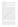pair of light cotton tan work pants and a similarly coloured long sleeved cotton shirt. Later he would put on his steel capped work boots.

Swinging his legs around, he sat back, and folded his hands across his chest. He was feeling relaxed, ready for the day ahead.

He had flown directly to Australia after a series of briefing meetings at the mining company's London head office. The company, Consolidated Rutile, his "employer," for lack of a better way of putting it, was a huge international conglomerate. Gold mining at Buckleboo Creek was important to the corporation, but it was just one of their activities. The company had worldwide operations in mining, mineral processing and shipping coal, iron ore, bauxite, fertilizers, and various other commodities. It was a big powerful corporation with world-wide connections and influence into the high-level inner sanctums of governments, banks, corporations and non-government organisations. But the politics, the bottom line, and the inner workings of the company had nothing to do with Gawler. Those things concerned him not in the slightest. If a term had to be applied to the work he did for the company, "muscle" was the closest thing to it. Some called him a hitman, but he was not comfortable with this depiction of his role.

He was a trusted "trouble shooter" for the company as one executive had phrased it. Gawler was the man they called upon when sticky situations required an unorthodox solution. He was not an employee. He was a gun for hire. The agreement Gawler had with the company guaranteed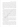him that the company would always provide all the support and resources he needed. They expected him to do the job his way. The company wanted results from Gawler, but they didn't always want to know the details of how he got them. They understood that he cut corners and pushed boundaries, and he was paid handsomely to get the job done. But Gawler always had no doubt that if he stepped over the line the company would deny all knowledge of him.

He was comforted with the unwritten understanding he had with the company that they would always back him to the hilt behind the scenes. He preferred the anonymity. Freedom was something he cherished more than the dollar.

Gawler and the chief executive of the company, James Wallbridge, were buddies going back to their university days. They had met while studying engineering together at Melbourne University. At the time, Gawler had a serious interest in playing Australian Rules football. He was courageous, strongly muscled, with great ball to eye coordination and quick.

He had played in the ruck with the university team and had done well enough to get a few games with a team in the professional Australian Football League. Thanks to a wrecked knee achilleas ligament, his potential professional career had been cut short.

By contrast James was more interested in surfing, so the two friends had spent many lazy days together chasing waves at the surf beaches along the Victorian coast. They both had a lifelong passion for opera. They had enjoyed countless hours together absorbing the great operas. After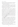graduation both James and Gawler had been recruited into engineering jobs with Consolidated Rutile in Australia.

James was a born diplomat.

At first glance James looked like a stereotypical bank manager. Of medium height with chubby rosy cheeks, granny glasses and a softly spoken manner. He could charm the birds from the trees with ease. *Good old James*, Gawler ruminated as he drew a deep breath.

After earning his stripes running engineering management projects for the company across Australia, James rapidly came to the notice of the company's top management. He was fast tracked through some testing management roles across the company internationally. To the surprise of many people who knew him, James had rapidly risen to the supreme position of Chief Executive of the corporation based in London. His congenial personality, engineering knowhow and diplomatic skills had served him well. He got big things done and was the perfect public face for the company.

By the time the company grew, and by default more tricky problems were cropping up, stronger hands were needed on deck when negotiations in the conference rooms became futile. James needed muscle. He needed a man he could trust to handle the on-site squabbles and malfeasances. Naturally, Gawler had been his first and only choice.

Gawler had spent several years travelling to sort out difficult issues at the company's trouble spots in many parts of the world. He had always come up trumps. But his solutions were not necessarily totally orthodox.

He had been summoned to London to catch up with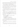James who had surmised that Gawler needed a distraction after his wife of two years had passed away unexpectedly from a mis-diagnosed case of incurable cancer.

James said "We have a problem in Buckleboo Creek – far north Queensland. As usual I want to send you out to get on top of it. Whatever way you see fit. The usual financial arrangement. You can come and go as you please. But we will need you there now."

The reply from Gawler came in the form of a nod. If anything, a distraction was needed from the sorrow and heartache that plagued him recently like a terminal nightmare.

He'd be dead in six months from doing something unorthodox or from simply getting himself into a nowin situation if he didn't find a reason to at the very least to keep moving. "Sure," he said flatly. "I'll take the gig whatever it is."

James turned to Gawler. "You okay?" he asked.

Gawler said, "As in?"

"As in, you look a little strung out."

"If it's a question of my effectiveness?"

"It's not." James. replied "You could have one of your legs or arms dismembered and you could still beat a man senseless if necessary. It's like a gift. You're a cat with nine lives, my friend."

Sighing, Gawler said, "Then what are we talking about here?"

James appeared reticent, taking a pause before replying to Gawler's inquiry. "You lost your wife, mate," he said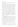solemnly. "Anyone in that position would have a right to slacken off *mentally*."

Gawler had known that if he didn't do something, anything, he would join Sarah in the afterlife quicker than he had intended. If life after death was a certainty, which Gawler doubted, the only thing he knew was that Sarah would greet him with that same subtle disdain she displayed when he did not give her the respect she demanded.

She would be more than displeased if Gawler had checked out on life early. James' pitch to him of sorting whatever issues were interfering with the corporation's business in Buckleboo Creek was a welcome reprieve.

With Sarah's sudden death, Gawler had all but shut down whatever responsibilities he had. He collected on her life insurance policy, sold their house in Melbourne and combined the proceeds to purchase a rundown apartment on the 56th floor of Eureka Tower in Southbank by the Yarra River.

He'd negotiated a good deal on the purchase. The apartment was in bad shape. Dilapidated to put it mildly. Crowds of people inspected the place when it had been placed on the market, but the upshot was no-one wanted it. Except for Gawler. He saw the value of the location. It had a view overlooking the wide expanse of Port Phillip Bay which to Sam was worth a million dollars.

He had found himself to be in the perfect negotiating space to make a very reasonable cash offer which was accepted with alacrity.

He spent his time over the following months stripping the apartment back to its bones and then renovating it until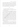he had created a fabulous home. It was something many people could only dream of. The project was therapeutic. He loved the result. But his problem remained the same, Sarah was no longer with him to share the results of his labours. He still had difficulty comprehending that this was the one thing that nobody on earth could change.

#### \*\*\*

"So," Gawler said to James "what's next?"

"Buckleboo Creek" James said. We'll get you squared away and go from there."

The meetings Gawler attended during the London visit took two days. The Chief Security Officer of Consolidated Rutile, Joe Malthouse, a former military police officer with a bear of a body, joined with James Wallbridge as they walked Gawler through the details of the company's problems at the Australian gold mine at Buckleboo Creek. They examined the layout drawings of the processing plant and discussed the performance figures available to them for many items of equipment at the plant. They reviewed the gold production figures which were dismal. And they discussed the rising crime wave being generated by mobster syndicates internationally and across the country. The company was of the view that crime was impacting on their gold productivity.

"The company," Joe said, "is concerned that the amount of gold being produced at the plant was slipping from what is expected. I'm suspecting that the operation of the Buckleboo Creek facility has been infiltrated. Security has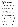possibly been compromised. It appears as though a criminal mob operation may have been put in place at Buckleboo Creek. Tentacles of the mob could have spread through to the processing plant," he gestured to Gawler, "we want you to look for signs of gangsters in the town and at the plant."

This mine was no small operation. They were bringing up three and a half tons of ore from underground to the surface to get an ounce of gold. Each year they were crushing and processing fifteen million tons of ore to produce five hundred thousand ounces of gold. If the odd kilogram or two of gold was missing from the mine's output, the company would come looking for it. If ten kilos were missing, they would be seriously looking.

Joe outlined a serious problem the company was aware of in the town: drug trafficking. The company was not interested in getting into the business of drug busting but if there was some connection between drug trafficking and the gold losses they would definitely need to be interested.

"Some entities," Joe said, puffing his chest, "whoever they may be, are disrupting our daily operations. The situation is getting urgent now. We need you to find them, draw them out…" he cast an ominous glance at James, "and move them on." Joe passed a small electronic device to Gawler. It looked like a mobile phone. It had previously been one but now it was an AnOm, a high-tech encrypted communication device. It did not take phone calls, just encrypted texts. This AnOm Joe was passing to him was tuned into the frequency being used by the Russian criminal syndicates in Australia. The little device would give Gawler an advantage over any Russian criminal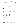mob operating in Buckleboo Creek. He could monitor all of their communications. He was fluent in Russian, which was a big plus for him, but he did not feel any need to let this be widely known in the location he would be heading to.

"Find out what's going on," Joe said with a glimmer in his eye, "and shut it down."

Unusually for him, Gawler kept his next thoughts to himself.

*This guy has to be kidding me.* He thought. *He doesn't get out of the office enough. I'm single handed. To do what he is talking about we would need a battalion. But I'm in it for better or worse. Forge onwards Sam. No matter what is in store, you will find a way.*

As Gawler, James and Joe concluded their meeting James assured Gawler that if he ever needed back-up or resources any call by him to the Chief Executive's office in London would always receive top priority.

*Don't you worry about that my friend,* he thought. *My guess is you will be getting plenty of calls from me out in the Badlands, and they may not be at a time convenient to your comfortable lifestyle.*

#### \*\*\*

Arrangements had been made by the corporation for Gawler to report at the mine under cover as a safety inspector. This would give him unhindered access to all parts of the gold processing operations. But Gawler knew he would be closely watched by unseen eyes as he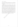moved around the plant. His priority was to track down the pathway out of the plant being used to spirit away the missing gold.

Restless with his mind running in circles, Gawler snapped his attention to the tasks ahead for him in the day ahead. He forced himself to get moving. He put on his work boots and moved to the door. He knew the plan. He had gone over it often enough. Closing his eyes, he focused on his breathing, counting each breath. He recalled Sarah's smiling face as she generously greeted him each time he returned home from a project and her throaty laughter when she found something amusing, which was often. Squeezing his eyelids tight, Gawler tried to focus on the sounds of Bob Seger (and the occasional grunt from a Russian down below) to assist him to get moving.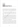## CHAPTER 4

Gawler checked his watch. It was after eight in the morning. His stomach grumbled, a bit of nausea riding shotgun along with it. He needed to eat. Maybe some strong coffee as well.

Gawler had been told that Buckleboo Creek was saltwater crocodile territory. He was told the "Salties" were active at night and were never far away from the water's edge.

He vaguely remembered being disturbed during the night by some thumping noises from the cove below– he assumed that was the sound the crocks made as they moved out of the water and onto the muddy banks of the cove. It seemed the crocks were not so very far away from him right at this moment as he sat in his room in the pub above the shore on the Cove of Albatross Bay.

He headed downstairs and took a seat at a small table in a dining area in a section of the pub's downstairs lounge not far from the bar. A meal of a large medium rare T-bone steak, onions and roast vegetables washed down with good strong coffee filled the bill just fine for Gawler. He noted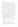that the food was top fare. It had to be for the pub to survive. Hard workers demanded quality sustenance.

According to the bartender, most of the Russians had stayed late and all but a couple of stragglers had vacated the bar hours earlier. Gawler inquired about the whereabouts of the local police who seemed nowhere to be found during the incident on the street the previous night. The bartender told him that the police presence in the town amounted to just a two-person team, a husband and wife, who were usually tied up at the station with routine paperwork. The police building included their living quarters which were at the back of the main section. The building also housed a small lockup, also at the back. The bartender told Gawler that it would usually take the police at least an hour to arrive at an incident. Gawler felt strangely comforted. Most people would feel reassured by the presence of the authorities close by, but for Gawler, the further away they were from the kind of hands-on approach he used to his job, the better.

Gawler asked the bartender, "What's your name?"

"Clint," the bartender replied.

"You seem to have a pretty good feel for what happens in this town?"

"It's a small town. We all catch the same cold at the same time"

"I want a little bit of background information."

"What do you want to know?"

Gawler said, "You seem to be pretty much in-tune with the comings and goings of these Russians hanging around here."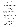"You could say that."

"How long have they been stooging around?"

"A few months, and ever since they arrived there has been trouble."

"What do they do for money? Do they splash it about?"

Clint shrugged. "Everybody here knows they are into drugs, what else?"

"They are tight with their money but it's obvious they've got plenty. They can spread it around when it suits.

Gawler raised his brow. "You seem pretty confident that drugs are what they are here for."

"Had four workers overdose on some stepped-on merchandise they purchased from the Russians." The bartender crossed his arms.

"Tell me, before I answer any more questions, who are you?"

"My name is Sam Gawler."

"Well, Sam," Clint said, "I'd like to know why you're snooping around. Are you a cop?"

"Far from it."

"Who do you work for?"

"I am here on an assignment for the Consolidated Rutile Corporation. As I am sure you would know, they are the owners of the Buckleboo Creek gold mine and processing plant which basically dominates everything in this town."

"And what is it exactly that you do for them?"

"I am a Safety Inspector. I am looking over all aspects of the company's operation to make sure everything is safe and nobody working here gets injured."

Clint was satisfied with what he heard.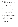"Fair enough." He started wiping down the counters. "Now, how can I help you?"

"I'm looking for some background details."

"In regard to what, exactly?"

"The drugs problem you mentioned."

Gawler drew a deep breath to accompany his words.

"The problem may be much bigger than it appears to someone just strolling down the main street of Buckleboo Creek.

"My company believes that Buckleboo Creek could be an entry point for drugs into Australia from places like South America, maybe Mexico or perhaps some shithole in Asia.

"If that is the case, then right here and now we are potentially facing the pointy end of a diverse array of underworld figures. Things could get very nasty here. When drugs arrive in town, trouble always follows. I've been informed by the security chief at my company that the Russian mobsters' main source of income in Australia is illegal drugs. High prices are being fetched on the streets for methamphetamine, cocaine, heroin, MDMA. Cocaine being shipped to Australia is selling wholesale for \$175,000 a kilogram. The Russian syndicate's operations are widespread. They range from drug trafficking to money laundering and even murder."

Clint shrugged. "Sounds like you've sniffed out the information for yourself well enough."

Gawler said, "But there's more. It is a possibility that the drug syndicate has spread its tentacles into the gold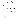plant and if this is the case there is a big problem for the corporation.

The sight of Russian thugs meandering around your fair town does not auger well for the continuation of good relationships."

Clint said, "I'm not sure if I can help you with these issues my friend."

"I'm sure that's the case." But you sound like a straight up guy to me. If you hear anything in the future that might be of interest to me, I would appreciate it. I am sure you would be well looked after if you get my meaning."

With that, Gawler set about heading to the company's base of operations to meet with the person whose name he had been given as a contact for the moment he arrived.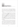# CHAPTER 5

Gawler drove to the entrance of the gold processing plant. To the civilian observer, it would look like a substantial operation. He heard a steady hum of machinery emanating from the site as he approached the dry and dusty looking entrance.

The appearance of the place was what he expected. He was facing a huge open-sided warehouse type building about the size of a football field which housed an array of grinding, screening, pumping, and milling equipment. There were numerous lines of various sized pipes running along the sides of the structure connecting between the pumps and tanks They were mounted on racks fixed to steel columns which also supported the roof of the building. A number of huge liquid storage tanks were sited outside the building.

An enormous cylindrical open topped thickening tank stood in a dedicated section adjacent to the main building. A belt conveyor was transporting primary crushed gold ore from a stockpile in the distance not far from a prominent hoisting tower which housed the steel cables supporting the lifts which provided access to the underground mine.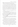Workers wearing white hard hats could be seen driving forklifts moving purposefully around the facilities.

There was a massive steel communications tower set on a rise at the rear of the plant. A wedgetail eagle's nest was sited comfortably on the top of the tower. *The eagles have chosen the most strategic location,* he mused*.* A razor wire topped chain-link fence standing three metres high traced the entirety of the establishment which rested on what appeared to be a giant field of granite. Surveillance cameras were noticeable at strategic locations around the perimeter of the site.

The place gave off the impression of being a busy, dusty noisy and well-run operation.

Gawler rolled his Humvee up to the guard house at the plant entrance. He was received by a uniformed security guy wearing a baseball cap with the logo for Consolidated Rutile on the brim in the form of the letter "C" and "R" in thick ruby stitching.

"How can I help you?" the guard asked. Judging by his curt manner Gawler thought he seemed to be wary of visitors.

"Name's Gawler. I'm here to see Natasha Timoshenko."

The guard called it in. A moment later the boom gate ahead of Gawler opened. The guard directed him to drive down to the offices on the far side of the compound.

Waiting for Gawler was a tall, elegant dark haired young woman. Gawler figured she would probably be thirty, give or take a couple of years. An outline of an athletic and toned body was noticeable through her work overalls.

"You're Gawler?" she asked as he slipped out of the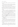car. Gawler nodded. "Yes, that I am. You must be Natasha."

She shook his head. "Natasha Timoshenko. A pleasure to meet you. Your arrival has been expected. I have been requested to take you on a tour of the plant."

Gawler sensed that Natasha was cool, friendly, and professional. He noted an air of efficiency in her manner. She spoke perfect English with the slight trace of a Russian accent. This rang a note of caution for him. He became guarded.

Perhaps it was possible he thought that she could be involved in the mobster's operation. But surely not. He didn't want to let himself think that could be the case. The mobsters were thugs, clearly well out of her league.

Gawler noticed the smooth motions in the way she moved. Perhaps she was a dancer or maybe a gymnast. There was an elegance in her movement. She was wearing the company's standard green boiler suit with a white safety hard hat and steel capped boots. She carried noise blocking earmuffs.

"You'll want these," she said. "It gets rather noisy inside the processing areas."

Taking the earmuffs, Gawler followed Natasha as she made her way into the processing plant. She showed Gawler to the men's change room off to the left of the entrance. An attendant provided him with an outfit identical to Natasha's.

"Ready?" she asked. Gawler nodded. "Ready," he replied.Together they moved through the plant examining equipment and process operations. Gawler carried a check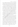list on a clipboard and made notes as they moved through the plant. The noise inside the plant from the crushing and screening machinery prevented any conversation between them. They communicated by pointing and hand signals.

As well as his clipboard notes, Gawler was mentally recording his observations throughout the tour. The layout. The appearance of the general employees working inside the plant. Were they attentive or slightly distracted? Was there an attitude of confidence or diffidence about them? He was also observing the movements of the operators of the equipment who were doing routine jobs, minding their own business, keeping away from anything dangerous.

Three robust women were doing heavy lifting and shovelling work around a noisy ball mill. They were covered in dust, sweating heavily and grunting audibly over the hubbub of the plant. Gawler didn't envy the physical effort they were required to put into their jobs.

Turning to their right, they came across a powerfully built tall young engineer taking instrument readings at one of the machines. He had a big toothy smile for Natasha, very warm with a familial kind of affection. After briefly looking over the general layout of the plant, they stepped outside where the noise from the plant was a little less than a dull roar. "Apologies for the noise," Natasha said.

"Not necessary" he said. "It is expected." Gawler recalled the toothy smile of the friendly guy they had crossed paths with inside the plant. He noted that he bore some similar features to Natasha. "That young guy we just met," he said. "Is he a relative?" Natasha smiled. "Very good, Mister Gawler. He is my brother. His name is Oleg."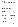"I had no idea that Consolidated Rutile was a family-run operation."

"It seems that friendly faces have been employed across the board, Mister Gawler. I have heard that you're an acquaintance of the CEO."

"Please call me Sam" he said.

"Everyone calls me Natasha" she replied.

"I must say, I'm not quite sure why you are here, or what your job with Consolidated Rutile entails. No offense she said."

"None taken," Gawler said. "My visit is all about safety. I have been engaged to undertake a safety audit of the entire plant. I hope you will be available to assist me as I work my way right through this facility. Safety means security and we don't want anyone working here to be injured in any way.

"That makes sense, everyone here will agree with that," she said. "There have been a few problems lately caused by some shady characters lurking around the town. Some of them seem to have connections with several of the people working here."

"That's one of the reasons I'm here. I don't suppose you have any insight on this?"

She shrugged. "Nothing that comes to mind. I've only heard rumours, really."

"Anything of note?"

"Not specifically. But the one thing that I can assure you is that all employees under my watch have been properly vetted and will continue to be as long as they are here."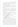"I have no doubt that the people you oversee are properly, as some might say, 'vetted' to the point of exhaustion."

"But" she said with a dour tone, "you will still be looking into them, nonetheless."

It's my job. I hope you don't take any offense at this."

"I'm disappointed," Natasha said, "that you will be looking into people that I can vouch for without any hesitancy."

Gawler held up his hand. "I won't interfere with the flow of operations. As soon as I clear your people, I will move forward and let you get on with your job. And I want to impress on you that I will cause you no delays or holdups whatsoever."

Smiling, Natasha said, "I appreciate that, Sam. Now," she crossed her arms, "how can I better assist you in working through this exercise of yours?"

"A list of all your employees," Gawler said. "Timecards, rosters, incident reports, things of that nature."

"That can be arranged."

 $\overline{\phantom{0}}$ .<br>סו

> "Also, I would like you to join me in a drink sometime soon if that would be convenient."

Natasha blushed. "Are you asking me out on a date?"

The idea of dating anyone, much less spending a casual evening out, was something far from Gawler's list of priorities. Sure, he thought, this woman is clearly attractive and bright, to say the least. But Sarah's passing was still fresh in his mind. It prevented him from even the slightest urge to get involved in a romantic nature with anyone. "No," he said with a flat tone. "I would just like to spend a little time chatting with you to get to know more about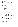your life here in this dusty little town when you are not tied up in this noisy workplace."

Perhaps she was a little disappointed by his response. Her smile faded and was replaced momentarily by slight frown. "I see," she said smiling again. "Well, my workday ends at six. Let's meet for a drink after that?"

"Great," Gawler said. "Do you have a place in mind?"

"There's a pub of sorts in the town. It also serves as a motel. Maybe you know it already?"

Gawler grinned. "I do."

"Good. Then I can meet you there at six-thirty, if that works for you?"

"It does."

Natasha smiled, half turned and started walking towards the office block, As she walked away she looked back and said, "It's been a pleasure to meet you, Mister Gawler."

Gawler said, "Likewise, Natasha."

Gawler watched Natasha as she walked back to the processing plant, intrigued by the young woman in a way he could not yet articulate. But musing about her quickly faded as his focus shifted to a man who walked out of the warehouse, his gaze fixed on Gawler with the kind of intensity that made Gawler's flesh creep. As Gawler locked eyes with the man, he noted that his right arm was limp and hanging uselessly by his side. *Unusual to see a disabled guy on the job here,* he mused.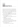## CHAPTER 6

Natasha arrived at the bar promptly at six-thirty as arranged. Other than Clint, the bar was vacant. This suited Gawler, though he was curious as to the whereabouts of the Russian clientele whom he had noticed seemed to flock to this place. Gawler waved a greeting to Natasha as she entered the bar through the swinging glass door.

She was wearing a light cotton yellow halter topped frock which reached to mid-thigh. Her firm tanned legs were showstoppers.

He tore his eyes away from her legs.

"Good evening," she said as she slipped onto the stool next to him.

"Good evening," Gawler replied.

Natasha ordered a gin and tonic.

"How did the rest of your day work out?"

"Quite well. No hiccups, other than a blown bearing on a pump. We had a spare pump assembly and the whole thing was changed over without a hitch."

"Cost of doing business."

"It was nothing out of the normal workday."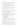Clint returned with Natasha's gin and tonic. He told Natasha that the drink had been paid for in advance.

"Thank you," Natasha said to Gawler.

"Thank the company," Gawler said. "It's on their dollar."

"I'll be sure to do that." She sipped her drink conservatively before setting it down.

"Now," she said. "What would you like to discuss?"

"Well, perhaps some more about you, for starters."

"I was under the impression this *wasn't* a date." "It's not."

She chuckled. "So, it would appear I am not free from being examined during the course of your 'investigation'."

"Gawler said. "It's nothing personal."

"I have no problem discussing my history with you. What would you like to know?"

Gawler propped his elbow on the bar counter and rested his chin in his palm. "Whatever you are willing to tell me."

"Well, for starters, I'm from Melbourne."

Gawler's said, "Well, that is a coincidence."

She smiled. "Why is that?"

"That's where I'm from as well."

"How curious. But of course, we move in different circles. It's too bad we never crossed paths informally."

"What made you leave Melbourne? Buckleboo Creek isn't exactly a hot spot, so to speak."

Natasha's glanced toward the ceiling. "Well," she began, "I graduated as an engineer and worked for a while in a job designing agricultural machinery, but my true love had always been playing the violin. So, I soon quit my engineering job and began studying violin at the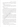Conservatorium of Music in Melbourne. My ambition for a long time had been to join the Melbourne Symphony Orchestra."

Gawler said, "Why didn't you?"

"I took a break from my studies and came to Buckleboo Creek with my brother Oleg. I wanted to keep an eye on him."

"Why is that that?"

Natasha sighed. "Oleg's a bit, well, *slow*, so to speak. He always has been. But he's a hard worker. He takes any odd job that comes his way. Anyway, when he found work for the company up here, I felt I should follow him. Most of the money I've been earning, other than paying for our dayto-day expenses, has been saved away so that I can resume my violin studies later in Melbourne."

"Are you planning on going back?"

"I am. I just felt it was a lucky break that Consolidated Rutile had an opening at the plant which I was well-suited for. Oleg and I applied to work on the same shift rosters. It suited us both to work identical hours each day. And in the end, we would be able to walk away without burning any bridges."

Gawler decided to press her for more details. Natasha then happily told him more: her family history, her love for the violin, her passion for basketball. In Melbourne, she had played in the centre for the women's team, The Vixens. She was dreaming about getting back onto the basketball court before not too long.

"But your accent," Gawler said. "It's Russian."

"My family," Natasha said, "had come to Melbourne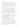from Russia when I was very little. They have been living in Melbourne for a long time now." She said that members of the Russian diaspora in Melbourne had connections who found the work at Consolidated Rutile for both Oleg and then for Natasha. She told Gawler that Oleg was well known in the Russian expatriate community in Melbourne as a keen scuba diver.

Russians in Buckleboo Creek had let it be known that they were looking for someone with the scuba skills Oleg had. They sought him out. As quid-pro-quo for the assistance the Russians gave Oleg to win an introduction to the mining company and to then secure his employment, the contacts in Buckleboo Creek had requested that Oleg include his scuba diving equipment with his baggage when he travelled to the site. They told him it might come in handy.

Natasha was thorough and answered every one of Gawler's questions without hesitation, but he now wondered whether Oleg had been duped into bringing his scuba gear with him to Buckleboo Creek.

The story wasn't adding up. He wondered. *"Who in their right mind goes scuba diving in crocodile territory?"*

"Why did your family leave Russia?" he asked.

"When I was very young," Natasha explained, "my family lived at a Russian Naval base in the Artic Circle. My father was a specialist in the design of submarine propulsion systems. He was highly skilled in the field, but he had somehow fallen out with the authorities over a political disagreement. Then he had been declared as not a suitable person to work at the base.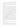"The family had been unceremoniously moved on and had basically got the message that they needed to leave Russia for their own wellbeing. My parents eventually found their way to Israel. From Israel we migrated to Australia.

"When we arrived in Australia, my father had been amazingly fortunate to be snapped up by the Australian government to work on the design and manufacture of a new fleet of submarines, the Connor Class. There was a shortage of people in Australia with knowledge and experience in this type of work, so my father had steady work for years on the project. He loved his job. He spent months every year travelling to Europe liaising with overseas design teams on the project. Life was great for him. He was a happy man. After enduring such a difficult time in Russia, he had eventually flourished in his career here in Australia. Now he's retired in Melbourne."

Gawler had been fascinated listening to Natasha talk about her life, her hopes and her dreams. He was a drawn to her. He sensed a chemistry stirring between them. But his heart was telling him to resist. He couldn't act on his feelings. It simply wasn't an option. He felt as though Sarah was gazing reprovingly towards him at that very moment.

"That's quite the history," Gawler said. "Very impressive."

She smiled. "Am I cleared as a suspect in this investigation of yours?"

*Sure*, Gawler thought, *at least for now*. "At the moment I can't see why there would be any reason one earth for you to cause any safety or security problem for the company."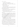"You didn't answer my question."

"I don't want to say anything on the record."

"Well," Natasha said, "then tell me a little bit about yourself, Sam Gawler."

"There's not much to tell."

"I'm sure that's not true."

Gawler wasn't inclined to run down his history. It felt paltry. Insignificant. "Much like your brother," he said, "I go where the work takes me."

Natasha looked at him curiously. "I'm still a little unsure exactly what the nature of your job involves."

"I don't want to put you off."

"I'm a product of Russia, Mister Gawler. I've seen worse. Believe me."

The mention of seeing "worse things" conjured up images of the limp-armed man Gawler had spotted outside the processing plant. "Speaking of which," he said, "I saw a man at the worksite today. He was disabled with one arm hanging limply by his side. He looked at me like a man who was about to flee from being questioned by the cops."

Natasha nodded. "Ah, yes. 'Limpy'."

Gawler furrowed his brow. "Limpy?"

"That's his nickname. His real name is Alex Dimitrov. He lost the use of his arm during a boozy fishing expedition six months ago. A crocodile shredded his arm. He was drunk. Apparently, he was leaning over the side of the boat trying to throw some bait to lure fish when a crocodile came from out of nowhere and grabbed his arm. It didn't take his arm off, but you can see the damage it did."

Gawler had heard about the crocodile population in this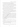part of the world. The rumour was that there was close to one crocodile per person in this neighbourhood.

Gawler winced at the thought of shredding an arm in a tug of war with a crocodile, but he had seen much worse. "And how," he said, "does a man with a useless limb still manage to stay on staff at Consolidated Rutile?"

"They can't let him go," Natasha said. "It's part of a workers' compensation deal he struck with the company. He had been let go after the ordeal, mind you, but the day before he was set to leave, they kept him on."

"Do you know the details as to how that came about?"

Natasha's tone wavered to a more querulous pitch. "I'm not sure," she said. "One of the higher-ups handled it. I'd be happy to ask more about it."

After hearing the tale of Limpy, combined with the reveal about how Oleg was instructed to bring scuba equipment to a job that didn't require it and into crocodile territory to boot, Gawler sensed that he was getting closer to the truth. It was like a lingering scent wafting in from a kitchen, one that teased the nostrils and kept him guessing. It was like wondering about a mystery meal that was being prepared for supper.

"You've been wonderfully helpful," Gawler said. "I appreciate it."

"You're quite welcome," Natasha said as she finished her drink. "Now," she flattened her palms on the counter, "I still want to hear more about *you*."

"Just like I said," Gawler shrugged. "There's not much to tell."

"I don't think that's true, at all. You must have a story.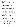You must have family." She bit her lip. "A girlfriend, perhaps, maybe a wife."

The comment made Gawler's heart drop. His memories of his courtship and wedding to Sarah. Recollections of their romantic life which they had enjoyed with gusto. The children they had planned for. Thinking about her death always made him feel as if his gut had dropped to his boots.

He wanted to talk more with Natasha. He wanted to connect more deeply with this woman who seemed able to put him at ease more than anyone he had been close to in more than a year. He just simply couldn't find the words. Thinking of a way out, Gawler said, "I'll tell you what. We can meet up again tomorrow to discuss that stuff and also some more about your friend Limpy. I have a few calls to make to the head office tonight before I head to bed."

"Deal," Natasha said. "I actually need to get back home to check on Oleg. But I want to be clear. She said in a definite tone. Limpy is no friend of mine."

She finished her drink and stood as she bade Gawler goodnight and headed to the door. Gawler watched wistfully as she left. Her final words about Limpy seemed ominous. He felt bad, not only about Sarah's death and the memories that still haunted him but by the fact that, no matter how hard he tried, he just couldn't seem to manage a close connection with another woman. He sighed and ordered another orange juice from Clint. He slowly finished the drink before starting to think about how he could learn some more about the Consolidated Rutile employee conveniently known as "Limpy."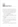## CHAPTER 7

Gawler made his way up the pub's back stairs to his room. He opened the door, slipped off his jacket, and retrieved his cell phone from his pocket. He searched through his four contact numbers. Each one held a prominent position within Consolidated Rutile. He selected James' number.

"Evening, mate!" James greeted. "What time is it?"

"Late at my end. Where are you?"

"London. A few fires at the home office."

"Is now a good time?" Gawler inquired as he heard an unmistakable clanking of dish and silverware in the background.

"Just sitting down for dinner," James said. "Hold on one second."

Gawler sat on the edge of his bed, switching the phone to his other ear as he felt a light headache building in the back of his neck. *Fool*, he thought. *Learn to pace your orange juice. It's starting to catch up with you.*

"Go ahead," James said.

Gawler rolled his head in a semi-circle to work out the knots in his neck. "I need some information on one of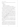the workers I crossed paths with down here. Name's Alex Dimitrov."

"Dimitrov?"

"You got it."

"That doesn't sound familiar."

"Well, he's more commonly known as Limpy."

"Ah!" James remarked with a note of recognition. "I heard in passing about him. We had to file a medical insurance claim from this end. Got his arm shredded."

Gawler said. "I'm surprised you would be tracking an employee down so far in the pecking order."

"Usually, I wouldn't. But there was a hubbub about that crazy Limpy guy when it happened. Apparently, he got his arm shredded when he was out fishing with his drunken mates. He had somehow ended up having a tug of war with a crocodile hanging off his arm. When the crocodile eventually gave up, he fell backwards into the boat. His mates managed to power their little boat to shore, they dragged him out onto the bank but then they couldn't figure out what to do next.

A guy on the shore had seen what happened and had already called the district nurse. Limpy had lost a lot of blood by the time she arrived. She stopped the bleeding but said she couldn't save the arm. She wanted to amputate it on the spot.

Dimitrov- Limpy, swore at her and screamed," you're not amputating my arm you rotten bitch." She backed off and called the air ambulance. They flew him 800 kilometres to the nearest hospital in Cairns. The surgeons at the hospital worked for hours to save what was left of his shredded arm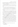but it would no longer be a workable limb. In the end they decided not to amputate. He eventually returned to work and was put on light duties."

Gawler asked, "Why wasn't he let go? Having the use of both arms would seem a necessity in a place like a gold plant."

"It is," James said. "But Limpy threatened to call in some lawyers if we didn't cover his medical expenses."

Gawler furrowed his brow, "The accident didn't have anything to with company work. He was off-the-clock, so to speak."

"Well, Limpy lined up some high-powered lawyer who was threatening to take us to the cleaners. They wouldn't have won the case, everyone knew that. But Limpy seemed to have some pretty powerful support in the background which we never got a proper handle on. How he was proposing to pay the lawyer was a mystery to us.

"They were threatening us with years of litigation. It would have cost a bomb. But that wasn't the main point. The issue we faced was that we didn't need right then to wage an ugly legal skirmish against a popular guy around town. Not good for the company image in a small place. Best for us to cave and swallow the costs of Limpy's legal and medical bills. It was neater to settle the thing that way."

Gawler said, "I need all the information you have on Limpy along with the details of his settlement with the company."

"Sure thing," James said. "I'll need a day or two." "Not a problem."

"Anything else?"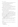He recalled her smiling face. The young woman he had spent time with earlier; "Natasha Timoshenko."

James chuckled. "What about her?"

"I met her at the plant today."

James said, "She's quite something, eh?"

"Yeah," Gawler said, "She is for sure." He felt a warm sensation in his chest. "She was quite helpful, gave me a thorough tour of the processing plant."

"Try and keep it cool mate," James said. "I know you need some female company, but it's best for us if you keep things strictly business for now."

"Of course, I will *mother*."

"Hey," I'm just trying to help you stay on track."

Gawler said," She was the person who told me a little bit about our man Limpy. She's getting together all the information they have on Limpy along with some of the other dubious employees so that I can run through the details. I just wanted the official record on Limpy from you in case there's something she couldn't dig up."

"Understood. Anything else?"

"Natasha has a brother, Oleg. I want you to pull up anything and everything you have on him, as well."

"Sure thing," James said. "You starting to sniff out a trail?"

"Not sure," Gawler said. "But my gut is telling me I might be."

James laughed. "Sit tight. I'll have everything to you within a day or two."

"Outstanding."

"Goodnight, mate."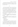Gawler shut off the phone and tossed it on the bed. Kicking off his shoes, he laid back, closing his eyes with the certainty that the details he was searching for would soon become clearer.

#### \*\*\*

His dream that night was more a memory. He was seated in a stuffy conference room facing a bespectacled man named "Ronson." Ronson wore a professional smile as he commenced a psychological evaluation. It was a requirement of Consolidated Rutile's insurance carrier.

If Gawler was going to do the heavy work at the behest of CR, they, more specifically the insurance carrier, wanted to make sure that he was, putting it succinctly, hard-headed but not psychotic.

"I'm going to ask you a couple of basic questions," Ronson said with a professional's warmth. "Where did you grow up?"

"Melbourne," Gawler grunted, not pleased in the slightest, feeling like a rat inside a box being poked and prodded.

"Your parents."

"What about them?"

"Who are they?"

"My mother died tragically one Christmas day when I was sixteen. She choked on a chicken bone while were eating Christmas dinner. We rushed her to hospital, but they couldn't save her, and she died that day. It was horrendous. My father was absolutely distraught. He collapsed with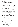heart failure while we were waiting for mum to be treated at the hospital and he died that same day."

"*Ah*," Ronson remarked as he pulled the notepad beside him in front of him and jotted a note.

Gawler eyed the notepad. "That's interesting to you?"

Ronson shrugged. "I'm just making a note, Mister Gawler."

"Then maybe you should make another note. My wife also died not long ago. Incurable cancer."

Ronson frowned. "I was going to get to that, yes."

*This is pointless*, Gawler thought. *I'm not suicidal. I'm not deranged. I'm not going to put my hands on somebody who doesn't have it coming.* He crossed his arms defensively, leaning back in his chair with a groan. "You seem to know everything," he said, "so you'll have to excuse me if I think this is pointless."

Ronson interlaced his fingers. "Consider this a formality, Mister Gawler. In the brief time we've been speaking and based on the glance I've had at your record; I'm inclined to think that you'll pass this examination with flying colours."

"*Inclined* to think."

The examiner shrugged. "There could be some underlying factor I have yet to stumble across in your profile that would raise some red flags." He picked up his pen and pressed it to the notepad. "Tell me about your childhood."

"It was fairly benign," Gawler said. "I had wonderful loving parents."

"Who took you in after they died?"

"My uncle Donald and Aunt Jolene."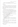"What was your relationship with him like?"

"He was a truly dreadful man. She was kind but demure."

"Abusive?"

"My uncle was an alcoholic; he never raised his hand to me or my siblings. But he did kill my dog one night by belting it with a lump of wood because it messed with his chickens. What he did was utterly brutal. I never forgave him for that."

Ronson took a note. "And what about—?"

The incessant inquiries had gotten under Gawler's skin. "Look," he cut in, "I had four siblings, who I don't speak to anymore, my uncle raised us, I did well in school, and I played football for a spell before my ACL let me down."

"How does that affect you physically?"

"Not very much now. Surgery corrected it well enough. And I have a high pain tolerance."

Ronson said, "Let's talk about your wife."

Gawler said, "Let's not."

"She recently passed away."

"She did. And no, I don't have self-harming thoughts."

"What thoughts trouble you as a result of her dying so suddenly?"

Many emotions plagued Gawler: Sadness, regret, confusion, irritation. There were so many things that tormented him these days.

"My wife's death," he said in a tired tone, "was deeply tragic. Yes, it pained me, and yes, I still deal with the memories of her."

"Any vices?"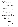"You're asking me if I drink heavily to deal with my trauma or take any drugs."

The question made him feel like he was being pressed by a parent. "I don't drink alcohol these days. I am strictly an orange juice man and drugs have never interested me. I've seen what they can do to people."

Ronson made another note. "What about your siblings?" he asked.

"We don't talk anymore."

"You mentioned that."

"Why?"

"Because of me."

"How come?"

"Because I left them all behind when I moved away from home. My uncle. I couldn't stand him. I was the oldest, my brothers and sisters' sort of held that against me. When I came back during my university days to make amends, my youngest brother, Daniel, told me to leave. He said I had abandoned them."

Ronson said, "You haven't spoken to them since?"

Gawler said, "No."

"If you could, would you?"

"Yes. But they don't want to know me. And anyway, they are scattered now all around the world.

"Daniel was the only one who showed up at Sarah's funeral. He squeezed my arm, nodded, and left when it was all over. I tried to call him a week later. I left a message. He never returned it."

The examiner scribbled more notes. Gawler peered at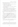him like a hawk, curious as to what Ronson was jotting down but unable to make it out.

"Mister Gawler," Ronson said, "if I told you that you were depressed, what would you say?"

"That you were probably correct."

Ronson appeared bemused. "Most people would push back on that diagnosis."

Gawler crossed his arms. "I'm not most people."

"Well, I'm inclined to think that you are more selfaware than most people who are dealing with grief."

Perching forward in his seat, Gawler's eyelids became slits. Unblinking. Staring directly at Ronson. "Let's cut the bull," he said with a grumble. "Am I cleared, or am  $Inot?$ 

Ronson said nothing as he scribbled more notes. He spent close to ten minutes more asking questions.

Gawler was not told of the examiner's findings, but James was. He was advised that Gawler was a risk, but a manageable one. His current mental state brought him to the edge of being unhinged, but the relationship that James had with Gawler should serve to reel Gawler in when necessary.

"He's a weapon," Ronson advised James, "but *you*  should be able to aim him in the right direction."

#### \*\*\*

Gawler awoke. Sweat clung to his shirt. He sat up in bed, shaking off the memory of Ronson. He slowed his breathing. He was still thinking of Sarah, still unable to say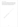her name out loud. Turning on the desk lamp, he swung his legs off the bed and held his head in his hands. For the first time in months, he opened his mouth, whispered the name "Sarah," He felt a tear slide down his cheek.

OF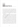### CHAPTER 8

Sleep evaded Gawler that night. He glanced at his watch. It was two AM. He was awake. Alert. Thinking about Sarah. Rather than dwelling on his memories, he decided to use his residual energy to do a little reconnaissance at the processing plant. He figured it was better to be distracted than depressed. *Ronson*, he thought, *would have a field day if he were here now.*

Slipping on his jeans, boots, a black t-shirt, and with a black bomber jacket stuffed into his bag, he headed downstairs, piled into his Humvee, and drove through the night to the plant. No one should be at the plant at this hour. It was at least five hours before the first person would show up. But Gawler listened to his gut, it was beckoning him to check out the plant. His senses called him to the scene like a crocodile picking up the scent of blood. Killing the headlamps, Gawler slipped his Humvee into a wooded area thick with shrubbery 20 metres off the road leading to the plant. The spot he chose was invisible to vehicles passing along the road. He shut off the engine and, lowered the window to allow the chill to filter into the car. The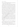silence was restful but somehow ominous. His mind started to wander again to thoughts of Sarah.

Close to twenty minutes passed while Gawler gazed steadfastly at the plant. He fixed his attention on the boomgate which gave access to the plant The night was utterly silent, but Gawler could sense the presence of movement from something not yet visible. He had to thank Uncle Donald for that one. He had taught the young Gawler how to wait, how to hide in the shadows, how to pick up the slightest sights and sounds and scents to track down the foxes they hunted. But Gawler hated guns and shooting animals. He had kept Donald company on those trips to keep the peace. Gawler didn't shed a single tear when he heard Donald had succumbed to a heart attack, but he remained thankful that the old man had taught him some valuable techniques which he still sometimes used

Gawler eased the window down. *Someone's here*, his mind raced. *They're close by.* A minute later his suspicions were confirmed. He stiffened to attention the moment the boom-gate to the plant opened. He spotted none other than Limpy leaving the plant. He was dressed in black clothing and a dark baseball cap. He hustled toward the back of the plant. Fast but not eager. Quick but still relaxed in his stride.

"*What are you up to, mate?"* Gawler whispered, an eagerness settled over him as he saw a man, who shouldn't have been working for the company in the first place, stalking around the plant in the dead of night.

The sounds of an engine spluttering to life filled the night air. A pair of headlamps cut through the darkness. A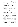Ford Fiesta, its rusting dull brownish colour providing a functional camouflage, made a U-turn from the plant and headed up the road straight towards Gawler.

Gawler watched as the Fiesta flashed past his hiding spot. He made out Limpy's face in the shadows behind the wheel as the car powered away.

He waited until Limpy was a half-kilometre down the road before he started the Humvee. He kept his headlights off and tailed Limpy until they reached the main highway leading out of town.

#### \*\*\*

Tracking at a safe distance Gawler followed as Limpy sped down the highway to an ugly industrial area about five kilometres outside the town's limits. The area was unlit. It was totally dark with industrial yards on each side of the road secured behind high wire steel link fences and guarded by growling dogs. The area seemed to be filled with car wrecking yards, second-hand junk depots and tired looking grubby little warehouses.

Limpy pulled into a carpark at an inconspicuous building set apart from the warehouses. It was showing some signs of occupation. A few cars and motorcycles were parked out front. Shadows were moving across the upstairs windows.

Gawler parked the Humvee a half block away. He had a clear view of the building. It was a double story establishment painted in black with faded purple fluorescent lights tracing the building's profile. A sign above the entrance read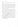Mark Ed m onds

"Spinners," in a fading and crackling glow of neon cursive letters.

Gawler waited until Limpy had entered the building before making his way toward the building. Gawler walked down the centre of the road, keeping a clear distance from the fences on either side of the road. The dogs had picked up his scent and were snuffling, moving along the inside of the fences, pawing, and scrabbling at the wire. *"Just don't bark you mongrels,"* he mused.

Gawler could not suppress a tight smile the moment he saw the voluptuous naked female bodies displayed on the posters flanking the double entrance doors. It was immediately obvious that he had arrived at a place which was ironically being promoted as a 'gentlemen's club.' *There's probably a brothel upstairs; there usually is,* he mused.

Gawler watched as Limpy casually strolled into the club without being accosted by the burly bouncer stationed at the door. He didn't pause to pay the twenty-dollar entrance fee advertised on a placard next to the bouncer's perch. *He is meeting someone*, Gawler thought as Limpy pushed the door open. Gawler thought *I've come this far; I should follow through and check the place out.*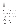### CHAPTER 9

Gawler stuck his hands in his pockets, lowered his head and tried to assume the demeanour of a guy coming to a skin joint in the early morning hours to get away from a wife who had been withholding what he believed he was entitled to from her. He deliberately tried to create an impression of appearing perhaps a little nervous combined with some self-loathing as he made eye contact with the bouncer. Thrusting his chin forward, Gawler said, "Hey," in a flat tone as he proceeded to fish out the necessary cover charge.

The bouncer, counting some notes in his hand, did not acknowledge Gawler. He was a heavy man. Big, with a tattooed balding head and rolls of flesh swelling his neck around its full circumference.

"It's twenty, right?" Gawler said as he held out his cash. The bouncer said nothing.

*Great*, Gawler told himself. *This one is going to make me work for it.* "Can I go in?" he asked.

The bouncer shook his head. "Nope."

"Why not?"

"Club is closed."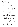Gawler huffed. "I just saw someone go in."

"No, you didn't."

"I'm pretty sure I did."

The bouncer slowly lifted his head. Eyes like slits fixed on Gawler. "Go home. The club is closed."

The thumping of the bass inside the club was palpable. Gawler felt he could virtually taste the lingering scent of perspiring bodies. The bouncer had a good twenty kilos on him. Hands the size of baseball mitts. *This brute had probably tossed out his fair share of unruly patrons. From his experience of the types who usually visited this place he probably fingered me as just another shmuck who could be dealt with by a quick backhanded swipe. Fine with me.*

Gawler discarded his bashful persona, pocketed his money, stood tall, and sighed. "I'll tell you what. I'm going to try to do this the easy way. I'm going to give you double the price of admission. That's Option A."

The bouncer pocketed his tips, clasped his hands in front of him and raised his chin. His lips tightened. "And Option B?"

Gawler shrugged, took a step forward and stared at the bouncer's barstool footrest. "Option B is a pain in the arse."

"Is that a fact?"

"It is."

The bouncer snarled. "Let's go with Option C."

The bouncer focused his bleary eyes on Gawler's face and didn't notice as he stealthily spread his feet apart. Gawler said, "There is no Option C." He hooked his foot under the barstool and swiped it out from under the bouncer. The bouncer fell backwards smacking the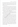back of his head against the concrete pavement with the unhealthy crump of bone hitting concrete. Gawler stepped over the unconscious bouncer and moved to the club's entrance. Pursing his lips, Gawler muttered, "See? *Real pain in the arse*."

Gawler pushed open the doors and was hit by the pungent odour of cheap liquor blended with perspiration and cigarette smoke. It washed over him like a nauseous wave. He winced and stepped into a hallway leading to the main floor. A Flash and the Pan song, "Ayla," was cranked at full volume. Clouds of cigarette smoke hung like a fog throughout the cramped establishment.

Gawler emerged from the hallway onto the main floor. Sporadic flashes of many coloured strobe lights illuminated the walls. The place was so dimly lit that his face was not clearly visible to the other patrons.

He examined his surroundings: *Bar to the left*, he clocked, *main stage past it.* He glanced to his right. *Three VIP booths. A hallway to the right of them. Bathrooms and a back office beyond that.* Gawler reckoned just shy of twenty bodies were in the club including the three pole dancers on stage. The patrons' eyes seemed glazed, fixed on the dancers in a way which made them appear demonic when hit by the strobe lights. The dancers were clearly weary, forcing themselves to gyrate like stunned heifers as they danced topless on the main stage. Gawler recognised the three dancers as the females he had observed at the gold processing plant during his tour who had been working so hard in the hot and dusty workplace. "*Tough life for them",* he mused. *"On the job day and night."*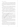Gawler scanned the crowd. He spotted Limpy holding an intense conversation with an unmistakably Russian thug in the VIP booth. Turning his back, Gawler moved to the bar and continued to peripherally observe Limpy and the Russian.

The bartender, a blonde-haired haggard looking woman who seemed just as weary as the dancers, asked Gawler what he wanted. Gawler opted for orange juice.

She snarled. "We don't serve orange juice here mate."

When she opened her mouth, her appearance immediately went south. It looked as though she had borrowed her grandfather's false teeth for the evening.

Gawler said, "Well, I'll make it water then if you don't mind".

She returned with a glass of water and slapped it down in front of him. She took his five-dollar note.

Gawler noted that the water was warm. He took a mouthful, and instantly blurted, "*Ugh*." He sprayed the water from his mouth over the haggard woman. It tastes like dishwashing water" he said. *Almost definitely is dishwashing water,* he mused. "*Smartarse. With her attitude she won't last long in this job, or any other job for that matter."*

The woman shouted down the hallway for the bouncer who had stumbled inside from his perch outside the door. He ignored her. He was preoccupied with his own issues of pain and suffering.

But Gawler wasn't bothered with what he regarded as a minor annoyance. His focus was on Limpy speaking with the Russian who sported more than ample gold bling and an ugly neck tattoo. Gawler did not recognize the Ruskie's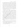face. Limpy appeared to be listening closely to the Russian. His expression seemed to show a sullen, intimidated response to what the Russian was telling him. Limpy gesticulated with his good hand, obviously explaining something in great detail. After a long and laborious bout of explaining Limpy sat back. The Russian asked him something. Limpy answered it. The Russian offered up another question. Limpy gave him an answer. The Russian nodded before waving his hand dismissively at Limpy who promptly stood up and made his way to the exit.

"*What are you up to, Limpy?"* Gawler whispered to himself. He intended to follow Limpy when he left the club. While waiting for him to make a move to the exit, Gawler studied the face of the Russian and mentally filed it away. *Limpy's in on this*, he figured. *Somehow, some way.*

Gawler had his fill of watching the weary looking naked poll dancers stumbling through their dance routine. Limpy disappeared into the shadowy hallway leading to the exit door and was forced to step to one side. The bouncer came stumbling past him in the opposite direction heading to the main floor. He looked dazed; with his eyes half closed and clutching a bloodied towel to the back of his head. Two gangsters, roughly his size were walking with him, one on either side.

Gawler was ready to leave the club. He stood from his spot at the bar, shoved his hands in his pockets, and moved towards the hallway leading to the exit.

The two hulking guys flanking the bouncer spread out as they entered the main floor.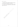The thug on the left, sporting a scrappy crop of greasy hair on his huge head, mumbled. "That him?"

The bouncer, mumbling groggily through clenched teeth, motioned with a bloody towel towards Gawler. "Yep. That's the one."

OP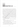#### CHAPTER 10

"Great," Gawler thought as he moved towards the hallway. The three toughs were blocking his way out. He was confronting a truckload of meat and muscle. He guessed their predatory stares had probably evolved from a life of hard knocks fine-tuned at some gladiator academy better known as a penal establishment. Their jailhouse ink gave unsubtle hints to their history. He assumed they would be itching to turn him into their personal little hand puppet.

The thug on the right with the sleeves of his shirt cut off to show thick muscle covered in fat and tattoos, cracked his knuckles. His hands and arms were jerking with some sort of punch-drunk chronic condition. "You have just walked into the wrong club, buddy."

Gawler was not amused. "You guys are more cliché than soap opera."

The bouncer puffed his chest. "Legs or arms."

"I'm more of a leg man, myself."

Sleeveless cocked his head to the side. "He was asking which ones you want broken, you punk."

"Ah," Gawler squinted as he forced a patronizing smirk. "You should have been a little clearer on that."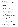Scrappy Hair took a step forward. "I say we break them all."

"Well," sleeveless said, "we're gonna be breaking something tonight." He crooked a finger at Gawler. "You ever been to prison, mate?"

Putting some space between himself and the thugs, Gawler sensed the air around the club change. He could feel the eyes of the other patrons on him. He felt the tension as if the oxygen was being sucked out of the room. He glanced to his right at the bar where a pair of half-depleted schooners sat in front of a dozing customer. *Could come in useful,* he mused.

"No," Gawler said. "I haven't been to prison."

Sleeveless and Scrappy closed in on Gawler.

The bouncer, still obviously feeling groggy retreated to the hallway. He stumbled back along the hallway towards his stool near the exit door. He stayed put, as if moving from his stool would require more effort than he could muster.

The two thugs were acting like the bouncer's slavering prized canines, eager to tear Gawler apart. The house music changed to "Serpentine Fire," by Earth, Wind, and Fire. Smiling, Gawler recalled hearing that song at a club when he took Sarah on one of their first dates, and thought, *I like that song.*

"I'm assuming," Gawler said, "that you boys spent some time behind bars."

Sleeveless and Scrappy were two metres away. Sleeveless on Gawler's left, Scrappy on his right. Scrappy grunted at Gawler: "Spent more time there than you could imagine."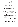Gawler said, "You know why you did?" Sleeveless asked, "Why?"

The half-depleted schooners were now just an easy reach away to Gawler's left. Arms outstretched, he said, "Because you jackasses were dumb enough to get caught."

Sleeveless lunged with his right arm outstretched. Gawler caught the guy by the wrist, held on for a split second and then let go. The thug staggered, unbalanced, uncoordinated and ineffectual and ended with a late swing that missed Gawler entirely. He then aimed a second swing straight at Gawler which in Gawler's opinion took the entire innocent until proven guilty thing right off the table. Gawler stepped left and the flying fist buzzed right past his chin. The force behind the missed shot spun the guy outward and Gawler kicked his feet from under him. This move dumped him heavily face down on the floor.

The second thug started wading in, huge thighs, short choppy steps, fists like hams, moving like an angry bull in a rodeo ring. Gawler matched the guy's charge and moved towards him with his own momentum. He smashed his elbow horizontally into the space between the guy's mouth and his hairline. It would have felt like running full tilt into a steel fence railing. Game over except the other guy was back up on his knees and scrabbling on the floor for a grip, with his hands and knees bent like a sprinter on the blocks. Gawler kicked him hard in the side of his head. The guy's eyes rolled as his jaw became disconnected from its hinge. He toppled sideways and lay still with his legs folded under him.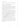Now the two guys lay together like black lumps on the floor.

"Jesus", the weary blonde barmaid said as she retreated back down toward the far end of the bar.

Gawler said, "sorry about the mess."

Looking across the club, Gawler could see that the Russian Limpy had been holding court with had departed. The rest of the patrons were either slumping in their seats or rapidly decamping from the club. He headed towards the hallway leading to the exit door.

The bouncer was at the end near the exit door leaning forward with both hands resting on his stool. He threw down his bloodied towel and moved towards Gawler. The guy was still woozy, slow and uncoordinated. As he walked past him, Gawler jabbed his elbow hard into the bouncer's gut. The bouncer doubled up and retreated backwards. It had been a tough night. He had no fight left in him.

Gawler stepped out of the club into the still night air and walked calmly down the road to his parked Humvee. The weather had remained hot and humid.

Gawler felt a burning sensation in his hand. He looked down and noticed that he had cut his knuckles in the melee. It was not a deep cut and he decided he would not need professional care. He would use the cotton, needles and thread from the medical chest in the Humvee to stitch the cut himself.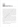## CHAPTER 11

It was early. The sun was slowly rising but already it was hot and steamy. The monsoon had not yet arrived. He could see that people were affected by the humidity, noticeably grumpy and on edge. Gawler, with his hand stitched and bandaged, gave a tight smile as he recalled the events of the previous night. He reckoned it was about a fifty-fifty shot the thugs would seek him out for revenge. But that would not happen until they had recovered and until that time came, he would focus on finding out why Limpy had been meeting at the club with the Russian.

With two take-away coffees in his insulated cup holders, he drove his Humvee to the plant. The security guy at the plant entrance recognized him and waved him towards the boom gate. The gate opened as he drove towards it. He spotted Natasha waiting outside the administration building. She smiled and waved. '*That smile, I love it",*  he mumbled. He drove up to her, killed the engine and piled out.

"Good morning Sam." she called, glancing at his bandaged hand. "What happened?"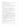Holding up his hand, Gawler opened his mouth, shrugged, and said, "Long story."

"I see. I'd like to hear it sometime when you are ready to talk. How can I help you today?"

"I came to see if you had any updates for me on the personnel files, and I brought coffee." Her passed her the cup.

She sipped her coffee. It was still steaming hot.

"Thank you," she said. "Hot. That is the way I like it. This was just the thing I needed at this hour."

"And yes, I do have something for you," she said. "The files are upstairs. I was going to fetch them for you and bring them by the pub later."

"Outstanding," Gawler said as he looked around.

Security seemed tight throughout the plant. The company was meticulous in keeping all gold secured throughout all processing systems. All personnel were checked into and out of the plant with bag searches, body tap-downs and high-grade metal detecting equipment. How any gold could be taken out of the plant was now the unknown factor weighing on his thinking.

Squinting, Gawler said, "You seemed to have beefed-up security somewhat."

Natasha nodded. "Head office stipulated these new mandates this morning. I, uh, actually thought maybe you had something to do with that."

"It's just a precaution. I wouldn't worry too much about it."

"I'm actually rather open to it." Natasha appeared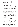concerned. Her brow furrowed. "It appears we're having some issues with the thickening tank this morning."

"What kind of issues?"

Natasha sighed. "I don't want to throw out the word 'tampering' just yet, but it's a bit dubious."

One name floated through Gawler's mind: *Limpy.*  Gesturing toward the tank, Gawler said, "You mind showing me?" With her safety in mind, he settled on not telling her what had happened last night with Limpy at the nightclub or about his suspicions concerning him.

Natasha led Gawler on a tour to the west side of the plant towards the thickening tank. Gawler laid eyes on three drum barrels with walkways thrown together on top of the drums which looked like roughly built bridges. The thickener was located in the open air at a section of the plant adjacent to the main ore crushing and processing building. Gold bearing slurry was pumped from the building to the thickener which was a large open topped cylindrical tank about twenty metres in diameter. The tank was continually stirred by a large rotating sweeper arm pivoted from the centre of the tank.

"So," Gawler said, "what appears to be the issue?"

Natasha gestured to the tank. "It keeps shutting down, for some reason. I have a few people working on trying to figure out what's causing it. I assumed you know that the slurry being pumped to the thickener was created by immersing crushed ore containing gold into a mixture of fresh water and thickening chemicals.

"The thickener will separate the two main components of the slurry. The thick gold containing component of the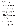slurry should sink to the base of the thickener from where it would be pumped back to the processing building for further treatment. The other component of the slurry is clear liquid. It is supposed to contain no gold and is drained off through the overflow gutter. But those in the know understand that sandy particles of gold will fall out of the clear solution into the gutter during normal operations.

"The bulk of sandy particles of gold normally float as inclusions in the thick section of the slurry. But this golden sand is only a small part of the total gold load in the slurry. The remainder of the gold embedded in the slurry is released by additional treatment with chemicals in the next stage of the process." Natasha sighed. "And this," she said, "is where things are a little, well, odd."

The top rim of the tank was fitted with a gutter through which the overflow of clear slurry was discharged to a drain. Sandy particles of gold which had fallen out of the slurry could usually be spotted in the gutter. This gutter now attracted Gawler's attention: it seemed conspicuously clean.

"There's no gold," Gawler said.

Natasha nodded. "Exactly."

Gawler noted Natasha's body language. She seemed uncomfortable as he casually examined the gutter. But she stayed cool and smoothly steered him away from the area. Gawler played along with her cool demeanour, but he now had a hint on where to look later with some closer scrutiny. *Was that you, Limpy?* he asked himself.

Gawler said he wanted to make another visit to the thickener later in the day. Natasha calmly tried to divert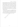him from going there again. As they moved away, Natasha offered up hypotheticals on what could be causing the lack of gold in the gutter. Gawler spotted Limpy lurking by one of the tanks glaring at them. It seemed to be a warning look. Limpy clearly didn't want Natasha bringing Gawler into this area. For a moment, Gawler wondered whether word had gotten back to Limpy about the "mishap" in the club earlier that morning. Either way, the unspoken message being relayed was that Gawler was now entering dangerous territory.

Natasha said, "I'm sure there's an explanation. We just need to work on the problem a bit more to figure that out."

Still sensing Limpy's gaze on the back of his neck, Gawler said, "I'm positive there's a reasonable explanation," as he mentally pegged Limpy as his prime suspect.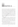# CHAPTER 12

Gawler had waited for a night he decided would be suitable for his next move. He had spent some time dining at the pub with Natasha, and then begged-off saying he had some calls to make. What he needed was a close look at anything that might be happening at the thickener late at night. The night was dark with heavy clouds. The air was still, the moon lurking behind the clouds like an actor waiting the cue to step out onto the stage. Limpy, having returned once again after-hours to do only God knew what, was fiddling around near the thickener as Gawler watched from a distance.

Gawler parked the Humvee on high ground a good kilometre from the processing plant. He had a clear view of the thickener area. From the storage locker under the floor of the Humvee he retrieved a powerful "Swellpro" drone. This was one of Gawler's basic and most essentials tools. He had equipped himself for a good long look at what was happening at night at the thickener.

This drone had been designed for fishing. It was said to be the only waterproof fishing drone engineered to deliver baits and long lines up to 1.6km from the anglers' location.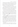This drone meant you didn't need a boat to get to the best coastal fishing spots. Shore-based anglers could extend their casting range and drop baits weighing up to two kilograms. Gawler mused, *the fish wouldn't stand a chance* but Gawler was not looking for fish that night.

The night vision telescopic lens on the drone's video camera would provide him with a clear picture of the entire thickener site from his remote viewing spot. He flew the drone high and at a safe distance from the thickener. No noise could be heard at ground level from the drone.

There was movement at the thickener. Gawler could see on his video screen that Limpy was busy, and the drone was capturing clear vision of the one-armed man at the thickener. Gawler's suspicions were confirmed. Limpy had flooded the thickener's overflow gutter with slurry by overriding the thickener's automatic controller by switching it to manual.

Gawler zoomed for a closer view. Limpy had obviously shutoff the process defect alarm signalling system. Then he had dialled down the underflow valve and simultaneously reduced the supply of fresh water into the slurry mix. This flooded the thickener with thick gold bearing slurry. Gawler could see that the thick slurry mixture had then run into the overflow gutter around the top of the tank instead of into the underflow withdrawal pipe. Under normal operations this gold rich slurry should never flow into the overflow gutter.

Gawler had a flash of understanding. He could now understand the system Limpy was using to take the gold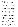product. And there didn't appear to be any security personnel around to notice what was going on.

*Bingo***,** Gawler thought. Now he understood Limpy's system for gathering gold. As the gold rich slurry flowed through the thickener gutter, sandy gold particles would be dropping out of the slurry and accumulating along the base of the gutter. After operating the thickener in this mode for a few hours during the night and then setting the operation back to normal in the morning, all that remained for Limpy to do was to reap the golden harvest by vacuuming up the golden sand particles from the dry gutter.

It seemed to Gawler that the tentacles of the mob had extended deep into the operations of the processing plant. Limpy was clearly the key to access by the mob. It was now a simple question of how far outside the plant those tentacles reached.

Gawler now realized that a significant volume of valuable thick gold bearing slurry was being wasted and lost to the company through the rigged discharge of the thick slurry into the overflow gutter which was then discharged to waste. It was clear to Gawler that the plant's gold production was suffering for no gain even to the Russians. This was part of the answer to the company's questions regarding the declining gold production.

Gawler thought "*surely Limpy and his Russian masters should realise that they could not collect gold every night by skimming the thickener. If the company got an inkling of what was happening at night, they would quickly step up their surveillance."* Gawler mused; "*The Russians should know they needed to keep it cool. They should let a few nights go by without any fiddling with the*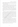*thickener. But they were greedy. They persisted with stealing the gold even though they realized that an alert would soon go out if it hadn't gone out already.*

Everyone knew that Gawler was on the site for a safety inspection, but according to the phone call he had with James before pulling up to the plant, the Russians were starting to suspect he could be snooping on them.

Gawler mused. "*The Russians are chancers. They would be hoping that snooping was not what he was doing. This time they had taken one too many chances. Basically, Gawler acknowledged, he had caught them—but he had yet to locate the gold they had stolen.*

Gawler now realized that Limpy had liberated large quantities of gold which he had removed from the thickener. But Gawler didn't yet know if the gold had been removed from the plant. If it had been taken away from the plant, perhaps it had been moved to some staging area in the town. Gawler knew his priority would now be to work at finding an answer to these questions. Secondly, he would sort out the Russians. He would find a way to clear the plant of the pestilence they had become.

Another issue bothering Gawler was that activities of the Russian thieves had implications for the environment. Nasty chemicals were being dumped into the town's water catchments. This would soon be noticed*. But none of that is of concern to Limpy or the Russians. They are criminals. You win some, you lose some as far as they were concerned*. Gawler thought, *their attitude* is e*asy come and easy go.*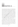# CHAPTER 13

Gawler picked up Russian chatter on the AnOm messaging channel indicating that something big was on the agenda. He had returned to the pub to check the messages. Now he was curious. He stepped out of the pub and took a stroll down the main street to see if anything of interest was happening outside. His curiosity was rewarded. Bikers were drifting into town. They were cruising around on their thundering Harleys looking for something to eat and somewhere to camp. Some of them appeared to settle on eating at the Chinese restaurant and he saw others were pitching their small camp tents at the reserve on the edge of town. Counting the heads as he saw them, Gawler thought, *One Biker, two Bikers, three Bikers four. Where there is one, there is bound to be more.*

Gawler had heard something about the event that had brought the bikers to town. According to Clint the Bartender they were waiting for the arrival of a shipment from South America of cocaine. Gawler didn't expect the bikers to stay in town for long. They would collect what they had come for from the Russian traffickers and promptly move on. They would be in a hurry to make their deliveries and collect their payment.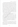The chatter Gawler had picked up on his AnOm gave him advance notice that the upcoming event of interest was the arrival of a bauxite ore carrier which was due to load at the Rio Tinto port not far down the coast. It was the Big Lilly, a Panamax 80,000-ton capacity bulk ore carrier. The loading of the bauxite onto the ship was not an event of interest to the Russians or the Bikers, what was of interest was the secret unloading of the narcotics hidden on the ship. Gawler was in the throes of working on a plan of how he would handle the situation when he received a call from Natasha. She told Gawler that she and Oleg wanted to talk with him. "As soon as possible," she said. *Progress*, Gawler thought as he chose a table in the pub's downstairs dining area for a subdued little gathering.

"Oleg," Natasha said, speaking to her brother like he was ten years old, "this is Sam, Sam Gawler."

Shaking Oleg's hand, Gawler smiled a welcome. "What would you like to eat? he said. Oleg was tall and solidly built. He said no more than one or two words at a time. Gawler and Natasha followed Oleg's lead and ordered fish and chips. Gawler waited to hear what Natasha wanted to tell him. They finished eating and in hushed tones he pressed Natasha to tell him what was troubling her.

She glanced over her shoulder. "Can we speak somewhere with more privacy?"

Gawler paid the tab and guided Natasha and Oleg upstairs to his room. He left the balcony door open to allow the cool breeze to flow through. He crossed his arms, leaned back against a wall, and said, "You have something you want to tell me."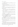A troubled look passed over Natasha's face. "The Russians frighten me."

Gawler said, "They have a tenancy to do that to people. The gangster element at least."

Looking at her brother, Natasha nodded, and said, "Tell him, Oleg."

Oleg focused on the floor and took a step forward. "The Russians," he said in a trembling voice, "asked me to do something again."

Gawler furrowed his brow. "What did they ask you do?"

"They…" Oleg shook his head, waved Gawler off and turned away from him.

"Oleg," Gawler took a step forward, "I'm here to help."

"You can trust him, Oleg," Natasha added. "He's here to fix things."

It took Oleg a moment to rally. He settled and said that the Russian thugs had pressured him to secretly work for them again using his scuba diving skills.

"Gawler said, "Did they say why?"

Natasha shook her head. "He knows why, he's done it before. It's really scary, with the crocodiles and all. Oleg told me this only two hours ago. I waited to tell you because I was nervous." She drew a shaky breath. "And this was after Limpy spoke to me."

*Interesting*, Gawler thought. "What did our one-armed friend have to say?"

"Limpy implied," Natasha said, "that something bad would happen if Oleg didn't continue doing what they needed him for." She looked away, "Then he said that I would be working in that awful club of theirs if Oleg didn't comply."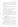Gawler tensed. It seemed that the heat he had applied recently, especially after the touch up just the other night in the club, had motivated Limpy, and whoever he was working with, to force their hand. *You don't threaten women*, he thought. *Not nice.*

Gawler forced a smile and said, "Don't you worry about Limpy. He's full of himself. He's just a pawn. He can't do a damn thing."

Natasha appeared relaxed by Gawler's reassurances. A small smile worked its way into the corners of her mouth. She said, "Thank you, Mister Gawler."

He said, "Natasha, please, call me Sam."

"Right," she whispered, still smiling. "Sam." She held up a finger. "Also, there's something else I need to show you." Reaching into her purse, Natasha produced a glass test tube, domed at one end with a rubber stopper at the open end with a string cord attached. She handed it to Gawler.

"What is this?" he asked.

"This," Natasha said, "was on the grounds when I was doing my checks earlier. Limpy had a friend stop by at lunch. A female friend. She was stumbling all over herself. She was, well, scantily dressed."

Gawler thought, *probably one of the strippers from the club?*

"I guessed," Natasha said, "she may have been drunk or stoned. She kept stumbling about. At one point, she tripped and dropped her bag. Limpy nearly lost his cool when it happened. He started yelling at her and rushed her from the lunchroom. Anyway, after she and Limpy left to do, whatever it was they were going to do, I found this tube."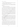Gawler, examining the tube, discovered that it contained minute particles of gold. "Well, I'll be…"

"To be honest with you, Sam," Natasha said with her eyes focused on the floor, "I've been keeping something from you."

Gawler look at her curiously.

"The truth is I actually just told you a little story, I found that tube some time ago," Natasha said. "I've been holding onto it. I wasn't sure if I could trust you enough to tell you this information, but now I think I can." She gestured to the tube. "I found that tube a couple of weeks ago before that experience I just told you with Limpy's visitor. She wasn't the first. Several of the stripper girls from that club work at the processing plant. I started watching, paying attention, seeing why they were spending time with Limpy. That's when I discovered something was happening, right out in the open."

Gawler listened as Natasha explained how each morning the girls would bring empty test tubes into the processing plant concealed within their bodies. Each night they would traffic them out of the plant with the tubes filled with gold sand and hidden inside their bodies. Limpy forced them to deliver the tubes to the drug running gang at a safe house away from the plant.

Natasha said the traffickers knew the metal detectors at the plant could not detect the concealed test tubes containing the gold. She said she understood this method of carrying the gold was safe from detection by the metal detectors. She had learned that certain metals, like gold and other metals used for quality jewellery will not set off metal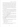detectors because they are non- magnetic. She said, "this is why when passing through airport screening you don't need to remove good-quality rings, necklaces, bracelets, and piercings if they're made from silver, gold, or platinum. The strippers had proved that this method was safe to get gold out of the plant, they had been using it for months.

"I'm so sorry, Sam," Natasha said, holding back tears. "I didn't mean to keep this from you. I was just scared, both for me and Oleg."

It was disconcerting that Natasha had been withholding this information from him. Nevertheless, he understood her reservations. Lives, specially hers and Oleg's were at stake. "It's okay, Natasha," he said. "I understand. I just need you to be forthright with me."

"I know," she said with a nod. "I will. I don't want to be stuck in the position I'm in right now, neither me nor Oleg. We want to be free of this."

Gawler said, "This is the crux of why I'm here. Now, I need you tell me everything else you know, everything that you've been holding back. That's the only way I can fix this. That's the only way you and Oleg will ever be free of this turmoil."

Natasha nodded. "Well, I believe you know well enough by now that Limpy works for the Russians."

"I figured as much."

"Well, like anyone else, he has a boss."

"Who is his boss?"

"There's a man," Natasha said, a serious expression in her eye, "and he goes by the name 'Weasel."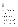### CHAPTER 14

Natasha began to explain to Gawler how Limpy was the guardian at the plant of the stolen gold sand until it had been trafficked out by the stripper girls, Limpy's mules. Limpy worked quietly alone in the laboratory and filled the test tubes with gold sand each day when nobody was around. "But the man," she said, "who pulls Limpy's string is this man named Weasel."

Pulling up a chair and gesturing for Oleg and Natasha to sit on the bed, Gawler said, "Tell me about him."

For the next few minutes, Natasha told Gawler the history of Weasel, a native of Great Britain who she had been told used to run guns in the Middle East during the 90's. She was unsure of his real name, but he was older, and though he stood just a mere, one hundred and fiftysix centimetres, he had a quiet but sinister way about him until he would suddenly start screaming and yelling and threatening to the point where everyone who crossed his path would slink away terrified. "Limpy does what Weasel tells him to do," she said. "He never questions him."

Gawler said, "When was the last time you saw him?"

"A few months ago," Natasha said. "I think he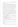communicates and pulls the strings from a distance, most of the time."

Natasha then explained that Weasel seemed to be one of the ringleaders in the Russian drug trafficking operation. He was also the key to the gold stealing system at the plant. She had a vague idea of how Limpy was skimming the gold sand at the thickener. She knew he had devised the system for stealing the sand and that the overflow gutter on the thickener was the key to the operation. That was why it was a very touchy location to be seen going near.

She said she knew that the quantities of gold being delivered were now not enough for the Russians." The drug traffickers are insatiable" she said. They were insisting that Natasha must become a mule and the strippers were working overtime. They were doing double deliveries by each day going home for lunch and trafficking the tubes of gold sand twice a day.

Gawler now realized that the drug dealers needed the gold to pay for the cocaine they were importing. And Oleg was integral to the importation.

"The only question," Gawler said, "is what exactly the Russians want Oleg to do this time."

"Limpy is playing his cards close to his chest," Natasha said as she glanced at her brother, his head down, saying nothing.

"We need to find out," Gawler said. "Did anyone follow you here?"

Natasha shook her head. "Not as far as I know. I made pretty sure."

"We need to keep it that way." Gawler said. "After my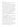little touch-up incident at the club the other night, they're probably starting to figure me out."

Natasha seemed concerned. She said, "What happened?"

"It's a long story." Gawler glanced at the cuts on his knuckles. "But the short of it is that I'm sure I pissed off a few of the local thugs who associate with our Russian friends. It's probably best you stay clear for a little while."

Natasha sounded fearful. "But Sam, I'm worried—"

Gawler held up his hand. "Nothing is going to happen to you. I'm going to keep a close eye on everything. We need to make sure we take the next steps carefully so that we don't arouse suspicion." *There's much to do*, he pondered. *First off, I need to figure out who this Weasel character is.*

Oleg said, gazing at Gawler. "I'm worried."

Gawler nodded. "Nothing is going to happen to you or your sister, I swear this on my own life. This is what I do for a living."

"I'm scared." Oleg looked away. "I don't want to do any diving jobs again for these Russians. This is crocodile territory, it's a crazy place to scuba dive."

"We're going to figure out something. I just need a little time to think it through. The important thing is that we get you two away from here. We'll need to communicate from a distance until I figure out our next steps. I don't want to draw the Russians in, at least not yet."

Natasha said, "What do you have in mind?"

As Gawler opened his mouth to reply he spotted a shadow sweeping across the balcony. He instantly realized that his plan to keep Oleg and Natasha out of the Russians' crosshairs had collapsed in the blink of an eye.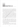### CHAPTER 15

Gawler wasted no time. In his experience being the first mover had often kept him alive. In a single step he leapt through the open door onto the balcony and crashed full-on into one of the Russian thugs, a thin but sinewy man with tattoos covering his body from knuckles to neck.

Gawler's shoulder hit the thug hard in his sternum. As the Russian gasped for air, Gawler's arm thumped into his throat, crushing his windpipe, causing a gurgling sound to escape from his mouth. The impact lifted the Russian off his feet. Aided by the momentum from the hit Gawler lifted him in a bear hug and swung him in a semi-circle before tossing him like a lump of firewood over the balcony rail.

The Russian landed onto the soft bank of the cove with a soundless thump. Gawler stepped across to look over the balcony with Natasha now at his side. They gazed wide-eyed in amazement as they realized the thump and splash of the body landing in the mud had disturbed a large crocodile lounging nearby.

The crocodile, millions of years of evolution on its side, rumbled rapidly towards the Russian who was blinking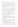and starting to regain consciousness. The Russian, looked across in horror at the crocodile. The colour drained from his face. He opened his mouth to scream, but the scream was cut short as the crocodile's jaws crunched over his head. The crocodile dragged him to the bank of the cove. Blood churned in the turbid water as they both vanished into the depths.

The entire encounter took about 30 seconds. Other than Natasha and Oleg there no witnesses. The Russian thugs would have no idea what had happened to their careless hitman. But Gawler was certain the thug would not have come alone. That wasn't how they worked. *Someone*, he thought, *will be not far behind the first guy.*

"Go," Gawler said to Natasha as he jerked his keys out of his pocket and passed them to her. "Head downstairs. My Humvee is there. Drive off with Oleg. Do a circle of the entire block. I'll meet you out front."

"But Sam—"

Grasping her by the shoulders, Gawler yelled, "*Go. Now.*"

Gawler ran swiftly along the balcony towards the corner at the end near the stairs, arriving just as the second hitman rounded the corner.

Natasha screamed. Gawler barked for Oleg to clear her out of the way. Oleg shoved Natasha to the floor as the hitman pulled an unfamiliar looking Russian pistol out of his waistband and tried to aim at Gawler.

Gawler kicked the guy hard in the groin. In footballer's terms, Gawler would have described it as a torpedo punt to the family jewels. As the hitman threw his head back in pain, Gawler lowered his shoulders and threw himself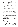at the man. His crew cut thumped hard onto the man's nose, crushing it to a pulp. The Russian was stunned. He staggered towards Gawler.

Gawler caught the Russian with both arms as he fell towards him and pushed him against the timber handrailing running along the edge of the balcony. The timber railing had been attacked by wood borers several years ago, but the myriad tiny borer holes were not noticeable to the casual observer. A while ago the holes had been painted over by some diligent maintenance guy.

Under the impact of the heavy Russian, the timber railing crumbled like someone snapping dry toast. The guy encountered zero resistance and was despatched into space. He screamed on his short journey down to the edge of the cove where he landed face down in the soft mud. The mud filled his mouth stifling his screams. His arrival disturbed another crocodile resting on the bank. It rumbled to him, snapped its jaw around his left leg and dragged him away to deeper water.

Gawler mused, "the *crocodiles around here are having a notably bountiful day*." The entire encounter went unnoticed by anyone, just like the other incident about a minute ago.

"Come on," Gawler said to Oleg. "Grab your sister and let's go."

Oleg helped Natasha to her feet. Gawler retrieved the car keys from her, scooped up the Russian pistol and checked its rounds.

They made it to the car park. Nobody was about. Gawler couldn't help but think, *Two Russians down but God only knows how many more to go.* "Get in," he said to Oleg.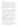"Quickly." Oleg helped a dazed and trembling Natasha into the Humvee. Gawler slid behind the wheel, cranked the engine, threw the car into drive, and decamped from the car park. He made a U-turn and barrelled off into the night. Although he was comforted with the knowledge that they had departed from the pub intact and unharmed, Gawler felt in the pit of his stomach that the demise of the two Russian thugs would be avenged sooner rather than later.

With no fixed destination in mind, Gawler headed the Humvee away from the town centre. Oleg was soon zonked out in the back seat. Natasha yawned and shifted her weight on the car seat, wincing, with some discomfort.

"You can ball up my jacket to rest your head on," Gawler said.

Natasha shook her head. "No, I don't think I can sleep. I can never fall asleep in moving vehicles." She looked in the rear view. "Oleg, on the other hand, seems to fall asleep wherever he wants."

He checked for a tail. The road behind them was clear. Outside it was blacker than a puddle of oil, only the headlamps and the sea of stars in the night sky provided any light. "We need somewhere to stay for the night," he said. "Some regular place, clean, comfortable, familiar."

A brightly lit hamburger joint loomed ahead out of nowhere.

"We all seriously need coffee," Natasha said. Let's make a quick stop-off here. We can wind down over a hot coffee and work out where to go next. I know of a very nice place where we can stay which I suggest we think about.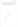From the outside there didn't seem to be much action happening inside the hamburger joint. Just a bunch of motorbikes on the forecourt, nobody wandering around outside and a small group of patrons inside.

A BOY

 $\Rightarrow$   $\frac{1}{2}$ .<br>ות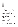## CHAPTER 16

The hamburger joint was an instant disappointment. It looked grubby: the floors were spotted with grease and unmentionable grime. An aroma of cheap liquor and rancid kitchen oil washed over them as they stepped through the door. Gawler felt as if he had been slapped in the face with the sort of stink that only a low dive could produce. Three men were talking softly at the bench on the left. There was a series of booths. to the right.

A bunch of guys dressed in leather jackets and jeans sat in one of the booths lounging, noisily eating burgers. They were big. Their skins were gnarled, wrinkled, weathered. They sported bushy unkempt beards and ugly moustaches. The patches stitched into their backs read "Coffin Cheaters." Beside each man was a woman, each one wearing her own leather gear. One of the women appeared noticeably weary, worn-down, at her wit's end.

"Oh, no," Natasha whispered into Gawler's ear.

"What is it?"

"I recognize some of these men," she said. They're with a gang of bikers who hang out in Buckleboo Creek from time to time. They call themselves the 'Coffin Cheaters.'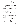They move drugs, guns, money, and everything else in-between."

"Do you think they are going to be a problem for us right now?"

Natasha shook her head. "Not if we keep to ourselves."

Gesturing towards an open booth close to the door, Gawler said "We can park ourselves here, I'll fetch the coffees. He returned with three steaming mugs and said. "That gorgeous young redheaded Barista serving the coffee is the only good thing this place has got going for it." *Well of course you would notice that Gawler,* Natasha thought.

He slipped into the booth and moved the gun from the back of his pants to his lap.

"So," Natasha said after taking a sip of the hot java, "I want to suggest a place for us to sleep tonight."

Gawler said, "Great, it sounds as though you might have a solution for us. There is still a long night ahead."

Natasha said, "We could go to the bowls club. I am a member. I can sign you both in as my guests. The club has just been renovated. It has really nice well-equipped facilities. It has a good modern dining area and a separate accommodation wing; the rooms are better fitted out than any other place around here. No Russians will be coming near the place. They were banned a long time ago for unruly drunken behaviour. This club is unusual for Buckleboo Creek. It is modern and clean. It has several rooms for guest accommodation." She said, "the club has a well-equipped kitchen with a separate bar, which for a change around here is rather sedate." Gawler said, "That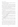sounds like the perfect place for us tonight. Let's finish our coffee and hit the road again.

"We need to stay low for the night. I need some quiet time to check my AnOm. I need to catch up with the Russians' latest plans. We must let the dust settle. The Russians are probably scrambling right now since I helped two of their men move on to their promised land. Doubtless they will eventually begin looking for us."

He tilted his mug towards her. "And I think it is obvious that you won't be making an appearance at the gold plant in the morning."

Oleg said, "I have arranged a day off work for tomorrow. The appointment I told you about for the job I must do for the Russians cannot be delayed for any reason. They have instructed me to turn up with my scuba gear and they told me that if I don't meet them on time, I can consider myself to be a dead man walking."

"They have a very nice way of putting things, "Gawler said. "I hope the crocodiles will be sleeping it off in some quiet lagoon tomorrow."

Oleg growled. "Don't make fun of me Sam. This is all about my safety; in fact it is my life we are talking about here. Right now, I feel like a sitting duck in hunting season."

Natasha sighed and tried to change the subject and settle the men. They quietly drank their coffees. The caffeine jolted Gawler's senses into higher gear. He felt a second wind, he checked his watch and decided it was time to make a move. *We need to move cautiously*, he told himself. *Natasha is right. We've stirred up a hornet's nest.* But for him,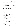that was not such a bad thing. His job, his role, was to rub out certain troublesome pestilences.

"You *slag!*" one of the biker's yelled.

Gawler's hand felt for the gun on his lap. He glanced towards the bikers and saw a big thuggish man with a beard streaked with grey standing up and wrangling the woman beside him like a ragdoll.

"Johnny," the woman said, eyes wide, her breathing strained, "I'm sorry! I didn't mean to—"

Another biker named Freddy grabbed the woman by her arms and pulled her in close. "You spilled beer all over my jeans, you *bitch*! What's wrong with you? Where's your brain?"

"Johnny—"

The biker named Johnny slapped the woman hard across the face. She fell to the floor. Gawler thought about doing something, but the last thing he needed tonight was to get into another punch-up.

"Sam," Natasha whispered. "We can't just sit here and watch him smack her around like that."

"Easy," Gawler murmured. "We don't want to step into more trouble tonight."

They watched as the woman lay curled up on the floor. The biker named Johnny stood over her, cracking his knuckles, flaring his nostrils. "I'm sick of your shit, woman," he growled. "Get up. Now."

The woman held up her arms defensively, tears welled in her eyes; "Please, Johnny. Not again."

"I *said*," Johnny growled as he tried to violently pull the woman to her feet, "get up!"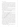Gawler looked around the hamburger joint. No one, not the other bikers, the patrons, or even the burley young burger cook attempted to look or even glance in the direction of the commotion. They seemed scared or maybe too jaded by the sight of a biker beating up on his woman. *Damn it*, he seethed. *I wish one of Johnny's gangster mates would step in to put a stop to this. Maybe they are scared of saying anything to this idiot.*

Johnny squeezed the woman's face in his meaty palm before gripping her by the neck. "You need to learn a lesson," he taunted. "We're going outside."

"*Please*," the woman pleaded breathlessly. "Don't hurt me again."

Johnny snarled. "Well, it's going to hurt worse *this* time. You're not going to walk right for a week."

A couple of the bikers laughed self-consciously; their women looked worried, they sat silently watching. Gawler could imagine what Johnny was going to do to his lady. A rush of anger came over him. Now he felt he had no option. He was impelled to put a stop to Johnny before things degenerated further. He slid the gun into the back of his pants, stood up, and stepped into the centre of the room like a cowboy ready for a showdown at high noon.

Gawler stood tall, silent, motionless. The bikers all looked in his direction. A palpable air of tension had rapidly changed the atmosphere. Johnny released his grip from the woman's neck, dropped her to the floor, and formed his hands into fists. He levelled a cold gaze at Gawler. "You got a problem, knucklehead?"

Gawler nodded. "Yeah," Gawler coolly replied. "*You*."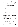Johnny snarled and took a step forward. Gawler had not moved from his spot in the centre of the room. Johnny grunted, "I'm guessing you're too stupid to know that you don't shoot your mouth off in this place."

"And I'm going to guess," Gawler said, still not moving from his spot, "that you wankers get-off by beating up your women because it makes you feel better about your problem," he gestured to Johnny's crotch, "not much good as a knob jockey*.*"

Johnny's complexion turned crimson. The vein in his forehead pulsed. He spread his legs as two of the other bikers slid out from their booth and stood on either side of him.

"You just stuffed up big time," Johnny grumbled. "*Big time*. But I'll give you a choice. I either fix you up right now or you get on your way out of here pronto. Which is it going to be?"

Gawler shrugged. "Nice of you to let me decide." He glanced at a clock on the wall. "It's getting late, it's probably close to your bed-time you crotch rocket."

Johnny rushed Gawler. He raised a fist. Gawler stood his ground. Johnny was just a few beats from throwing a punch. Gawler drew his gun, pointed it at Johnny's foot and squeezed the trigger. Nothing happened.

"Goddamned dud Russian gun" Gawler exclaimed. With his arm outstretched he pitched the gun in a fastbowling cricketer's full toss. It flew out of his hand at 135 km per hour hitting Johnny in the temple with a sickening crunch of crumbling bone. He fell to the floor, howling, clutching at his head, then he became still and silent. One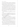of the bikers behind Johnny reached for something from the back of his jeans. Gawler grabbed the man's hand in an iron grip causing him to drop a gun to the floor. Gawler kicked the gun trying to send it towards the door.

The tip of his boot snagged the gun's trigger. A deafening shot resonated through the burger joint. Everyone in the room ducked their heads for cover as a flat nosed slug smashed a jagged hole in the cappuccino machine causing a torrential spray of steam and boiling water to spew over the biker who had just dropped the gun. The scalded biker fell to his knees. His compatriot folded and held up his hands in submission.

The entire ordeal from start to finish lasted a crisp three seconds.

Gawler said to the barely conscious Johnny who lay prone on the floor. "That is a nasty looking indentation in your skull. Those sorts of injuries can be unpleasant. You might need to get it looked at."

"Now," he said, "are we finished?"

The biker's woman was still on the floor crying. She jumped up and ran to Gawler and took cover behind him. Natasha and Oleg slid out of the booth and stood behind the woman as the remaining still standing bikers rapidly retreated toward the back of the room.

"Natasha," Gawler said, "Could you please get the car started. "The woman behind him gripped Gawler's arm. "Take me with you. *Please*. "As they left the building Gawler called to the glamourous Barista;" Sorry about the mess."

Gawler was disappointed at the way events at the burger joint had turned out. He knew that he had no choice but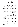to take the woman with him. There was no way he could leave her behind with the Coffin Cheaters. He nodded towards the door. The biker's woman joined Natasha and Oleg as they left and piled into the Humvee. Gawler fished a twenty note from his pocket and tossed it onto the table. He stooped and picked up the biker's gun before stepping out the door. He mused *Why do I always seem to be saying 'sorry about the mess' to people.*

As soon as he was outside, he tossed the gun in a wide arc over a brick fence into a duck pond on the other side. They heard a couple of ducks let out a squark. "*I hate guns,"*  he muttered to himself. Then a bunch of ducks commenced a cacophony of squawking to serenade them on their way.

Natasha was behind the wheel. Oleg and the biker woman were in the back seat. Gawler climbed into the passenger's side. He said, "Floor it, Natasha," Let's head to that Bowls Club you spoke about." He sighed*, "I don't know why so many people are carrying guns, they never work properly when you need them. I don't carry one. Who needs them? I have always managed without one".*

For a while they drove in silence. The woman in the back, dabbing at her red and swollen eyes. She leaned forward, and said to Gawler, "Thank you mister. Johnny was going to kill me." She looked at her leather jacket and ripped it off as though it was contaminated. She rolled the window and tossed it out, resting back in her seat as she closed her eyes.

Gawler said, "Do you have somewhere to stay?" He noticed the tattoo on her arm that read "Property of Johnny Hinchliff"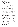"I'll figured it out," the woman said. "I can make my own way. I just need a ride back to Buckleboo Creek. I can work it out from there."

"What's your name?"

"Roxanne," the woman said. "But I go by Roxy."

"Well," Gawler said, "everything's okay now, Roxy. Just make sure you get as far away from this place as possible as soon as you can. We are going to the bowls club now to stay the night. I think it best if you come with us and you can work out somewhere to go in the morning.

"Believe me, I will. I'm just disappointed that you didn't shoot Johnny."

"I almost did that, but the gun was a dud. Typical Russian rubbish. But he'll be sore in the head for a long time. It's the least he deserves."

"They'll come looking for me," Roxy said. "They'll come looking for you, too. Johnny and his friends are connected. A few of the other biker gangs have alliances with them"

Gawler frowned. "Like whom?"

"The Mongols. The One-Percenters. They had a war going for a while." Roxy stared out the window. "That was when I met Johnny. It was two years ago. I had been thrown out of home, had nowhere to go and just started hitchhiking. I just needed a place to stay for a while. I fell in with a rough crowd at a biker pub. It only took a week before Johnny claimed me as his property and inked my arm to make it official. I've been stuck with him ever since. I've been trying to get out since I got in. I suppose I have you to thank for that."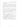Gawler asked, "Why did the Coffin Cheaters join with the other gangs?"

Roxy shrugged. "I only know bits and pieces. What I *do* know is that it has something to do with some Russians. Johnny and his buddies have been moving their product: guns, drugs, money. They're basically the mules chauffeuring their product if you want to think of it like that."

*Russians*, Gawler thought as he noticed a glint in Natasha's eye. "I'm curious," he said to Roxy as he looked at her in the rear-view mirror. "Johnny and his gang, the Coffin Cheaters. You said that they work with the other gangs transporting product for the Russians."

With a nod, Roxy said, "The Russian's pay them top-dollar."

"Then tell me," Gawler said, "have you seen Johnny or his friends transporting anything, well, unusual."

"Well," Roxy said as she narrowed her eyes, "recently, they started moving gold. Something about a processing mill or whatever, where they were getting it from. They've been keeping it in a safe house for the Russians."

Gawler turned to Natasha. They exchanged knowing looks. Another piece of the puzzle slid delicately into place.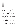# **CHAPTER 17**

A comfortable looking older guy welcomed them to the bowls club. He smiled when he recognised Natasha. "Hi George," she said. "Sorry about the late hour." Her obvious friendship with George simplified the checking-in procedure. No awkward questions. George asked, "any baggage?" Natasha replied, "No, all we have is what we are standing in. There's been a bit of a hiccup with our stuff." He gave each of them a key to a room.

"Just walk down that corridor on the right. It looks out onto the bowling greens and past that there is a great view out across Albatross Bay," he said. "If you need anything, I'll be on duty here for another hour."

Natasha asked Gawler and Oleg to come with her to her room while she settled in. "Nothing to unpack, strange isn't it". She said she wanted to chat while they wound down from their tumultuous day. Gawler and Natasha were relaxed and comfortable in each other's company as they sat closely together on the couch in her room.

Gawler said, "I can't stay long. I really need to catch up on any messages on my AnOm. I need to know what is happening with the Russians. They have lined up Oleg for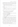something tomorrow and it could be quite nasty." Natasha turned to face Gawler. "At last, we have a little time to get to know more about each other. I just want for us to talk."

"What would you like to talk about?"

"Well, I seem to know more about you than you do about me."

Gawler shrugged. "My life's story is not all that interesting."

"I doubt that very much. Are you…are you married?"

Gawler's stomach twisted in a knot. "I was once," he said.

Frowning, Natasha said, "But not anymore?"

Sighing, Gawler said, "No, not anymore."

"Can I ask what happened?"

He grew tense. He found it difficult to think about Sarah, let alone to talk about her.

"She died," he said. "Cancer."

Natasha covered her mouth with her hand. "My God. I'm so sorry."

Gawler painfully recalled his memory of the tortuous hours and days he had spent with Sarah in the hospital as her life drained away. It had been ghastly for him to be forced to watch his once vibrant, loving partner lose her grip on life. Tears welled in his eyes, but he couldn't speak.

Reaching over, Natasha gripped Gawler's arm. Her touch was warm, delicate, caring. "I can only imagine what that's like, losing someone that you love. I can't even begin to think of what that must feel like."

Grimacing with his mouth tight and, barely open,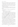Gawler said, "It stays with you," he said. "You just try your best to deal with it. It's like a sickness you must live with."

Withdrawing her hand, Natasha nestled back in her spot on the couch. "I'm scared," she said. "I'm scared of everything that's going on. We've stirred up something." She glanced towards Oleg.

With his jaw tensing, Gawler shook his head. "I'm not going to let anything happen to either of you, Natasha. I promise."

She said. "We were starting to talk about you Sam," about your life."

"Where do you live?" She asked"

"Nowhere permanent," he said.

"I own an apartment high up in the Eureka Tower at Southbank in Melbourne. It was rundown when I bought it. I got a good deal. I stripped it out completely and did a complete renovation which turned into a fabulous place to come home to." Gawler shrugged. "But I rarely get to go come home there. I am always on the move. Mining company offices in many big cities across the world and mine sites in Africa and remote sites in Australia, Brazil, India China, USA, India, Indonesia. You name it."

Gawler drew a breath. "The apartment," he continued, "has floor to ceiling windows with fabulous one hundredand eighty-degree panoramic views from the East to catch the morning sun and across Port Phillip Bay to the South and later in the day Westwards to catch the sunsets."

He explained that he had learned some time ago that his natural inclination was to be a trouble shooter. He became a freelance fixer, a gun for hire, working in the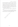dark world of undercover corporate fixing. He told her how he travelled to hot spots of corporate crime and corruption around the world. But he said that as far as his sponsors were concerned, he was anonymous. If they were challenged about something he was alleged to have done, they would claim they didn't know him. And now he had been assigned to Buckleboo Creek. He told her he was determined he fix things his way.

"And your family, Sam," Natasha said. "What about them?"

Gawler said, "I see my four brothers and sisters whenever we can get together all in one place. But that doesn't happen often because they are scattered across the world."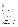# CHAPTER 18

Next morning over an early breakfast Natasha said to Gawler, "Those bikers we tangled with last night" she said, "they are truly ghastly people.

"I had a good long talk with Roxy last night. She came to my room after you and Oleg had gone. She wanted badly to talk to someone. She told me just how evil those guys are.

"She explained that the bikers claim '*ownership'* over their wives and girlfriends who can never become gang members themselves. Some of the women are even branded like dogs, I know you saw Roxy's tattoo.

Natasha said, "Roxy even told me that one girlfriend of a Life and Death gang member wears a jacket reading: 'Property of Steve.'"

"I gather that women are generally treated as secondary to the organisation, members and motorcycles. "That girlfriend of Roxy's, she said in her case she was 'property' of a club member. She had hooked up with him, a stranger on a bike. She lived the life with him for a few weeks until she got dropped off at a truck stop when he decided he had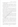had enough. He told her to return home or take off with some other stranger."

Natasha said that Roxy had told her there is a hierarchy among the bikie women, with an 'Old Lady'—a wife—at the top and strict rules on when a woman can be courted after finishing a relationship with a gang member and ceasing to be 'off limits'.

"Biker women" Roxy had said, "are very much second-class citizens in that life. These biker clubs are not democratic organizations, ruled by the many for the good of them all. They are run very firmly by men who had usually clawed their way to the top of this primal food chain, and considering the general savagery of the ordinary member, that's impressive." She huffed.

Roxy had said," When your ol' man takes you places with him or when he has company at home, you can't talk too much. Try to be friendly and polite but never, ever just jump right into the middle of their conversation. If there's anything a good man can't stand, it's a woman who talks too damn much."

Roxy then explained to Natasha that women must be outwardly submissive, be thick-skinned about sexist attitudes, and be able to get along reasonably well with the other women. She said to Natasha, "I resented the assumption that my vagina automatically rendered my intellect inferior to a person with a penis and a three-piece patch."

"The Mongols club was known for torture, murder, drugs, guns, explosives." She said. "Their reputation for violence and criminality is well deserved. "Don't believe,"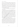Roxy said, "all the PR they might say about how they're just men who love their bikes and have a fight now and again but collect toys for kids at Christmas. But in fact, they are criminals. They are one per centres. They deal in methamphetamines, and also to a lesser extent ecstasy and cannabis. They are into extortion big time, and fraud and are always hanging out in places that are on the knife edge of criminality, like strip clubs."

"So, "who are the Mongols and what are their rules," Natasha asked?

Roxy said," They are also called the Mongol Nation or Mongol Brotherhood. Their name comes from the vast 12<sup>th</sup> century empire formed by the Asian warlord said to have killed more people than anyone else in history, Genghis Khan. The Mongols wear the three-piece patch which is central to the outlaw gang ethos and jealously guarded, to the extent gangs will attack non-outlaw bike groups who dare to wear the three-piece, which consists of the 'top rocker' with the club's name, 'bottom rocker' with the club chapter location and the central club emblem. 'Respect Few, Fear None' is the Mongols' byword.

They have established a widespread and fearless criminal enterprise through which they enforce their core business: drug dealing, money laundering, robbery and in particular motorcycle theft, extortion, firearms violations, and murder. Their allies among other outlaw bikie gangs include the Sons of Silence, the Outlaws, the Bandidos and the Finks, who share their deadly rivalry with the Hells Angels."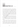## CHAPTER 19

They had finished eating breakfast. Gawler studied the scene through the dining room window which looked out over the sparkling waters of Albatross Bay. Across the glimmering expanse he could see that the bulk ore bauxite carrier Big Lilly was about to drop anchor about a kilometre offshore. He knew the ship would be waiting for official clearance for port entry and for the tug cable to be attached. Time was short for what the Russian drug smugglers needed to do.

Gawler looked at Oleg and said, "We need to make a plan right now for how to deal with that job the Russians have for you today. We need you to be strong. Just do as I say." He glanced at Natasha. "If both of you follow my lead, we'll be through the woods before the end of this day."

"Okay," Natasha said sitting bolt upright with her head held high. "What do you have in mind?" Gawler said. "Let's plan our day." The three of them put their heads together and talked through their options until they came up with what they thought could be a workable plan. They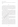then hurried out of the bowls club to set the plan into effect.

#### \*\*\*

Three people were speeding towards the Big Lilly in a rubber duckie. Two of them were Russian mobsters and the other was Oleg who was fitted out in his scuba diving outfit. Gawler was not far away. His drone was hovering above the rubber duckie as he watched the mobsters' every move on his video screen.

Gawler thought the mobster's use of this Rescue Boat was a clever move. They are rubber boats with an outboard motor used in surf lifesaving. They are used for patrolling ocean surf beaches where the surf is too powerful to operate land-based rescues. Duckies are equipped with a 30hp outboard 4-Stroke motor, with a Prop Deflector fitted to protect swimmers and the engine from rocks. They can reach a top speed of 30 knots.

Oleg had told Gawler that the mobsters' target was the sea chest on the Big Lilly, a metallic inlet below the water line. This inlet is used as the supply point the ship uses to draw its engine cooling water.

Gawler watched his video as the Duckie reached the side of the ship. Now Oleg had to do the job the mobsters needed him for. He dived overboard and felt his way along the barnacled serrations on Big Lilly's hull. He located the sea chest and reached inside. He found what the mobsters needed him to retrieve. A long thick black bag trussed with black and white striped nautical rope. The sack was heavy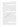and shaped like a body bag. It could well have contained one. Oleg connected a rope from the Duckie to the bag and signalled to the mobsters to haul it in—then he disappeared under the water.

Gawler had zoomed in on the scene. He had clear vision on his video screen and could see that the mobsters were busy. They had to haul the heavy bag onto the Duckie. It was then that they noticed Oleg was nowhere to be seen. He had not surfaced. Gawler could understand that the Russians had a dilemma. Should they try to find Oleg and how could they do that, or should they deliver the contraband to the heavies on shore who were clearly getting impatient.

These guys were obviously not decision makers. They chose the easiest option. They left Oleg to his fate. If necessary, he would be replaceable. Gawler watched the events on the water being videoed from his drone.

On the other side of Big Lilly, Oleg rose to the surface. He had swum underneath the ship. He now commenced to swim as fast as he could manage towards the tug which was connecting a cable to Big Lilly. Oleg was swimming hard, and it wasn't easy with his scuba gear weighing him down. He reached the tug before it started to move. He came alongside and called to the seamen on board. He asked them to help him climb aboard. As he and Natasha and Gawler had planned, he was making his escape from the Russian mobsters.

When the tug reached the dock, Gawler watched as Oleg disembarked. Oleg thanked the seamen operating the tug for the ride. He left his scuba gear on board the tug.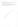He told them he would catch up with them later and said to them, "*I'll get my gear next time I see you*."

He was dressed in shorts and tee shirt as he ran along the dock. Natasha was waiting for him in Gawler's Humvee parked on the road at the end of the dock.

OF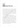## CHAPTER 20

Natasha and Oleg sped away, in the Humvee - heading towards Venus Bay, the nearest town from Buckleboo Creek. The road to Venus Bay was topped with bitumen but only up to the town edge of Buckleboo Creek. After that it was a potholed rutted and ridged dirt track. Natasha was driving the Humvee as hard as she could push it. She was crunching a path forward at a rate only a hotted Humvee could handle.

"Easy," Natasha told herself. "Just take it easy."

It was going to be a very rough ride. In the rear-view mirror Natasha could see a black Mercedes limousine following them out of town. It was trying to narrow the gap between them. Apparently, the mobsters' tentacles had the port covered. It seemed they had figured what had happened to Oleg. But a Mercedes was no match for a Humvee on this rugged track. Its suspension would disintegrate long before the Humvee had a problem.

The Humvee was kicking up clouds of dust choking the Russians in the pursuing Mercedes and making it difficult for the driver to see the road ahead.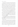Hovering above the Mercedes Gawler's Fishers drone was keeping pace and staying level with the Mercedes at about five metres above its open sunroof. In place of fishing bait, the drone was fitted with a hand grenade. The Russians in the Mercedes were not looking upwards, they were peering straight ahead through the clouds of dust kicked up by the Humvee. They did not see Gawler's drone. *Slow and steady*, Gawler thought. *Slow and steady.*

He knew had only a small window of time to act before the Mercedes would drive out of range of his drone's wireless controls. He activated the spring-loaded trigger on the drone which withdrew the hand grenade's pin.

He counted to three and released the grenade from the drone. The grenade fell cleanly through the open sunroof of the Mercedes. The Russians in the car had no time to act. They were being tossed around on the rough road like corks on the ocean. They were coughing and choking from the dust they were eating.

They didn't see the grenade as it landed beside the front seat. At the count of ten the grenade exploded sending the Mercedes and its occupants skywards in a shower of metal and body parts. The car then burst into flames destroying whatever was left.

Gawler tensed and steered the drone back to his hiding spot at the cove. He felt that he had done something that would trouble his dreams for a long time. He had just killed three men in cold blood. It was partly self-defence, or more correctly defence of Natasha and Oleg. The Gangsters didn't see it coming. The explosion had been so sudden that they wouldn't have suffered. He had just ridden the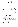world of some dangerous pests. But he was not a natural killer. It was something that he had been forced to do by circumstances and he knew he would have to live with that knowledge for a long time to come.

#### \*\*\*

Natasha slowed the Humvee, and they cruised the rest of the way along the track to Venus Bay. It was a journey of 264 kilometres and would take them three and half hours. It would be an exhausting, rough and dusty very long road trip. She had packed a change of clothes for Oleg. He changed into them as they drove.

It was going to be a long and tedious drive for Natasha. She would have time to do a lot of thinking. In the first place she hadn't relished the idea<sup>®</sup> of coming to Buckleboo Creek, but she had wanted to get away from a sleazy music teacher back in Melbourne who was pressuring her for sex. This had seriously troubled her, so she took the opportunity to come to this hick town with Oleg.

She gave up a boyfriend she had been regularly seeing back home. She was disheartened, but she had not been fully committed to him either. A bit of a mummy's boy. Now she was caught up with the Russian thugs and couldn't see a way out. She hoped Gawler might be the way out. She was also wary of him. She was drawn to him but did not want things to go too far too soon. She wondered, *could she control her urges and hold back with him?"*

Natasha thought about her life in the family as she grew into her teens and became a schoolgirl. About how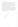her mother had gradually succumbed to dementia to the point where she didn't recognise Natasha anymore. How it was heart breaking to see her mother decline in that way. She sat for months beside her mother in the hospital as she slowly faded from a warm living person to a vegetable and to eventually pass away before her eyes.

As she wrestled the Humvee down the rugged track Natasha distracted herself from the tedium of the rough journey. She thought maybe she could help Gawler devise a strategy to cause a wedge between the Russians and the Bikers. She planned to talk with him about this idea as soon as the opportunity arose.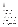## CHAPTER 21

They arrived at the Venus Bay airstrip as the sun was setting. Gawler had activated his contacts in London. A private helicopter was waiting for Oleg. It had been contracted to take him to Cairns where an airline booking had been made with Qantas for him on a flight to Melbourne. He was elated that at last he would be able to begin to relax. He would be home in just a few hours.

\*\*\*

There had been pandemonium amongst the Russian gangsters at the Buckleboo Creek pub after the mysterious disappearance of two of their number from the pub balcony immediately followed by the annihilation of three more of their guys in the Mercedes which had crashed and burned in mysterious circumstances on the road out of town. And there was the disappearance of Oleg who had been last spotted disembarking from a tug at the Rio Tinto port. The chatter on AnOn was furious.

Gawler had felt it was well and truly time to depart Buckleboo Creek. He no longer felt comfortable there. He returned to the pub and packed his belongings and tossed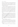them into a battered utility truck which he purloined and hotwired in the hotel car park. He pushed the ute hard as he headed out of town on the main highway to Cairns where he rendezvoused with the helicopter at a truck stop ten kilometres from town.

Gawler was heading for Venus Bay. He knew a little about the place. It has a population 416. It is a town on the eastern side of Cape York Peninsula with the Coral Sea forming its eastern boundary. Part of the northern boundary follows the Archer River, while the Venus Bay River forms part of its western boundary. All he knew about Venus Bay was that it had a hotel, a motel, a café, a general store, a post office, a police station, and a primary school.

Importantly to Gawler, Venus Bay had an airstrip 24 kilometres north of the town. His destination was the airstrip. Gawler arrived by helicopter at the airstrip around midnight. He was greeted by Natasha. She had driven the Humvee to meet him. She ran to him and wrapped her arms around his neck. She pressed herself to him. It had been a tense day. Gawler could feel a slight tremble in her body.

She said: "Will they come after us."

He said: "I doubt it. Not just yet anyway. They don't know where we are. They are distracted and have loads of problems to deal with. They may suspect us, but they would not be sure that we are responsible for what happened to their guys.

Gawler and Natasha had been booked into adjoining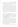rooms at the tiny motel on the edge of town. He had brought his drone packed in the helicopter with his baggage.

The rooms had an interconnecting door. Gawler checked the door. It was unlocked.

They were exhausted. Gawler slid beneath the sheets. He was naked. He always slept nude. The weather was still hot and humid. The monsoon had not yet arrived. He was soon asleep. Natasha was dog tired and couldn't sleep. She gathered her courage and went to his bed for some comfort to help her sleep. She didn't know how this could end-up, but she would try to not be tempted by him if he made a move. Anyway, he seemed to be a bit slower warming to her than she thought a man would usually be in the circumstances.

He awoke as Natasha moved softly into the room and lay beside him in the bed. She murmured, "I can't get to sleep in that room." He mumbled; "you should sleep okay here. He was lying on his side facing away from her. Her body pressed gently along his back. They fitted like spoons together and were soon asleep.

The sun was high when they surfaced in the morning. A notice on the motel room wall declared that due to water shortages patrons were requested to conserve every possible drop of water. They decided to help out the town by showering together and they skipped into the bathroom. Gawler admired Natasha's body as she stepped into the shower. She was stunning; lithe, firm, with beautiful breasts and a gorgeous arching neck.

They soaped each other under the cascading warm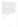shower. He stood behind her and smoothly stroked the suds onto her neck and back. He then spun her to face him as he soaped her breasts. Her nipples darkened and enlarged. They pushed out and as he caressed them, they became firm. He lifted each of her breasts and kissed and stroked her nipples with his tongue. She turned so that she was behind him and then reached around his body and soaped his chest and then his cock. She held his cock between her fingers gently squeezing it as it stiffened. She slid one finger back and forth until she felt his full shaft become firmer. Then she lightly gripped his cock and slid her soapy hand back and forth along its length until it was straight and hard. She kept her grip light and gently squeezed as she glided back and forth all the way from the swollen tip of his cock to the base.

She spun to face him and dropped to her knees.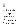#### CHAPTER 22

They pulled away from each other as the flow of water streaming from the shower tapered then stopped altogether. Gawler guessed there was probably some sort of timer on the water supply. "I think you enjoyed that shower with a happy ending" she said. "ahh yeah" he replied. "I could handle any amount of that showering."

They towelled each other dry, dressed and strolled to the greasy- spoon café they had spotted a short way down the road from the motel. It was built to resemble a converted railroad car. Narrow with a long lunch counter on one side and a kitchen out back. Booths lined the windows looking onto the street.

The woman running the register desk was huge with ballooning breasts and a massive swathe of red hair tumbling to her shoulders. The identity card pinned to her bosom said Gladys. She had big brown eyes, a huge toothy smile, a round face and a nose that looked like a parrot's beak. When she spoke, her head nodded up and down like a bird pecking seed. She was wearing a voluminous tee shirt and tiny red shorts. Her huge thighs looked like tree trunks. The cheeks of her arse poked out below her shorts. Her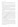Mark Ed m onds

feet were clad in what looked like bright red small canoes. She was the sort of person everybody would take an instant liking to.

Gladys cheerily served them fried bacon and eggs and tomatoes on buttered toast with steaming cappuccinos. It was a full dose of cholesterol to start the day which neither of them would usually be excited about. The coffee was hot and good. Gladys seemed nice.

Natasha softly told Gawler she had been thinking about the Buckleboo Creek situation and the problems they would need to tackle if they were sort out the Russian thugs and the Bikers.

He lowered his head and told her he was interested in any ideas she could offer. With their heads held low and their brows almost touching across the table, she whispered that she had a plan which would set the Bikers against the Russians. "If we can cause a rift between those two arms of the drug running syndicate things might degenerate to our advantage." She said. "They would not be likely to peacefully negotiate their differences, "violence is the instinctive first option for those guys. If we can stimulate them to start fighting, the whole ball game will change.", she said." So here is my plan."

Gawler's jaw dropped and his face lit up with pleasure as Natasha softly outlined the plan she had devised during that long drive along the rutted track from Buckleboo Creek.

"Yes, let's do it," he exclaimed as soon as she finished talking. "We will need to make arrangements. I will call for assistance from London right now and we can get things moving immediately."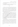He said with enthusiasm. "You know Natasha, I think you are amazing."

He Stepped outside onto the veranda and called London on his mobile. It was a lengthy conversation.

#### \*\*\*

Gladys was a chatty country girl. She asked them about their visit to the town. "Just passing through" Gawler said, "maybe stay a day or so. Maybe do some fishing." She said that Arthur Hyland, the guy who owned the motel, might be able to assist them with the fishing. She said he had a sideline running deep sea fishing tours. They thanked her and walked back to the motel.

A faded looking office in a building next door to the motel had a sign above the window Hyland's Fishing Tours. Gawler wanted to talk with the motel owner about finding a place to park his Humvee which would not be obvious from the road. He had spotted a large old semi dilapidated barn out the back of the motel, perhaps he could park there. And they could talk about a fishing tour. A fishing tour to Buckleboo Creek would be the key to Natasha's plan to screw the Russians.

Arthur Hyland was a thin pale little chain smoking balding former Englishman, Gawler thought probably in his mid-sixties. He was happy enough for Gawler to park the Humvee in the barn. There was nothing much in the barn he said, just some mice and an old tractor and some bits and pieces of fishing stuff. "That sounds fine", Gawler said.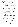Arthur asked about their travel plans. Gawler said they were from Melbourne and were passing through. He said they had driven along that terrible road from Buckleboo Creek and would probably stay a few days. Maybe go on a tour on his fishing boat if that would be okay. Arthur said, "You've been in Buckleboo Creek then. Pretty rough over there these days I hear."

"That sounds right," Gawler said.

Arthur told them he had moved to Venus Bay from Melbourne a while back. He knew Melbourne very well. Had lived there for years. He had sold a bookselling business which he had established and run for decades selling books specializing in flying saucers, unidentified flying objects, UFO's and flat earth theories. He said all of his customers were batshit mad conspiracy fanatics. After years of listening to them he said he just wanted out. So, he had sold the business and moved to this nice quiet place.

Gawler said he wanted to make a booking with Arthur to sail in his fishing trawler out onto the Coral Sea and then around the top of the Gulf of Carpentaria and down the coast to Albatross Bay to a spot not far offshore from Buckleboo Creek. He said he had seen enough of Buckleboo Creek by land and wanted to do some exploring from offshore with his drone. If Arthur could anchor in the bay for a couple of hours that would suit him fine. He reckoned it would be an overnight trip.

"No problem", Arthur said. He was happy to take on a job like that. They agreed on a cost for the trip and arranged to set sail early on a day to be set as soon as they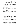had returned from Cairns where he said he and Natasha had some business to sort out.

Gawler and Natasha took a stroll around the block to look at whatever sights the town had to offer as they wandered back to the motel. Natasha stopped off as they passed the local school where a few kids were playing a game of scratch basketball.

She jumped the fence and joined the kids in their game. She cornered the ball and shot a few hoops with the kids. She was a class act on the court and had a great time playing with the kids. They loved it when she showed them a few moves and passed on some tips. The kids immediately gravitated to her. As they departed the kids called; "when are you coming back Natasha?" "Soon I hope," she said.

Natasha did not yet know that Gawler had been tracking the messages between the Russians back in Buckleboo Creek on his AnOm. When they got back to the motel, he showed her how the AnOm worked. And she learned the reason for the trip he had just organised with Arthur for some time in the following days.

He was starting to flesh out in his mind the details for plan of action against the Russians she had suggested over breakfast

He told her that he now knew that another ship was due to arrive at Buckleboo Creek, and it was not just delivering Cocaine. It was going to make a collection. The time had come for payment to be made by the mobsters for the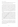cocaine that had been flooding into the town and from there being distributed right across the country.

Natasha said to Gawler that she wanted to talk with him about his attitude. She said, "Sam, you know I like you very much. That is clear. I think I am in danger of falling for you. But that is not a problem. I want you to treat me properly. I want you to tell me what is going on. You told Arthur Hyland that we were going to Cairns tomorrow but that was the first I knew of it. You are making plans that involve me and not telling me what the plans are and why you have made them. Could you please show me more respect?"

Gawler told her that he had been speaking on the phone with the James at the corporation's head office in London about the plan she had proposed over breakfast to seriously disrupt the Russians. It had been decided at the top level of the company that they would assist the Australian Drug Enforcement Authority to carry out a big drug bust against the Russian syndicate operating out of Buckleboo Creek. The unlawful activities of the syndicate were impacting on the company's operations, and they believed these things were linked with the theft of gold from the processing plant.

Gawler said he was sorry he hadn't told her yet about the trip to Cairns, but he was still finalizing the arrangements for them to meet with high level officials from the Australian Drug Enforcement Authority. This was a vital part of the plan she had devised.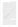He vowed he liked her as much as she said she liked him, and he wanted her to be a full partner with him as they did the work that needed to be done for the corporation. He said the other big task they had on their plate was to recover the missing gold which truly belonged to the corporation.

Gawler said that he did not think it was feasible for them to try and find the safe house in Buckleboo Creek where he believed millions of dollars in value of gold was being stored. The house was sure to be heavily guarded. The Russians would have security cameras, armed guards and dogs and whatever else they needed to protect their loot. It would need a battalion of mercenaries to breach the safe house. Gawler said, "We will wait until the Russians move the gold. If we are smart, we can have them bring the gold to us. We need to track their movements and we have the technology to do that. Then we can snatch the gold from them without having to fight a small war to get it back."

Natasha had been thinking about the direction her relationship with Gawler was taking. *She had not been able to keep her hands off him in the shower this morning. How much further would this thing she had with him go? She was wary about getting too involved with him. Should she keep a distance until she knew him better? Can I hold back?*

Natasha was relaxed with Sam now they had cleared the tension that had been creeping into their friendship. She threw her arms around him, nuzzled into his neck, kissed him and he responded with a long passionate and very wet French kiss. They tore each other's clothes off like they were on fire. She was gorgeous, firm and strong and shaped like a dream. It was frantic, rolling like nothing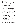could have stopped them. It was like the end of the world. They shuddered to a stop and lay gasping totally spent. Then they lay there clasped and caressing.

Gawler and Natasha had a lazy afternoon ahead of them. Gawler said he wanted to go exploring. Natasha said "Where are you going to go exploring here Sam? In this dead neck of the woods." He said "I want to explore you. I want to visit your every nook and crevice, your beauty spots, your every hill and gully, your smooth and beautiful glades." She said, "you could explore with your hands Sam. I would like a massage." He said, "That's settled then." She said, "and after that I will explore you." When they had finished with the exploring, they made languorous love again on the bed and again that night and again early the next morning.

#### \*\*\*

They were disturbed during the night by the sounds of heavy rain on the roof. The long-delayed monsoon had at last arrived.

Later in the morning they drove to Venus Bay airstrip to catch a scheduled regular flight by light aircraft for the 820-kilometre trip to Cairns.

While they were travelling Gawler told Natasha that from this point onwards the monsoon would put a halt to Limpy's gold sand thieving activities back at the processing plant in Buckleboo Creek and that the situation would be that way for at least the next couple of months.

He said the continuous heavy monsoonal rains would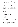flush out the gutters on the thickener keeping them pristinely clean. The gold sand could not settle out of the slurry before it was washed away by the rainwater. There would now be no make-believe work for Limpy around the thickener and no gold sand to collect.

They had been booked by the corporation into a luxury hotel in Cairns, the Shang- Re- Lar for the upcoming meeting with representatives of Australian Customs and the Government's Drug Enforcement Authority. Natasha said she adored the sights of the city and the hotel's tropical gardens and the views from their room of Trinity Bay and Marlin Marina.

The meeting in the hotel's conference room got under way mid-morning. Gawler had his work cut out explaining the situation to the sceptical drug enforcers. They were not accustomed to having civilians telling them what was happening on their turf. And they didn't really think they needed to hear about a plan to make a drug bust from an incoming cargo ship.

The meeting went all day as Gawler and Natasha meticulously laid out the details of their plan for the drug bust. It was to take pace at Gladstone, an industrial port further south down the coast from Cairns. They had trouble convincing the government guys to keep the bust secret until an interval after it happened and to forgo the usual blaze of publicity, they would get from a big drug bust.

The government guys needed the publicity, but Gawler did not. It was essential to Gawler and the corporation' plan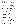that the Russian mobsters must remain unaware that their incoming haul had been busted before the ship arrived at Buckleboo Creek.

Gawler and Natasha were eventually satisfied that their long day of talking, and persuasion had been fruitful. The government guys had eventually agreed to the proposal for the bust in Gladstone in two days' time and they also agreed make some unusual preparation that Gawler and Natasha had requested which would ultimately infuriate the Russian mobsters.

They had a wonderful seafood meal at the hotel restaurant. The food was utterly fresh and delectable. They were completely relaxed with each other. They laughed at private jokes, touched, and smooched and canoodled like teenagers across the table. The tense times they had spent together were bringing them emotionally close and every minute together was bringing them closer. Gawler hungered for Natasha's body. He wanted all of her.

She fantasised about them rolling together while his cock slid and pulsed inside her. Her thoughts were making her wet. She seemed distracted as she daydreamed. She imagined lying on top of him with their damp skins blending into one. She longed to sit naked on him and glide up and down as if she was riding a pony with his swollen cock inside her. They were lusting for each other so feverishly that it was surely obvious to the restaurant staff who had been enviously watching them. They were oblivious to anyone in the restaurant other than themselves. They were preoccupied with each other. They were not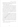honeymooners but could easily be mistaken for them. Gawler said to her, "this is supposed to be a business trip, but I think it might become business plus."

She said, "I hope so Sam."

She was breathing deeply. Slightly gasping. She said, "Sam, I need you. I want you to take me to our room, carry me to the bed and make sweet love to me all night long".

In the morning Natasha said. "I read something once about love written by an author in a letter to his lover, I think his name was Henry. I kept a copy of his letter in my diary and have carried it with me ever since. I want to tell you what he wrote to her. After I tell you what he said in the letter can you tell me if you feel that way about me Sam. This is the letter."

*'I say this is a wild dream—but it is the dream I want to realize. Love the dynamo, you with your chameleon's soul giving me a thousand loves, being anchored always in no matter what storm, home wherever we are. In the mornings, continuing where we left off. Resurrection after resurrection. You are asserting yourself, getting the rich varied life you desire; and the more you assert yourself the more you want me, need me. Your voice getting hoarser, deeper, your eyes blacker, your blood thicker, your body fuller. A voluptuous servility and tyrannical necessity. Crueller now than before—consciously, wilfully cruel. The insatiable delight of experience.'*

Sam said. "They are beautiful words Natasha. I wish I could have written them to you."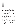## CHAPTER 23

The cattle transport ship Ocean Outback was due to take on board at Gladstone port, a load of cattle to be discharged at the Rio Tinto docks in Buckleboo Creek which would then be transported by truck to the local abattoir.

Gawler and Natasha had flown to Gladstone to prepare for the ship's arrival. They double checked on the arrangements with the local Customs chief who was overseeing preparations for the ship's arrival and the reception they had waiting for it.

They joined a group of men and women at the fuel tender maintenance dock. The people at the dock were dressed in navy blue boiler suits with black gloves and heavy steel capped boots. They looked trim and fit, ready for any action. There was a professional undersea diver with the group, fully suited and ready for work. Gawler could see on the road not far away from the dock, two manned police vehicles and another couple of unmarked cars that could also be law enforcement vehicles. A large, unmarked van was parked nearby with a couple more boiler suited guys waiting inside.

Two heavily wrapped black waterproof bundles tied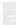with black and white shipping rope that looked like stuffed body bags were on the deck of the fuel tender. The tender left the dock and travelled the short distance to the Ocean Outback. Two of the boiler suited men on board coupled the fuel lines from the tender to the Ocean Outback. The tender had been positioned precisely above the point on the ship where the ship's sea chest was located below sea level. It would appear to an unknowing observer that a normal maintenance operation was underway. The maintenance guys commenced refuelling the ship.

The diver was lowered into the water and soon surfaced with a rope which two of the men on the tender used to haul aboard a heavy black waterproof body bag. It looked unmistakably like the two dry bags already sitting on the deck of the fuel tender. They went through the same routine and hauled another body bag on board. The diver then reversed the process and delivered each of the replacement body bags to the ship's sea chest. The total job had been seamless and swift.

The maintenance guys then declared the refuelling process complete and disconnected the fuel lines. Anybody watching would have to think that that this had been an impossibly quick refuelling job. But Gawler was here to see if anybody he recognised had been watching and he hadn't noticed anyone snooping around.

Several other men in boiler suits at the tender maintenance wharf assisted with unloading the two body bags from the fuel tender and transferred them to the waiting van which then sped away with police escorts ahead and behind. The drug seizure had been a thoroughly neat action. It had gone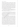off perfectly. Gawler called it a switcheroo. After a couple of weeks had elapsed the customs and drug cops would be able to hold a triumphant press conference to show the world their magnificent haul. Multi million dollars in street value of cocaine had been detected and seized and would now not be going onto the streets in many parts of Australia. Politicians would be delighted and where possible they would join the line of heroes who had orchestrated the bust. Congratulations and joy all round.

Gawler and Natasha unobtrusively slipped away. They had an aeroplane to catch tonight back to Venus Bay to set up the next stage of their project.

It was still raining in Venus Bay. It hadn't stopped while they had been away. Monsoons are like that. They slept soundly together that night in Gawler's room at the motel. She had not spent any time in her room. His room had naturally become their room.

They slept late and quickly showered chastely together to save water. This morning they restrained their lust. They carried a huge umbrella the motel provided and tripped down the road to Glady's greasy spoon cafe. Gladys was cheerful and obviously glad to see them. The other customers in the café were a couple of truckies and a sprinkling of tourists probably passing through the town. They took a pass on the fried food Glady's was offering and settled for porridge, scrambled eggs, fresh fruit salad and extra hot coffee. Gladys asked them about their plans. They told her they were making arrangements with Arthur Hyland to go on a fishing trip tomorrow and would probably be away for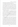a couple of days. They promised to bring back some fish for her assuming luck would be running their way.

They called at Arthur's office to settle the arrangements for their fishing trip which they wanted to firm up as a definite booking for the next day. Arthur said there were no problems, and the arrangements were agreed. Arthur told them that everything they would need would be provided as part of the deal. This included heavy duty wet weather gear, fishing tackle and baits and enough food for three days in case there was any delay returning from the planned two-day trip.

Gawler was tracking the Ocean Outback on the shipping movements web page as it travelled northwards up the eastern coast towards Buckleboo Creek with its shipment of cattle. He was also keeping abreast on Anom with the Russian mobsters who were making their arrangements to meet the ship when it arrived and to distribute the cocaine amongst the biker gang who had begun to filter back into the town.

He was anticipating trouble from the Russians when they discovered that no cocaine would be coming their way this time. The bikers would also not be happy if there was nothing forthcoming for them from the Russians. He could imagine the anger and the mutual suspicions that his actions in Gladstone would generate not only in Buckleboo Creek but further south in the cities where the drug trade flourished. He was anticipating the anger could become so intense that the infighting amongst the drug gangs and the bikers could undermine their cartel agreements. All aspects of the drug trade were run by very violent criminals whose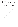MARK EDMONDS

first reaction to a problem was to settle the issue with a gun or knife.

There was not much else they needed to do until their trip with Arthur tomorrow, so Sam and Natasha decided without a lot of chatter about it that there was no better way to spend their afternoon together than to canoodle away on the bed to their heart's content. They were hungry for each other. Their lust was gnawing at them.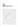Arthur Hyland's Ocean-going fishing launch was a formidable looking beast. He told them it was fully equipped for rough seas and had enough power to handle any eventuality at sea. It was equipped with a full complement of safety gear including life jackets, flares and an inflatable diesel-powered rubber duckie lifeboat. The cabin had accommodation for six people. There was a fully equipped galley. The launch had two big diesel engines below deck and sufficient fuel in its tanks for five day's continuous travelling. There would be no mistaking what sort of boat it was. A large sign on each side read Hyland's Fishing Tours. Arthur had a crew of one, a fit looking tanned, cheerful young guy Dennis, who looked about eighteen or twenty years old. They stowed Gawler's drone below decks for safe keeping. He had included some accessories in a locked box which they also needed to keep safe.

They headed north in the Coral Sea following the east coast towards the tip of the Cape York peninsular, the foremost northern point of Australia. Once they had rounded the cape they would be sailing in the Gulf of Carpentaria. They would travel down the coast southward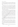to Albatross Bay where they would anchor offshore not far out from the Buckleboo Creek port to do some fishing. Not a complicated journey. They would not even need a map.

They planned to arrive at their destination by daylight the next morning. The Ocean Outback was scheduled to arrive a little later in the morning. The ship would need to follow the usual procedure of standing off from the port while clearance to enter was signalled and the tug had connected the towing cable.

They arrived at the bay in the early morning with time to spare. It was still raining heavily. Rain was not a problem to keen fishers. The fish were biting, and they enjoyed their fishing with the help of Dennis who turned out to be an expert. They stored the fish they caught in the boat's refrigerator to take back to Venus Bay for Gladys. Gawler did some reconnaissance with his drone. The Russians were preparing their rubber duckie for the arrival of the Ocean Outback.

The party on board Hyland's Fishing Tour launch continued fishing. They looked harmless enough. Gawler thought they would not cause the Russians to be concerned about them.

Natasha hadn't seen Gawler and Dennis on deck for a while. She went down the steps to the galley on the lower deck to make some coffee. The door to the sleeping area was closed. She could hear Sam and Dennis talking on the other side of the door. Sam had asked Dennis if he had a girlfriend.

Dennis was speaking. "I turn 20 years old in 2 days and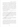I am still a virgin. I am bitter and sad about it. Whenever I see guys my age or even younger holding hands or kissing attractive girls, I feel so envious of them and feel so angry that I missed out on sex and dating when I was younger.

"I know people are either gonna say that teenage relationships don't last or that sex at that age is awkward and you don't know what you're doing first off. When I was in high school, I often saw boys make out and touch beautiful girls and holy shit I was so jealous of them. It looked so fun and pleasurable."

Gawler said, "What about other men. Do you have thoughts about them?

Dennis said," What I've found from being on the launch and talking to some of the men fishing with us is that there seems to be this fear of being vulnerable with other men who may be gay. With some men saying they find it easier being with straight people than with gay men. Which makes it sound like being a gay man is loaded.

I think many gay men don't know how to simply be with each other, in a non-sexualised way. What do you think about that sort of thing Sam?"

Gawler said, "I think everybody is a little bi. It's not like Trump saying you're either with us or with the communists. I think I'm probably bi but what I present to the world is a heterosexual man. I think internally I'm bi, but that's not something most people know. I'm not ashamed, but people are ignorant with closed minds.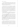"I am not openly bisexual to society except in sexual situations. I don't have relationships with men; I am in a relationship with Natasha only and love her. I'm bisexual only with men behind closed doors."

Dennis asked. "How is sex and dating as an adult? I mean for men who are in their mid-20s or older? How would you feel if extremely beautiful women wanted to be with you? I have so much fear and worries that I am gonna be a grown man and I won't have much desire for sex. I have heard of men getting bored of their beautiful wives or needing Viagra to enjoy sex. I just wish I could go back in time and try again."

Natasha quietly went to the stairs and returned to the upper deck. She forgot about the idea of making coffee.

By mid-morning the Ocean Outback had arrived and before it had stopped the Russians were at its side in their rubber duckie. There were three of them on board. One of them was wearing scuba gear which Natasha immediately recognised. "That's Oleg's scuba gear" she said. They had obviously dug up some sort of bunny to replace Oleg and retrieved the scuba gear Oleg had left on the tug when he hitched a ride on it last week.

Gawler was watching his vision from the drone as the Russians quickly moved into action. The scuba diver brought the first body bag of '*contraband*' up to the surface and dived for the second one. After both wet body bags were on board the duckie the scuba diver and the other two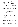Russians unloaded from the duckie what appeared from the way they handled it to be a very heavy dry bag. He dived under the water with the bag and then repeated the dive with a second similar heavy looking bag.

The gangsters were all done. The duckie headed back to shore where Gawler could see a reception party was waiting. Gawler manoeuvred the drone in closer to the duckie. He was lining it up for a bombing run.

But Gawler was in mental turmoil over what he was about to do. He was going to try and kill three living, mortal people.

*Sure, they were evil people and he hated them for what they did. He hated the misery and death their drug trading was causing. But he was not God. I am acting like a god deciding on their elimination as living mortals. Bombing them was his decision alone. No-one else had ordered him to do this. This was not some desk top game. He was acting it out on a video screen, and it was real. Those men had mothers, perhaps wives or girlfriends maybe children. If today, they died someone who loved them would hurt and grieve for them for perhaps many years to come.*

*But if he allowed them to continue in their duckie back to shore unharmed, there was nobody who would criticise him for it. But if he did nothing their deadly lives of crime would continue and the mothers and loved ones of many more innocent but misguided young people would be the sufferers. There was law enforcement in this country; it was they who should be capturing them, and the lawful process should decide on whatever punishment these thugs should suffer. He was losing concentration on what he had planned a week ago for this moment and what he had set out to do since the*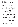*switcheroo in Gladstone. He had set events in motion which had brought him to this point in time. He knew if he was going ahead with the plan he needed to act quickly.*

The drone had been drifting off course. The Russians had looked up at the sky and had spotted the drone. He had to act now but he was dithering, he was faltering.

Natasha grabbed the controller and took over driving the drone. They both recognised that she would be better at driving, more decisive than him.

They needed to power the drone closer to the duckie and to place it directly above the Russians cowering in it. The Russians had pistols and had started firing at the drone. Their shots were panicked and random and widely off the mark.

Natasha tried to manoeuvre the drone to spoil the Russians' aim, but it was hit by a couple of lucky shots. Two of the propellors were knocked out. The drone was now out of control. It was spinning crazily. It was vertically above the gangsters when it plunged directly down into the centre of the duckie. The Russians jumped away from where it lay on the floor of the duckie. They had clearly not prepared for any eventuality like this.

The drone appeared to be totally destroyed. Gawler was starting to despair. All their planning for this moment seemed to have come to naught. As a last resort Gawler yelled to Natasha to release the hand grenade pin. He sweated on it still being functional. She calmly replied. "There's no need for you to yell at me Sam". He counted to ten as all of the crew on board Arthur's launch watched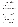and listened. The hand grenade exploded with a thump which ricocheted across the water.

"You little beauty", Gawler yelled. The explosion had blown a gaping hole in the bottom of the duckie and seriously injured the three Russians. The duckie quickly sank beneath the waves. The Russians floundered around in the water, but they were badly injured. They were bleeding profusely. Their blood in the water and their smashed flesh soon attracted several crocodiles which commenced to greedily dismember the Russians. The body bags of contraband did not seem to interest the crocodiles and they floated away.

The gang on board Arthur's launch could see and hear tremendous consternation from the Russian reception party on shore. The shore was too far away for the Russians to have seen the drone, but they had heard and witnessed some sort of explosion on the duckie and had witnessed the turmoil in the water as the crocodiles chewed up their colleagues.

The Russians desperately wanted the body bags. Those bags were their business lifeline. They commandeered a small fishing cruiser from a nearby dock and rushed to the scene of the disaster. They were able to retrieve the body bags which had floated a few metres away. It was clear to the onlookers on Arthur's launch that the Russians were relieved to be able to haul the bags onto the yacht.

Gawler and Natasha and their party had finished fishing and had packed up their gear. They cautiously started to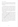cruise out of the vicinity of the disaster. They could hear piercing screams, shouting and cursing from the Russians who had reached the shore and were starting to unwrap the body bags.

They had taken delivery of a couple of dead sheep. This was not at all like what they had expected to find in the bags. Gawler was interested to watch how the Russians would now manage their massive setback. They were facing a large gang of bikers waiting in town to collect the cocaine they had been contracted to pick up and deliver. The bikers would think they had been duped. Their fury would be explosive.

Arthur opened the throttle on the launch, and powered it northwards parallel to the coastline along the Gulf Of Carpentaria peninsular, heading for home. Arthur was laughing about what had happened with the drone. He had enjoyed the spectacle immensely. He said it reminded him of his days years ago in the British Royal Air Force where he had been a navigator. He told them he had been stationed in Australia during the Korean war, and when the war ended, he had decided to remain in Australia. He said when he saw Gawler's drone crash into the Russian's duckie, he thought it was something like what a Kamikaze fighter would do. He was relaxed now with Gawler and Natasha and wanted to chat.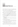Arthur told them that he knew of one guy who in days gone by would be very disappointed with this situation where a load of cocaine had gone missing.

"He was a punter from Sydney named Flower who regularly came to Venus Bay for my fishing expeditions. But he is not around these days. Went away for a spell."

Arthur said, "This guy was heavily into horse racing. He told me he had a horse called Schnitzel because that was the nickname he got when, as a 17-year-old he was hit by a car. It smashed his legs and hip, leaving him looking like a schnitzel.

"Rumours had swirled even up here about the source of Flower's wealth.,

"I'd heard the rumours, so I asked him what he did. He just talked around the question.

"So, I asked again, and he didn't respond. He just stared at me, gave me this really long, hard stare, which made it clear that I shouldn't ask a third time."

"Another fishing client, who was a mate of Flower's, told me they heard rumours about Flower's connection to organised crime. He said one day he saw an open suitcase in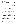Mark Ed m onds

a wardrobe at his house, stuffed with cash. "I didn't ask him about it," he said. "I thought maybe it was just gambling winnings."

Arthur said, "Rumours had been running in the racing industry about Flower's source of wealth after a television sports program ran a five-minute video profile of him and his luxurious \$4.5 million stables."

Flower said in the video "I look at racing and I love it. "I love all aspects of it, I love the racing side of it, I love the sales — I really love the sales — but the horses themselves, they're really lovely animals."

Arthur said, "The video, was set to gentle guitar and violin music, The video rolled over the dozens of thoroughbred horses and the state-of-the-art training facility.

Arthur said, "Few people would have known that this guy's racing empire was built on the global trade in cocaine.

"It turned out he had been dealing in cocaine smuggled into the country through the Russians operating out of Buckleboo Creek. He was secretly building a cocaine empire. He had bought racehorses in partnership with some famous Sydneysiders. He had millions of dollars stored in cars, houses and in a storage unit owned by an associate.

Arthur said, "Horse racing has been known to be infiltrated by organised crime figures since it commenced. The beauty about the horseracing game is that you can either buy assets individually, or you can buy them with a group of other people, which doesn't diminish your wealth, but doesn't allow asset confiscation groups to make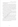a complete claim on your assets. "The criminals are able to operate in plain sight."

"When Flower was arrested, a friend of his said to me, 'One minute I'm crying, worried about a great buddy and thinking about how he must be feeling sitting there in jail. The next minute I'm so angry and just want to throttle him. I guess we will never understand what has happened."

Arthur said, "Flower once worked as a baggage handler at Sydney airport. That's where he developed his underworld connections. It was during those times as a baggage handler that he bought his first thoroughbreds.

"Flower had once been named as a racing industry leader, but his double life came crashing down when he was arrested. He later pleaded guilty to importing 228 kilograms of pure cocaine. Flower had gone from to racing royalty to persona non grata."

Arthur said, "What I want to know is what are they doing to make sure the sport of horse racing is not used as a money laundry by local and foreign organised criminals?"

"Don't ask me", Natasha said. "I'm just a violinist."

Natasha and Gawler went to have a short lie-down on the narrow bunks in the downstairs cabin. They soon drifted off to sleep to the hum of the launch's engines beneath them. It was early the following morning when they awoke from their little lie-down.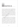The launch was pulling into the dock at Venus Bay. Arthur drove them with their haul of fish to Glady's café. They asked Gladys if she could cook them a fish breakfast. "Sure" she said, "I would enjoy doing that". They feasted on a breakfast of poached coral trout with mashed potatoes, buttered toast and baked tomatoes and bacon. Gladys said she would make up a special fish menu for the day. She would be having soup mornay and a medley of delicious sounding fish concoctions. They said they would be coming back later in the day for that.

A large television screen in the café was showing a news program from Buckleboo Creek. A female presenter and crew had been flown into the town by helicopter. They had hurriedly set up their equipment and were now broadcasting live. The reporter was a woman of mature age who had been a major presence in the past on the big mainstream channels but was now fading and working on less important broadcasts. She looked as though she had put on her makeup in the dark without a mirror as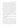the helicopter made a bumpy landing. Slightly clownish looking, but who cared? This was a big breaking story.

According to the reporter, all hell had broken loose at Buckleboo Creek overnight. Long simmering bad feelings between biker gangs and the Russian thugs had exploded when a promised delivery of cocaine had not arrived.

She said the bikers seemed grieved They had ridden hundreds of kilometres to make the drug pick-up and the Russians had let them down. The bikers had told her they had been betrayed. There had been fierce hand to hand fighting between the bikers and the Russian gangsters in the main street and inside the pub. The brawlers were fairly evenly matched, and no winner had been declared.

The camera zoomed in on Limpy wandering dazedly along the street. He had two heavily blackened eyes, a bruised and bleeding face and his was jaw was hanging loosely detached from its hinges. His speech was a slurred mumble.

The Elvis Presley look-alike bartender was stumbling around. He looked either drunk or semi-conscious or perhaps both.

The three strippers were being chased by a bunch of bikers. The strippers were sprinting, but the bikers were not built to run, they were fat and clumsy and had no chance of catching them. They seemed to be out of their natural element which was on a motor bike. The bikers turned their attention to the woman television reporter. They surrounded her. She snarled at them, and they quickly lost interest. They would be smart enough to know that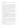harassing a reporter live on television would not be a good look for them.

Video previously recorded from the helicopter showed smashed furniture outside the pub and smashed windows along the street. A couple of motor bikes were lying burntout on the road. There were wounded bikers and Russians stumbling around on the street. The television reporter said that the bikers had now retreated to their camp on the edge of town and appeared to be regrouping.

Everyone in Glady's café was now glued watching the television. They saw a squad of bikers come thundering down the Buckleboo Creek main street. A couple of them dismounted and threw a bunch of flaming Molotov cocktails into the pub.

The fire quickly spread through the tinder dry building and soon reached the roof of the pub. Something inside the building exploded. A shower of flames and burnt pieces of timber was thrown into the air. The building imploded and was soon just a pile of smouldering timber and twisted metal.

Just then the town's small volunteer fire brigade arrived on the scene. There was not much they could do about the pub. It was gone. The bikers formed into a vee formation and angrily roared out of the town down the highway on the long return journey to Cairns which was the only decent sized town they could get to directly from Buckleboo Creek.

The television commentator said that the police presence in the town consisted of only two officers, a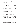husband-and-wife team, who did not have the capacity to intervene in the brawl. Reinforcements had been called for and a team of police from Cairns was expected to arrive soon by air.

Natasha told Gawler that she knew the two cops rarely left the police station. They lived in a unit at the rear of the station and spent most of their time on paperwork. They were on call 24 hours,7 days. In reality this meant calls at night and weekends were automatically forwarded to the big cop station at Cairns 800 kilometres away. Calls to Cairns were directed to a recorded message which informed the caller that all officers were busy at the moment and would attend to the matter the following day.

The next item on the television news was about a big drug bust that morning at Gladstone Port. A lot of cops, customs guys and drug squad people, and politicians were basking in the television arc lights and providing commentary on the drug bust.

Gawler took a breath and said softly to Natasha; "They are so impatient; they just couldn't wait to make that announcement. Anyway, their timing worked for us. Now the Russians will know what happened to their drug shipment and they can stop looking for someone to blame."

Gawler said to Natasha that he figured nothing had been resolved by the shooting of Capable Elwood, but the Russians could relax a little bit now that Capable was out of the way. It was also now probable that war was imminent between the drug gang's interstate over the shooting of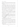'Capable' and also the other things that had gone wrong in Buckleboo Creek largely because of what he and Natasha had initiated.

After breakfast Natasha said to Gawler, "Surely the Russians would be wanting to retrieve the gold back from the Ocean Outback. They had used the gold to pay for the cocaine which had somehow gone missing and been substituted by dead sheep before the Ocean Outback had arrived in Buckleboo Creek. But of course, they knew where the gold was – it was still on board the Ocean Outback. They had put it there themselves."

She said," Obviously, your Consolidated Rutile Corporation also wanted the gold back, it was rightfully theirs. How can the Russians be stopped from getting the gold off the ship?"

Gawler said. "The Russians would have no chance of getting the gold while the ship was unloading the cattle at the port at Buckleboo Creek and then loading a shipment of sheep for shipment to Melbourne for delivery to an abattoir at Colac."

"They go into the abattoir as sheep and come out packaged as lamb chops or leg of lamb."

He told her that he knew for a fact that an anonymous caller had tipped off the customs and security detail at Buckleboo Creek port that Russian gangsters would be trying to get access to the Ocean Outback for drug importation purposes. The anonymous caller had been assured that security was being tightened at the port all around the clock.

Natasha said, I wonder who would make such a call to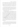the port security and the cops." Gawler winked and told her. "I wouldn't have a clue about who would do that, but the two of us will personally need to track the Ocean Outback wherever it went from here. It is still our main assignment to get that gold returned to its rightful owners."

Everything Gawler and Natasha were involved in was now in flux. They agreed they would need to make a reassessment of the situation. Gawler said he could see no option but for them to return to Buckleboo Creek. Not a very attractive idea for either of them.

"Let's sum up," he said.

"The Russian gangsters will be disorientated. They have lost eight of their gang, the crocodiles got five of them, they lost another three when the Mercedes crashed and burned and they lost their scuba diver Oleg, who of course was not a member of their gang but had had been very valuable to them. I doubt the drug trafficking consortium will send reinforcements now they know that the drug enforcement cops have cracked their shipping methodology. My guess is that the Russians will move on now from Buckleboo Creek. And the biker gangs will not be returning to Buckleboo Creek. They will not be getting the call for more drug delivery assignments from the Russians."

"That leaves us with the task of cleaning out the remaining tentacles of the Russian mob at the gold processing plant. We can sort out that situation almost completely legally without any violence or bloodshed.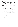"But how to return now to Buckleboo Creek? The track you drove along in the Humvee to get here is ridiculous. Three and a half hours of agonizing bumping and shaking along that road does not appeal. The track was dry when you came down, now it will be like a swimming hole in some places. There is no air link between Venus Bay and Buckleboo Creek. And we have no place to live there now that the pub is gone.

"That just leaves us with the option of Arthur Hyland and his six-bunk fishing launch. I doubt he will welcome us coming to see him again today. He will be still unpacking from our trip back this morning. But we will just have to grit our teeth and ask him to take us back to Buckleboo Creek again and to accommodate us there on his launch for a few days. They decided to go and speak with Arthur.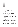"You will never believe what has happened Arthur." Gawler said. "We need to urgently return to Buckleboo Creek to tidy up some business at the gold plant. We have no way or getting there, and we wondered if you could take us back in the launch and moor there at the jetty for a few days while we sort out a few issues. You could take a well-earned break over there for a while, and I am sure you will find a few things to keep you busy while we are away at the plant during the day.

Arthur was interested. They negotiated a cost. An arrangement was agreed. They would head back out to sea first thing next morning.

Gawler planned overnight with James in London to secretly set up a snap drug and alcohol test station at the processing plant's front entrance for early the next Monday morning. The company policy was that blood alcohol and drug level for all employees was mandated at zero per cent. Breaches would be penalized with instant dismissal. But this regulation had never been policed at the plant. Weekend parties and binge drinking at Buckleboo Creek was endemic. On a typical Monday morning nobody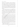reporting for work would pass a drug and alcohol test. Gawler knew he would need to ignore some test failures, or the company would have very few employees left, but they could legally terminate the people they had identified as part of the gold smuggling operation. The company could avoid any union complications and all people being terminated would be paid their full entitlements including wages owed, holiday pay and a terminated without notice settlement.

People working at the plant were accommodated by the company at the Single Person's Quarters, SPQ, and this arrangement would cease from the moment employment was terminated. Sacked workers would be assisted to immediately leave the town. They would be driven by bus to Cairns. After that they would need to make their own arrangements.

They set sail next day as planned. Arthur powered the launch Northwards up the coast of the Coral Sea. Arthur yarned about some of his life experiences. He said that he had sold his bookshop to his son-in-law, Malcolm Geitzelt, a traumatized former schoolteacher. Malcolm was comfortable talking all day with the crazy customers at the bookshop. He patiently listened to them with a far-away expression on his face not really taking much of notice of their ravings. He had told Arthur that bookshop life was a relief after what he had gone been subjected to in the tough western suburban schools in Melbourne where he had been working for years as a teacher.

Arthur said his bookshop customers had always wanted to tell him a lot of stuff about their personal lives. One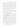guy seemed to have a new girlfriend every other week and Arthur had to hear everything about the girlfriends' anatomical features and her bedtime preferences. Another customer, a woman, seemed to be preoccupied with finding the perfect vibrator. She often told him she was testing the latest model on the market, and she insisted on explaining their features to Arthur. She turned up one day with an enormous battery-operated dildo she had just purchased. Arthur asked her if she was sure she could handle it. She said. She was certainly going to try.

Another guy seemed to be obsessed with the various types of garden fertilizer available on the market, so Arthur said he had to spend hours listening to the guy spouting the virtues of each brand of fertilizer.

And a customer who was an expert on extra-terrestrial flight, creatures from other galaxies and life in other universes told Arthur about an international conference on these subjects he had attended in Hawaii. He had been immensely impressed by the other experts he had encountered at the conference, particularly a gorgeous woman who he dreamed of fucking if he could get together with her again. He was widely read on these subjects and told Arthur about his extensive home library. Arthur asked him about his books, "What sort of books were they?" He asked. "Science fiction," the guy replied. "Well, that's fiction" Arthur had replied. "I know that "the guy replied, "But it's true fiction". "Well, I'll be buggered" Arthur said. "I've been selling books for years and I've never heard of true fiction." He asked Gawler and Natasha; "Can you see why I had to get out of that line of business?"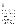Arthur's launch arrived at the Buckleboo Creek jetty at dusk. It had been raining steadily for the entire journey. It was hot and humid - normal. The sky was heavy with dark cumulus clouds. Rumbling thunder and lightning greeted them. They went for a stroll to Kristal Chung's café. Business was brisk. Customers from the defunct pub had gravitated to Krystal's place. There was the usual hubbub. The place was steamy. Wafts of Krystal's delicacies enticed them as they found themselves a table. The main view from the café was of the remains of the pub. Heaps of blackened timber beams and twisted rusty metal roof sheeting. Broken windows in the buildings along the street had been boarded up.

Krystal served them dish after dish of standard Chinese food. Standard, but cooked to perfection, beef with black bean sauce, Peking duck, honey chicken, pork knuckle and large bowls of rice. Continuous pots of Chinese tea served in delicate tiny cups.

They shared the dishes around the table. Arthur had an instant rapport with Krystal as they chattered about the food. He joked about the joys of cooking in general and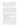asked her if the fish supply was keeping up okay for her right now. She said she needed more fish each day. Business was lot busier now that the pub had been destroyed. He said he would bring her more fish tomorrow. He told her about the feature of his launch. He flirted. He told her he wanted to bring her any amount of fresh fish.

Gawler and Natasha started work early next morning overviewing the complete staff lists of the people working at the processing plant. Natasha had a handle on most of the people who she knew had collaborated in the gold theft scheme. Gawler told her, "For a start the entire security team has to be assumed to be implicated in the gold thefts. Anybody associated with Limpy, and the strippers would also have to go.

During his safety inspections Gawler had noted some people who he reckoned just didn't fit into a typical plant employee profile. He had earmarked them as people who would need to be weeded out. Maybe there would be some errors, but it was unavoidable.

Early Monday morning a team of white uniformed drug and alcohol testing specialists had set up their equipment in a tent adjacent to the main entrance to the plant. Every worker would be tested before entering the plant. Any person not arriving for work would be visited at their living quarters by a separate team of testers who were standing-by on the ready. There was no escaping the test. People to be tested were escorted to the toilet where a heavyset mature age nurse sat on a stool next to the toilet bowl. Some men were reluctant to pee with the nurse in such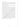close proximity. She told them not to be bashful. She was a urology nurse she said and had spent a lifetime looking at men's genitals. She said." I have seen thousands of dicks; you could not surprise me."

Women workers would experience a similar testing regime in the women's toilet.

People failing the test were escorted to a large tourist bus which drove them to their living quarters where they were allowed ten minutes to pack one bag of belongings. By mid-morning the bus was full and had departed on the long journey to Cairns. The next bus was filling rapidly.

It took a full day to test every worker at the plant. Gawler and Natasha needed to move on from Buckleboo Creek. The Ocean Outback with the stolen gold in its sea chest was due to sail for Melbourne with a fresh cargo – sheep.

They planned to have a last meal at Krystal's restaurant and then spend another night on Arthur's launch. Arthur was in great charismatic form as he entertained Krystal.

Next morning, Gawler and Natasha would be flying by private jet to Melbourne. Both Arthur and Dennis planned to stay on in Buckleboo Creek to do some more fishing and spend some quality time with Krystal.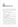Gawler and Natasha stepped through the front doors into the entrance lobby at the Eureka Towers apartment building. They were greeted by the concierge on duty behind the reception desk.

Gawler grinned; "Hi Nicole" he said.

Nicole was a buxom blonde German expatriate, about Natasha' age.

Nicole greeted him, "Hey Sam, you've been gone a while? We've been missing you."

She stepped out from behind the desk, threw her arms around him and held him close for longer than Natasha thought would be appropriate.

"Oh yeah. After I sorted that spot of bother in Cameroon, I had to meet up with an old buddy in London and since then I've been on a project up north in Queensland."

Nicole said, "Well you probably didn't hear about the big law enforcement bust down the road at Crown Casino?"

"No, that hasn't crossed my radar. What's it all about?

"Big scandal concerning money laundering," she said. "A bunch of Chinese and Russians were caught-out big time moving mega bucks out of the country. They were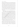flushing cash through the Crown Casino banking system by the truckload. They worked a scheme where they deposited their enormous cash "*winnings"* into their account at the casino and then transferred it onward to bank accounts in all sorts of weird little countries. By then the money was all nicely washed and clean. The word is that it was had to be drug money. None of the regulators seemed to have a clue as to what had been going on until it became too obvious to cover up any longer." Gawler said. "Yeah, I believe there has been quite a lot of cocaine coming into the country for a while now."

*Natasha thought, "Sam's not too bad at the understatement,"*.

As they strolled to the bank of lifts serving the apartments Gawler said. "I've never been the slightest bit interested in Crown casino. It is a seedy outfit.<sup>[1]</sup> think it's a blight on the neighbourhood around here. We've got billionaires jetting into the country from Asia and Europe in the casino's fleet of private aircraft on junkets sponsored by the casino. The Casino is owned by the richest guy in the country. The rich Junketers are addicted gamblers. They blow their money without a care for what is happening back home where millions of people are down to the bones of their arse scratching out a living in the steel mills and sweat shops producing stuff mostly for places like Australia.

And the local punters from the outer suburbs of Melbourne roll up in their thousands to the casino to throw their money into the poker machines thinking they can actually win some money. Usually, they end up broke and miserable stumbling out of the place wandering dazed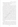along the river promenade just outside trying to figure out what had just gone wrong in their lives.

"Cheer up Sam," Natasha said. "Let's work off some of your misery upstairs in the gym."

They stepped into a lift and Sam pressed the button for the fifty sixth floor. The lift stopped at the tenth floor which Natasha saw housed the gymnasium and pool. A lithe, shapely young brunette stepped into the lift. Her outfit left nothing to the imagination. She broke into a huge grin when she spotted Sam. "Hi Bonnie," he said. She wrapped her arms around him and enthusiastically leaned in pushing her body against him causing him to sway backwards until he was pressed back against the lift wall. Natasha thought, *"Bonnie is acting as if they were the only two people in the lift.* Still holding him close Bonnie said, "Where the hell have you been Sam. You just went away one day and disappeared on me." He said, "Work, Bonnie, you know how it is." Natasha thought, *"her arms are like octopuses' tentacles*, *Sam seems to be a little embarrassed, well so he should be*." Sam broke free from Bonnie's arms and said, "this is my colleague, Natasha." Bonnie glanced at Natasha and turned back to Sam whispering, "how could you leave me just like that, you beast Sam?" As she got out of the lift at her floor she said, "I do hope we can catch up again soon Sam."

Natasha thought "*Sam seems to be super friendly with some of the women around here. But he has always been giving me the impression that he hasn't been near a woman since his wife died. Maybe I'm imagining things about Sam and these women that are not as real as they appear. Perhaps he regarded these women*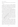*as just a sort of casual fling and he had no emotional commitment with them."*

Natasha was swept away by Gawler's Southbank apartment. It was as sumptuous as he had described. Lush furnishings, floor to ceiling windows in every room with views from the main living room out across Port Phillip Bay. They could see several freight ships anchored in the bay waiting for clearance to enter the docks.

He showed her around the apartment building. It featured a large well-equipped gym and heated pool. There was a fancy restaurant on the top floor. The staff at the building welcomed Gawler home. They seemed to know him well. He introduced her to the building managers, the other concierges, the security people, and the cleaners.

Gawler had arranged for a technician to install a powerful telescope in the living room fitted with a smart camera. The camera was programmed to focus on any ship in the bay and detect abnormal activity by anyone getting close to the hull which would trigger an alarm. He said they would be paying close attention to the hull of the Ocean Outback when it arrived.

They bumped into a neighbour in the hallway opposite Gawler's apartment, John Kanzius. "Hi John" Gawler said. "I'd like you to meet my colleague, Natasha. "Wow smashing," John breathed quietly to himself. He caught himself and said, "By the way, that little black cat you left with me when you went away is doing okay. She seemed morose for a while, just listless, seemed to be missing you. Whenever I came in the door she sat staring at the door.

 $-164-$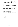She seemed to be expecting you to be coming through the door behind me. But she has settled down. Now she is my special little buddy." Gawler said. "I hope I can catch up with her while we are here."

John told them he had been busy. He said he had invented a cure for cancer which the cancer "empire" had missed. He said he a had a theory that radio waves would destroy cancer cells. He had constructed a machine in his garage out of used pie tins. Sure enough when the bottom of a pork sausage was shot with radio waves it cooked, but the top remained cool. He said he had passed his findings onto several university laboratories which reported back to him that they were very interested.

After they said goodbye to John, Natasha whispered "fascinating neighbours."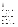Gawler told Natasha that he believed the Russian gangsters in Buckleboo Creek been virtually wiped out. They had departed town. The information he had was that word had soon spread in the Australian criminal world that the Russians had decamped from Buckleboo Creek and the stolen gold was on its way to Melbourne hidden somewhere on the Ocean Outback.

Gawler said that he expected that tentacles of the Russian consortium would try and retrieve the gold when the ship arrived in Melbourne. But he knew a number of feuding gangs in the city had other ideas. They would set out firstly to eliminate the few Russian Gangsters remaining in Melbourne and then attempt to seize the gold.

A vicious gang war had already erupted. It was played out nightly on the television news. The Melbourne criminal gangs had united basically to take down the Russians. But their unified approach quickly degenerated into hostility and then a war between the gangs. They had many old grievances to settle. Commencing from the day Gawler and Natasha arrived in Melbourne, underworld identities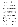were being killed more frequently in the streets and in their homes.

Natasha was looking up on-line restaurant reviews. She suggested to Gawler that a restaurant, La Porcella, on Rathdowne Street in Carlton seemed like a great place for a meal.

It was a cosy restaurant, popular with the Carlton crowd, friendly waitresses, reputed to serve excellent pizza. They chose a table by the front window and ordered coffee while they looked over the menu. The waitress told them it was a quiet lunchtime today.

It was easy to spot Mick Gatto outside on the street. He was a notorious member of the Melbourne underworld. They saw him approaching the restaurant. A huge, formidable figure, walking like he owned the street, tugging ostentatiously at the lapels of his black suit and letting the fabric fall over his imposing figure. Gawler had read in the news that Gatto classed himself as an industrial mediator. He would tell his clients that for a price everything was negotiable between gentlemen.

Gatto entered the restaurant and was soon joined by Benji Veniamin, A dangerous looking heavily tattooed 28-year-old hitman. He was dressed very casually in cutdown jeans, tee shirt and heavy work boots.

Gawler told Natasha that his information was that it was well known in criminal circles that Benji was the chief suspect in five gangland murders. He had blown away two of his best friends Dino Dibra and Paul Kallipolitis over drug deals gone wrong.

It was obvious that Benji and Gatto had business to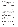discuss. Gawler and Natasha watched as Benji and Gatto ordered pizza and got straight down to business. They could hear them growling at each other. Gatto said." I've got to be careful of you."

Benji said" You're a mate of mine what are you talking about."

Gatto said. "Well, you know, I'm talking about Paul and Dino – they were your mates too. You grew up with them."

Benji said." Mick, they were dogs …I'm dirty, they deserved it, they were definitely filthy."

Gatto told Benji he thought it was a good time to bust up their friendship because he no longer trusted him. Gatto was looking closely at Veniamin. Fury had now engulfed Benji's face. He looked hot in the cheeks, he bared his teeth, his eyes were wide open bulging, and his voice had become a high-pitched whine. They stepped into the pantry at the back of the restaurant to talk things over.

Alone with Gatto in the confined pantry Veniamin went off about rumours that he had killed "The Munster", a friend of Gatto's who had been shot last week. He yelled "We had to kill Munster and you too."

Gawler and Natasha could hear them shouting. They could see them through the open pantry entrance. Gatto who was packing a gun, never saw where Benji's gun came from, but he only had a second to act. He lunged at Benji and grabbed his arm. The gun went off sending a bullet past Gatto's head. What happened next was a desperate struggle for survival.

Benji had his hands on the trigger. Gatto squeezed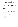his hands forcing Benji to pull the trigger. Bullets were embedding themselves in the walls of the restaurant. The waitresses fled out into the back lane. Gatto pushed the gun towards Benji who pulled him off balance causing Gatto to fall on top of him. The gun went off again twice. Two shots entered the back of Benji's head.

Benji Veniamin lay on his back on the floor of the restaurant coughing and spluttering blood. Sirens could be heard approaching.

Mick Gatto decided to decamp. As he headed for the door Gatto yelled to Gawler and Natasha. "You saw that. He died because he just pulled a gun on me."

Natasha said she no longer felt like eating pizza and wanted out of the place.

They stepped outside onto the footpath and caught a passing taxi back to Gawler's apartment where they decided to clear their heads by going for a workout in the gym.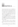The early morning television news was running the story of Benji Veniamin's demise. Details were announced of plans for an underworld extravaganza funeral at St Andrews Greek Orthodox Church in Sunshine followed by a burial in a gold-plated coffin at the most extravagant grave ever seen at Keilor Cemetery. The arrangements were being organised by Carl "baby face" Williams. Benji had been "baby face's" bodyguard and was rumoured to be actually going after Mick Gatto on his behalf.

Two other underworld deaths had occurred overnight. Milorad Dapcevic went missing from the Dome Nightclub in South Yarra where he had gone for a routine night out with friends. His mutilated remains were found at Koonya beach near Frankston together with body of Charles "Mad Charlie" Hegyaljie.

Gawler said to Natasha." It looks as though the elimination of the Russian Crime Syndicate and their associates in Melbourne by the local drug gangs is gathering pace."

The Ocean Outback was due to arrive in Melbourne to unload the sheep destined for the abattoir in Colac and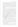to take on a load of camels bound for Saudi Arabia where the gold in the ship's sea chest was to be collected by the international drug dealing consortium. Gawler was keeping a constant watch on the shipping movements on the bay.

Gawler and Natasha spent a lazy day watching the Australian Open tennis at the nearby National Tennis Centre followed by an evening at the opera at the Melbourne Arts Centre.

The alarm on the smart camera sounded early next morning. The Ocean Outback had arrived overnight and without delay was receiving attention from a group of men who had arrived alongside the hull in a speedboat. One was equipped with scuba diving gear. Gawler and Natasha watched as the two body bags of gold were hauled into the speed boat. They jumped into a taxi at the rank outside the apartment building and made a very fast trip to Port Melbourne docks. They arrived as the body bags were being transferred by three big thuggish biker type guys from the speed boat into a sinister looking black van. Two Harley Davidson motorcycles with leather studded Bikers were parked nearby ready to escort the van.

They directed the taxi driver to trail at least four car lengths behind the van through the inner-city traffic. Trams, trucks cars and buses gave them good cover. It was a short journey to a dark narrow lane in inner city Brunswick. The van stopped outside a fortified dingy looking concrete building. A small sign on the front said Gold Stackers Smelting.

Two more bikers were waiting outside the building. The four bikers formed a cordon around the van as the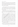thuggish guys carried the body bags into the building. Gawler and Natasha paid off the taxi and strolled down the lane past the gold smelting building. Their presence was closely watched by the gangster bikers who were standing guard outside the building.

At the end of the lane, they turned into Lygon Street, a larger thoroughfare with a lot of traffic They found a nearby coffee shop called the Red Rose. The staff looked like university part timers, young, ultra-casual, scruffy, tattooed, friendly.

Natasha took a deep breath and relaxed as they sat at a table near the window. She said she had been spooked going down that lane with the bikers and gangsters watching them.

Gawler said. "It seems that the Russians are still controlling the gold. Apparently thy are getting the goldsand smelted into ingots which would be negotiable anywhere in the world. Gold-sand in test tubes would be not so negotiable. The local gangsters would be looking for the gold, but they probably did not yet know what the Russians were doing. The Russians would need to quickly get the freshly smelted gold ingots back onto the Ocean Outback before it departs. The Russian criminal consortium had planned for its safe shipment to Saudi Arabia. They have probably planned to do a turnaround of sand to ingots overnight."

As the black van drove away, the four bikers stationed themselves om watch outside the Gold Stacker's building.

Next morning the television news reported that there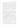had been a drive-by shooting in the early hours outside "Bubbles" nightclub next door to the Red Rose Café in Brunswick. Natasha said. " That's the café where we had been relaxing last evening." Four people standing outside the night club had been mowed down by shooters from an unidentified car which had sped away. It was reported on the news that the men had been working nearby and had taken a break at a quiet time in the early hours of the morning to visit the night club. The victims were Grado Manella, Richard Mladenich, Paul Kallipolitis and Mario Condello.

Natasha said the images of the four victims looked very much like the bikers they had seen yesterday working as guards outside Gold Stackers. In an interview, a Homicide squad detective said the men were known to the police. He said investigations were underway to determine whether the killings were related to an ongoing gang war.

Gawler and Natasha decided on a slap-up breakfast at Pure South, a restaurant downstairs from the apartment building. The restaurant had a brightly lit spacious open plan dining area with an island bench type rectangular serving area in the centre. In the front were large open windows opening to Riverside Promenade. Throngs of early morning strollers were passing by. The restaurant claimed to specialise in fresh produce air freighted daily from Tasmania and nearby islands.

They perused the menu. Gawler chose the Big Brekkie -poached eggs, Scottsdale rare-breed bacon, mushrooms, avocado, tomato relish on toasted sourdough.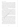Natasha went for the oyster mushrooms with eggplant sambal, spinach, poached egg on olive plus rosemary bread.

News of the pending arrival of the Ocean Outback had hit the local news media. Gawler and Natasha spread the Age newspaper in front of them on the breakfast table. A headlined article said Australia would begin exporting thousands of live camels to the Middle East following the introduction into service of a new purpose-built shipping vessel, the Ocean Outback.

The article said the ship had been converted by one of Saudi Arabia's wealthiest businessmen. It was due to arrive in Port Melbourne after being launched recently in Singapore. "The ship features super-sized doorways and two decks designed for adult camels." The article said. The item stated that a businessman, Hamood al Khalaf, made the investment after learning that thousands of feral camels were being shot in Australia because of environmental damage in the outback.

"The Federal Government had culled about 160,000 camels over four years as part of a \$19 million program that ended last year. "The feral camel population was estimated at one million at the start of the cull. "Livestock Export director Graham Daws said the trade in camels had been held back by the lack of a purpose-built vessel. "It is very exciting," he said. "There is a whole new business there."

"Mr Khalaf had spent \$50 million converting the Ocean Outback for sheep, cattle and camel exports and on associated infrastructure in Australia and Saudi Arabia. "Mr Khalaf had now chartered the vessel for camel shipments to the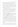Middle East, following a breakthrough agreement between Saudi Arabia and Australian to reopen live exports."

Gawler said he had heard overnight from head office in London some news about the drug cartels: "There seems to be a Mafia war going on in Europe and we are caught up in it here in Melbourne. The gold being shipped from Melbourne to Saudi Arabia on the Ocean Outback could be well be part of the mafia war."

Gawler's neighbour, John Kanzius stepped into the restaurant. He spotted them and joined them at their table. Gawler asked him, "Have you heard anything about the Mafia war that seems to be hotting up around here?"

"Oh yeah," he said," I've been keeping up to date through my relatives overseas."

He said, "Two powerful Mafia clans with headquarters in the Montenegrin port city of Kotor went to the mattresses six years ago. An uncounted number of people—well into the hundreds— have since died or disappeared.

"The war reached Western Europe several years ago. Recently two men were found dead in the northern German state of Brandenburg. A Montenegrin mafioso was shot and killed in front of a Viennese schnitzel restaurant."

John said, "even Montenegro's thick prison walls offered no protection. A sniper in the hills above the prison blew away a 34-year-old drug trafficker belonging to one of the mafia clans while he was taking an evening walk in the prison yard.

He said. "It seems that now the war has reached Melbourne. "Not much is understood yet but what the cops seem to know for sure, is that the Russian Oligarchs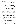and the Mafia and the Cabal are now firmly in control and are calling the shots. "Some people are saying the world will be changed according to the whims of Putin and the Oligarchs.

"The Authorities in Saudi Arabia just foiled a plot to smuggle 1.8 million amphetamine tablets hidden in spice containers into the Kingdom, the country's latest drugrelated crime.

And two Syrian residents who were the intended recipients of the drugs were arrested in Jeddah.

Gawler said people are asking; "What is really going on? Have Putin and the Russian Oligarchs masterminded everything? Do they now hold the key to the future? Is there a massive 'deal' in the works, where Russia takes back its lost 'states', like Ukraine? And does Israel get a final 'deal' for the West Bank, all masterminded by Russian Oligarchs? What is really going on?"

John said, "Only time can answer those questions of yours my friend."

After breakfast Gawler and Natasha went for a workout at the gym. They were joined as they entered the gym by Michael, a tall slim very fit looking Chinese guy – clearly gay. Gawler nudged Natasha and muttered in an aside, "This guy is a wealthy banker with connections at Crown Casino." Gawler and Michael greeted each other warmly. They seemed to have a lot to catch up on.

Listening to them talk, Natasha sensed that they seemed to exude a sense of male competition, like preening male peacocks or even the Adonis complex. They seemed to her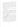to be more visually oriented than women she knew. They were subtly competing with one another like males in the animal kingdom. She mused, *"how many times have I seen couples where one partner has the money, and the other partner* has the looks? It can be a source of competition or even resentment *of what the other has that he lacks. Each of them wants to make themselves attractive to the other, but also wants to be recognized and admired in his own right."*

Natasha mused, *"But is there is such a thing as a reasonable or healthy narcissism?*"

Listening to them chat, Natasha got the impression that Gawler and Michael worked out together*, "maybe they served as each other's stylists, and debated the latest, most effective grooming products*." She thought, "*sometimes male culture is one big relentless beauty contest. I know it can provoke eating disorders and sometimes steroid abuse.*

She was in a dilemma about how she could relate to Gawler's now obvious dual sexual orientation. She had been pondering this issue for some time, since she had seen how he related to Dennis. "*Am I comfortable with it? Should I tackle him head-on about it? Will I never be exclusive with him? Will I always be just one in a crowd of his admirers, male and female? If I interrogate him about it, will I lose him?"* She was in a quandary and moved away from Michael and Gawler to carry on with her work-out*. I feel so alone when Gawler is acting like this. I just don't know how to handle it."*

\*\*\*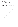MARK EDMONDS

Later that morning the smart camera in Gawler's apartment sounded the alarm. The speed boat was back alongside the hull of the Ocean Outback. The scuba diver was busy. Gawler and Natasha watched as the heavy gold ingot filled body bags were returned to the Ocean Outback's Sea chest.

"We need to act fast now" Gawler said. He made couple of phone calls and Natasha called Oleg.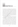# CHAPTER 32

They rushed by taxi to St Kilda jetty. They were met by the same technician who had installed the telescope and smart camera in Gawler's apartment. This time he was wheeling a large timber crate. Oleg was at the jetty with Natasha's father who had moored his fishing boat nearby. He had his fishing gear and bait ready for action. They headed out into the bay towards the Ocean Outback and anchored fifty metres away from the ship. They set up the fishing gear and cast their lines. But getting a nibble from a fish was not their top priority at this moment.

The technician withdrew an under-water drone from his wooden crate. It was controlled through a two-hundredmetre-long electronic cable operated from the fishing boat.

The technician lowered the drone into the water. It was now invisible from above the surface. Using his video controller, he powered the drone to the hull of the Ocean Outback. He quickly located the sea chest and using the drone's retractable claws he removed one of the body bags. He then steered the drone to another nearby ship which was also anchored waiting for clearance to dock at the port. This ship was the Maehurst Madrid, a container freighter.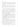It was scheduled to load a cargo of containers the following day. According to the published shipping schedule Gawler was perusing on his mobile phone, this ship was destined for Singapore.

The technician stored the body bag in the ship's sea chest of the Maehurst Madrid and returned for the second body bag which he then also secured inside the ship's sea chest.

Gawler yelled, "Job well done; Mission accomplished.

"At last, we have seized control of the gold away from the Russian drug traffickers and their associates. Neither the Russian drug consortium nor the Melbourne drug gangs will have the faintest idea of what has happened. They will undoubtedly keep fighting each other over the gold but there can be no winner."

Gawler had his phone in his hand. He said he now needed to speak with his sponsors in London James Wallbridge. He said he would ask James to urgently organise talks between Consolidated Rutile and management at the highest level of the company which owned the Maehurst Madrid to arrange for the insertion of Natasha and himself on board Maehurst Madrid as passengers.

Gawler said. "While we are on board, we can keep a watchful eye for anything that could imperil the storage of the hidden gold during the journey to Singapore. Once the ship arrives in Singapore, we can supervise the removal of the gold from the sea chest on the ship and its subsequent deposit into the corporation's bank account."

Gawler said," Consolidated Rutile is a major customer of many shipping companies." He was of the view that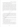the arrangement for their inclusion on board as passengers should be a straightforward negotiation.

James soon returned Gawler's call. He said everything had been fixed with Maehurst Maritime Inc, the owners of the ship. Gawler and Natasha would travel as civilian passengers to Singapore departing sometime tomorrow after completion of the loading of a consignment of containers. They gave up on the notion that they might catch some fish. The retrieved the drone and stored it on the little fishing boat. Unfortunately, no fish seemed to be biting today. Natasha's father powered the boat back to StKilda jetty.

#### \*\*\*

Gawler wanted to get to know Natasha's father. They all went back to the apartment for a get- together celebration. It would also be a farewell party. Natasha and Gawler would be departing the following day for a short trip to Singapore.

The following morning the television news reported that the Melbourne gang war had continued unabated overnight.

Alphonse Gangitano 40 had been shot dead in the laundry of his Templestowe home.

Bankrupt fruiterer, Joseph Quadafa,57 was gunned down in a supermarket car park.

Kickboxer and hot dog dealer Michael Marshal was shot in front of his five-year-old son after stepping out of his car outside his South Yarra home. Housam Zayat, 32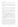was forced from his car and shot dead in a paddock near Werribee.

Gawler said to Natasha. "Listening to the European names of these now deceased gentlemen I think we can assume that they were connected with the Russian drug consortium.

Gawler and Natasha took a taxi to the Port Melbourne docks where they boarded the container ship, the Maehurst Madrid.

From the outset the ship was a disappointment. Natasha said that to her it looked like a decrepit old rust bucket. Waiting to greet them as they boarded were the ship's captain and his wife.

With his square chin and salt-and-pepper hair, fortythree-year-old Donald deSouza had the appearance of a meticulous master. He struck a commanding presence.

His wife Amanda was a glamourous Indian princess type. She dressed in a typically colourful Indian sari. She appeared to be about ten years younger than Donald. They said she was travelling with him on this voyage to keep him company.

Life on board the ship became complicated for Gawler. He was smitten with Amanda from the outset. He started to spend a lot of time alone with her. Gawler was fighting himself to control his attraction to Amanda. He was openly flirting with her. It soon became blatant. He began juggling a relationship with Donald and Amanda while keeping Natasha at arm's length. He was cheating on Natasha.

Donald didn't seem to care much or even notice what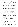was happening between Amanda and Sam. But Natasha noticed. What Sam was doing was blatantly obvious. She thought Donald was even covertly encouraging them.

Natasha became furious. One night she angrily told Gawler she knew what was going on. He lied and denied it.

Captain deSouza's life on board was intense. His was twenty-four hour seven days a week job. It seemed to Amanda that he was either flat out running things on the bridge, looking into issues in the engine room or attending to paperwork in his stateroom. Amanda resented that most of the time she was left to her own devices on the ship and there was not so much that could keep her occupied. She had joined Donald on this voyage because he said he wanted her to keep him company, but it seemed to her that most of the time he wasn't really interested in spending time with her.

And Gawler was now on board. He fascinated her. They began spending a little time together. It escalated. They were spending a lot of time together. Amanda became infatuated. She told him on a balmy night after she had downed a few strong drinks, "I wish I would have met you a few years ago. When I still had my whole life ahead of me. Maybe things would have been different," she said, "but it's now that our paths cross. And it's today that we can write for tomorrow."

"I don't want to hurt you. I'm petrified by this idea," he whispered.

She said, "I truly believe that life puts people on our path who we need to help us, support us, love us and maybe even leave us as well. "You are the man who made me feel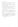alive again. The man who awoke the desire in me to build, this desire to create, a home, a family

"Thanks to you, I'm now this swallow able to fly again. This swallow looking for her nest. But this swallow, that had to regain her freedom.

But perhaps you couldn't save me. Perhaps in fact, no one could. I understood I don't need to be saved or carried. I am the master of my own destiny on board.

At sea, it's all about uncertainties. The only thing you can handle is, hope.

Is it a life where you're scared every day when you open your eyes? I know this love relationship of ours sent me back to that fear of being abandoned again by losing a loved one.

I forgot myself because of your fascinating personality and most of all your body. I am always staying behind you, waiting for you to authorize me to exist. But I think too much admiration would cause us a lot of suffering when we get back on land and we must part."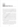#### CHAPTER 33

Natasha was pacing in circles around their tiny cabin. Clearly distressed and fuming with disappointment. She was berating Gawler. He was sitting with his elbows resting on the small dining table looking down at the tabletop with his head in his hands. He was listening, silent, defiant, unsympathetic.

Natasha said, "I realized quite a while ago that if I wanted you, I would have to put up with you running off to shag every trollop and poofter who crossed your bows like a randy old goat. Well, I did put up with you because I loved you and hated the thought of losing you. But now you have pushed me too far and you say you are sick of me. You are dumping me for that little floozy. I never thought you could be so cruel. "Last night you said to me:" 'I will never forgive you. I don't love you anymore. I will never make love with you again.'

Natasha said, "Suddenly I felt trapped in a bad nightmare.

"At this moment I do not feel much anger. My overwhelming feeling is sadness and mourning, as if you had suddenly died or our love had crashed in a freak accident.

What did I do to be to be punished like this?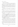What nerve did I touch?

"Our love, the fuel that kept us going through the traumas we have experienced together, without ever looking back, our bodies irresistible to each other. Sex and fighting and making up. I hope that tomorrow your mood will shift, and we might be filled with tenderness or fatigue and at noon maybe it will be peace. How did I do you wrong?

You said I am so passive aggressive. "Don't think I am oblivious to that" you said. "I know I say, it's because I love you.

I am like a lightweight boxer in the ring, taking the punishment, taking it and taking it but still standing on her feet. They say those kinds of boxers have heart. I have a lot of heart.

I think of us lying naked on the bed, holding each other, the easy companionship of bodies that know how to make one another come and come. I believe in our relationship. I believe that we still have this thing. That deep down you still have it for me. I asked you if you have it. "Maybe" you said brutally, "but I don't feel it."

Something has changed between us; you have pulled the plug. "I've had it "you said. "We were caught in some vicious taunting cat and mouse game and now the jig is up."

"You see yourself in a story as the hero who needs to spread his wings and free himself, test himself, renew himself. The hero flees. But the heroine returns to him. "I hear you. You've been wounded, you need space. But so do I."

"Your story leaves me no room at all, no other option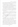than to accept the ritual killing of me so that the liberated hero can fly off on his own. But all I know is that I am not going to play the part you have assigned me.

"I asked you if there was something else going on in your life. It was an oblique question. I didn't have the nerve to ask you point blank "are you fucking Amanda?" You are often missing together somewhere on the ship.

We sometimes have an early dinner in our cabin because you are "going out." This is the new code word. We both know what it means. You talk about it coyly. I don't know how many more times I can take it, seeing you "go out" to fuck Amanda.

For me to imagine you involved with Amanda was unthinkable. Because you and me, we've been everything together. We've had the relationship that everyone dreams of.

You are humiliating me, you know that. You're supposed to be a tough guy. What a wuss. So, you don't fuck me, that's my punishment. Let's see how long that's going to last.

How dare you reject me. You're killing me. You're killing our love, our passion. And for what? For her? Don't you see you're destroying a part of yourself too?"

Deep down we trusted each other. There was an unspoken agreement that We were in it for the long haul, together no matter what the conflicts. But now things are different. Something has happened. How can I believe a word of what you say? "Are you as treacherous towards her as you are toward me? I could forgive you for your betrayal, but you are not asking for my forgiveness.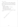When we made love last night, I thought it would be the for the last time, it was as if you were going to war. My face was pressed against your cheek, and I held back the tears. "I'll miss you" I said into your neck. "I'll miss you so much."

You didn't say anything.

"What do you feel about me"? I asked you.

"I don't know". You said.

AVE

A little while later I asked you again.

"Are you sad to break up like this?"

"I am horribly sad," you said, and you sounded desperate."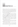# CHAPTER 34

Natasha was furious. She was quivering, crying and distraught from the bust up with Gawler. She stepped out of their cabin onto the outside walkway running along the deck. She was wearing sandals, jean shorts and a tee shirt. She spotted Amanda approaching the cabin dressed in a sports bra and running shorts.

"So, you've come for some more of Sam," she shouted. "Well, try some more of me you slutty bitch." Natasha launched at her, grabbing her by her beautiful long black hair pulling hard and swinging her off balance. Amanda pulled free. Her immediate response was to crouch into a fighter's stance. She jabbed at Natasha who dodged and punched her in the stomach. Natasha was quick but Amanda caught her in the left temple with a short jab which momentarily stunned her.

Amanda pitched forward and fell on top of her. Natasha wrapped her arms around her, spun and got on top of her leaving her with no escape path.

They wrestled and clawed at each other. Natasha rolled out of Amanda's reach. They were both gasping for breath and hurting as they staggered to their feet. Natasha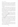pummelled Amanda's head into a post. She grabbed Amanda by her leg and dragged her against the bulkhead. Amanda had lost her top in the melee. Natasha hooked at her pants with her foot and ripped them off. Amanda was now naked; her smooth brown skin was glistening with perspiration.

Natasha was standing in the centre of the walkway with her back to the water readying to give Amanda a final pummelling. In a last burst of strength, Amanda charged heavily against Natasha. The impact sent Natasha sprawling backwards flinging her against the gate in the safety railing for the pilot's ladder. The force of the impact snapped the gate from its rusted hinges.

The damaged gate offered no resistance to Natasha's backwards trajectory. It disappeared overboard leaving a gap in the safety railing and Natasha tumbled backwards through the opening. She disappeared noiselessly into the foaming waves below.

Amanda was bruised and bleeding from multiple scratches and gashes. Her muscles were hurting all over. She staggered to the safety railing and stared into the ship's wake. But Natasha had disappeared. The struggle had begun and was all over in just short of two of minutes. Other than the two combatants nobody had been present. Natasha had mysteriously disappeared, but her absence would not be noticed for some time.

Everyone on board had become distracted by events in the ocean unfolding around the ship. Increased pirate activity in the region had generated seven alerts in recent days to the Maehurst Madrid.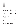# CHAPTER 35

Captain, Donald deSouza was well aware of the alerts but had refused the crew's pleas to sail further away from the coast. They were presently two hundred and forty nautical miles from the coast.

The Maehurst Shipping Company always operated with an on-board anti-piracy plan but Jake Patterson, the Third Mate said deSouza was ignoring the anti-piracy plan. He said "deSouza has a laissez faire attitude towards pirates."

He said every captain knew the company' anti- piracy plan had stipulated that they should stay at least 600 nautical miles away from the coast.

But deSouza said to the officers on the bridge that the route the ship was taking was always in pirate areas. He told them" Even if we stayed say 800 kilometres out, there would be no time when we would be outside the pirate areas."

Patterson, said to the chief engineer. "If something is not deSouza's idea he is not going to do it. You can only try to talk about it until he thinks it is his idea," he said. Patterson said that the best way to avoid an attack was to stop the pirates boarding the ship in the first place. "If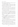pirates did make it onboard then we needed ways to stop them controlling the ship," he said.

The Maehurst Shipping Company also had a longstanding policy forbidding crew members from holding personal arms on their ships. The company did not employ contracted armed guards on their ships.

Inside the ship's engine room an unused small compartment had previously been converted into a reinforced safe room that could be locked from the inside. The room had been specifically constructed after pirate activity had become prevalent.

The afternoon sun was blazing. The sea was rough. De Souza was leading the crew in a lifeboat drill when they spotted four groups of men in small wooden skiffs bobbing around on the rough sea. According to the second assistant engineer, Matt Dixon, de Souza was a stickler for drills and safety.

When the skiffs began to pursue the Maehurst Madrid. Dixon asked, "why are we completing the drill rather than activating the anti-piracy plan?" He got no answer.

The large waves deterred all but one of the skiffs. which also eventually gave up the chase.

At 3.45 am the following morning the solitary skiff reappeared on the ship's radar. The sea was flat glass. Captain deSouza ordered an increase in speed. The skiff fell back before dropping off the radar altogether.

At 6.48 am, another skiff with an outboard motor reappeared carrying four men armed with AK47 rifles. They were clearly pirates but no mother ship was in sight

Dixon said: "They are close and coming fast, I can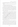see them with the naked eye. We are helpless. We are surrounded by 360 degrees of water, and no one is around to help."

As they got closer the pirates fired on the ship. The crew were alerted by the ship's security alarm.

Gawler came out of his cabin and grabbed a fire hose. He aimed the hose at the pirates as they tried to climb on board. Dixon stood beside Gawler and worked another hose. This did not stop the pirates. Gawler then fired flares at them but that did not stop them. Dixon said, "great work," as Gawler shot off another flare and ducked as the pirates shot back at him.

Gawler and Dixon could see the pirates throwing grappling hooks up onto the ship's lower deck. The pirates slung a ladder from the hooks and climbed onto the deck. They forgot to secure their skiff and it quickly drifted away.

Third mate Patterson activated the anti-piracy plan. He led fourteen of the crew including second mate Jessica Danforth and Captain deSouza's wife Amanda down to the safe room. They were looking for the civilian passenger Natasha Timoshenko but, in their rush, to get to the safe room they had been unable to find her. Captain deSouza barricaded himself in his captain's stateroom and tried to figure out what to do next.

A pirate was able to sneak past Gawler and Dixon by creeping along the deck below them. He climbed to the bridge and used his gun to shoot through the security chains and locks securing the access gate to the bridge. Unfortunately, deSouza had neglected to lock the bridge door. The pirate easily forced the door open. Jacobson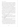radioed an alert to Gawler and Dixon below; "the bridge is compromised; the bridge is compromised". The chief of the pirates, a guy they heard the other pirates call Abdul, had appeared in front of Jacobson on the bridge. He fired two shots in the air and announced: "no problem, no problem, just business. Relax, not al-Quaida, not al-Quaida."

At gunpoint he ordered Jacobson and the helmsman out of the bridge and forced them to rig a rope ladder down the side of the ship for the last two pirates still in the skiff.

Down in the engine room the chief engineer had acknowledged the alert and had taken over control of the ship. He was able to swing the rudder from side to side to try and stop the last two pirates from climbing up the ladder onto the ship. He failed to stop them, but the increased wake from the manoeuvre caused the pirate's skiff to capsize.

Now the pirates were trapped on the ship.

The engineer shut off the engines, the electrical power and the emergency generator. Only the emergency batteries remained. They generated a distress signal. The ship became dark.

The engineer figured the pirates would be afraid to move around an unfamiliar ship in the dark.

On the bridge Jacobson convinced the pirates to summon assistance from their mother ship. He convinced them that without power the radio and radar did not work. He told them he was trying to help them get away from the ship.

Chief pirate Abdul demanded that Jacobsen fetch the crew. Jacobson broadcast messages calling the crew to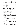muster but he did not send the safety code word. Therefore, the crew ignored the call.

Gawler was concerned for the crew and Natasha who he believed was in the safety room. They would be suffering from the extreme heat. They had no food or water, and it would be getting hotter inside the room. The pirates began searching the ship for the crew.

Gawler and Dixon crept along the tunnels below deck normally used by the crew when it rained. Over the radio Jacobson said, "if they don't see anyone in five minutes they are going to start shooting."

Gawler and Dixon silently slipped through the door of the safe room and gathered a couple of the crew to collect some fruit and drinking water from the darkened engine room. He looked for Natasha in the room but did not spot her. Gawler then stationed himself in the shadows outside the room to guard the entrance. Around 11.00am two figures approached the engine room. It was the pirate Abdul with the helmsman guiding him.

The only weapon Gawler had was a pocketknife. It was sharp with a serrated hilt.

Abdul held a torch in his left hand. The beam flashed on Gawler. He lunged at the pirate and jabbed his right hand with the pocketknife at Abdul's throat. Gawler assumed the pirate probably had a gun in his right-hand. Gawler grabbed and squeezed the pirate's right wrist while he held the knife at his throat with his other hand. Abdul slashed his left hand at Gawler as he tried to keep the knife from his throat. Gawler then realized Abdul was not armed after all. The struggle caused Gawler to press the knife harder into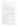the pirate's throat. Gushing blood, Abdul started yelping in fear.

Gawler pushed him down onto the deck and called out to Dixon for help.

They tied his hands with some zip ties Dixon had grabbed earlier in the engine room.

"One down, "Dixon said over the radio.

In the Captain's quarters deSouza had been left tied-up and blindfolded after the pirates had smashed their way into the cabin past his puny barricades. They had found the unlocked ship's safe and had helped themselves to \$30,000. But the pirates had missed the captain's radio and his mobile phone.

Gawler released deSouza from his blindfolds and ties.

deSouza grabbed the radio and called, Mayday, Mayday. This is Maehurst Madrid- Panamanian flag ship with Filipino crew. We have been taken hostage by four pirates. Any vessels in the area come back on channel sixteen.

The pirates were listening to the same radio channel on the bridge, but they didn't know where the broadcast was coming from. The pirates now seemed calm and happy with their \$30,000 pay day.

Gawler and Dixon released the crew and Amanda from confinement in the safe room. They staggered out okay but suffering from heat stress. Gawler was worried now about Natasha. He hadn't seen her coming out of the room. He pondered *"Where the hell was she?"*

Negotiations on the bridge between the remaining three pirates and Jacobsen had reached a deal. The pirates had lost their skiff and were going to take a lifeboat, but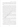first they needed their leader Abdul back. They demanded the release of Abdul and the supply of a lifeboat to take the four of them back to land. The \$30,000 haul would satisfy them.

As agreed in the deal, a lifeboat was lowered. The three pirates descended on the pilot's ladder and climbed aboard. Abdul had been retained by Gawler as captive on board the Maehurst Madrid until the boarding onto the lifeboat of the other three pirates had been completed. As soon as Abdul climbed aboard the lifeboat the pirates yelled that they needed someone to show them how to operate the controls. Gawler volunteered. He descended the ladder into the lifeboat. As he was showing Abdul how to operate the controls Abdul gunned the engine and roared away from the ship. Now Gawler was the hostage.

Third Mate Jacobson took control of the Maehurst Madrid and pursued the little lifeboat. As night fell Jacobson and the Pirates talked back and forth by radio. Jacobson trying to persuade the pirates to release Gawler and the pirates refusing.

Fort the next three hours the enormous Maehurst Madrid pursued the small lifeboat cutting it off and forcing it to turn away from the coast from where the pirates may have been able to source assistance.

At about 1.00 am an American naval destroyer arrived on the scene. It was a large warship and carried helicopters.

A helicopter was quickly despatched to the lifeboat. It hovered closely above the tiny boat. Gawler grabbed his opportunity to get away from the pirates and jumped overboard. He jumped just in time as the downdraft from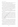the helicopter swamped the lifeboat with seawater. The little boat sank with the four pirates on board.

A cable was lowered from the helicopter with a recue crewman. Gawler was hoisted into the helicopter which then returned him to the deck of the Maehurst Madrid.

As soon he was back aboard Maehurst Madrid Gawler went searching around the ship for Natasha. Although he had been emotionally hurt by their nasty break-up, he still felt strongly for her. He was frightened when she was nowhere to be seen. He spoke with deSouza.

"I'm worried about Natasha, he said. Surely, she wouldn't have fallen overboard or something like that during the pirates' attack?

De Souza's tone when he responded to Gawler was icy cold. This was the brute who he knew had cuckolded him with Amanda. *Now this thug wants my sympathy, he mused. Well, he can just whistle for it.* "I Guess, if you have searched the ship and didn't find her then that must be what has probably happened," deSouza said. " But that was hours ago. We would have no hope of finding her now. I will put out an SOS person-overboard alert on all channels and hope for the best."

A response call came back two hours later from what seemed to be a Chinese fishing vessel. Squealing through heavy static, a voice in broken English seemed to be saying something about Shanghai. Then the channel dropped out.

The next stop for the Maehurst Madrid was Singapore. Gawler decided that after he had done his duty to Consolidated Rutile by supervising the unloading of the gold bullion from the ship's sea chest and deposited it into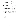the corporation's bank account in Singapore, he would travel to China and attempt the huge task of trying to trace Natasha, or at least to try find out whether she had survived.

Amanda had been avoiding him. He wondered; did she know something? He couldn't find her to get some answers to the puzzle. He felt spooked by Natasha's disappearance, haunted, lost. Was it suicide? If so, was he to blame? This was not the same feeling he had after losing Sarah to cancer. The devastation was the same but the emptiness, the chilling unknown factor, the horror of what might have happened was seeping slowly into his heart. In the meantime, while he counted down the days until the ship reached Singapore, it seemed all he could do was hope that Natasha had somehow survived.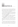# CHAPTER 36

The ship's second mate, Jessica Danforth squinted through the rain-splattered windows of the bridge as the container freighter, Maehurst Madrid, lunged upward sharply, then fell into the trough of a 20-metre-tall wave.

The skies were black. She stood on the navigation bridge high above the Maehurst Madrid's main deck, which spread out before her like an aircraft carrier stacked high with red, white and blue cargo containers.

News blurted through the bridge's radio speaker: Forecasters had named the storm Hurricane Stephanie as it built into a Category 3, with winds of 130 kph.

"Oh my God," she said to the helmsman standing nearby, bracing when the ship she called "the rust bucket" shuddered over another wave. "Can't pound your way through them waves. Break the ship in half," the helmsman said.

It was 1:15 a.m. and the Andaman Sea was boiling over. The Maehurst Madrid, sailing near Nicobar Islands off Malaysia was being knocked about by the strongest October storm to hit these waters since 1866. In the coming hours,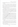the Maehurst Madrid and its crew would fight desperately for survival.

Another wave slammed into them. "Oh shit," said Jessica. "That was a bad one." The alarm sounded. The ship was now pushed in another direction, off the captain's chosen course. After a few tense seconds, the Maehurst Madrid righted herself. "She's doing' good. I'm impressed. Knock on wood," said Jessica.

The Madrid was one of two container ships owned by Maehurst Maritime Inc. that navigated in constant rotation between Melbourne Australia and Singapore. It carried everything from milk to Mercedes Benzes. If the Madrid missed its run, store shelves sat empty, an economy suffered and Maehurst lost money.

This run was to be the Maehurst Madrid's last before a major retrofit. Maritime Inspectors had found parts of the vessel's boilers that were "*deteriorated severely*" and a service was scheduled in the next month. This came as no surprise: One Maritime inspector had identified a "*disturbing"* uptick in safety discrepancies during the Maehurst Madrid's inspections over the previous two years. The Maritime Inspector was in the process of adding the 40-year-old ship to its "target list" of cargo vessels that needed a higher level of scrutiny.

To add to the danger, the Maehurst Madrid was equipped with open-top lifeboats like those used on the Titanic or Lusitania. Modern ships carry the round, tent-like lifeboats with electronic beacons that dramatically increase survival chances in a shipwreck.

Once, Jessica texted pictures of the MSC Madrid's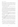lifeboats to her mom. "Is that your lifeboat? It's open," her mom replied, aghast. Her mom was a former sea farer and knew open lifeboats to be a thing of the past. "Let's hope you never get into some rough seas," she wrote, "because you know kid, you're screwed."

"Yes, I know," Jessica replied. "Mom, if I ever die at sea, that's where I want to be."

Jessica Danforth had a cordial relationship with the captain of the Maehurst Madrid. She respected him but told her mother and friends she didn't like de Souza's dismissive attitude. The storm had been growing, so Jessica suggested they consider taking a longer, slower route south through the Old Adaman Channel.

But the captain had the final word on voyage planning, and he refused to deviate. She'd noticed the captain was sound asleep when she'd called. It rang a few times before he answered.

The ship was taking a beating, she'd said, but was holding course. The captain asked about the latest weather reports. He would return to the bridge in a few hours. She hung up the phone as the ship took on another huge wave.

"He said to run it. Hold on to your ass!" Jessica shouted. "Figured the captain would be up here," the helmsman said.

Microphones on the bridge picked up their conversations, which were sent to a voyage data recorder, the ship's "black box." I thought so too. I'm surprised, "Jessica replied.

"Damn," the helmsman said with disappointment. "He'll play hero tomorrow," he said laughing. The captain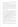would be praised for the ship making it through hurricane Stephanie to Singapore on time.

Even after a decade at sea, Jessica, 34, maintained a youthful air. Her round, freckled face was slightly weathered from the sun, and her dumb jokes endeared her to the 32 crewmates who relied on her skilful navigation. She stood only 163 centimetres, but her mariner toughness was displayed in the large anchor tattoo on her chest, which peeked over the neckline of the vintage '50s dresses she liked to wear on shore.

Gawler battled against the wind and rain as he clambered up the stairs to the bridge. He forced the door open wide enough for him to poke his head inside. He called to Jessica, "you guys doin okay here? Anything I can do to help? "Jessica called back, "We're doing the job we have trained for over the years; we'll pull through for sure." But if you want to help, I think the guys down in the engine room could do with another hand. I'm sure they will be doing it pretty tough down there right now."

Gawler said, okay then I'll go down and check things out down there." He climbed back down the stairs and made his way to the engine room.

Jessica was one of only three women on this cargo run. The others were a civilian passenger Natasha Timoshenko from Melbourne Australia and the captain's wife Amanda de Souza.

She had been raised in a military family whose motto was "suck it up," Jessica worked hard and asked few questions.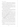But now, she was helpless against the crushing waves, wind, and rain. "It would help if I knew which direction the swell was coming from," Jessica said to the helmsman. "I could alter course a little more. I can't see."

They heard a massive thump from below in the bowels of the ship. The Maehurst Madrid carried heavy cargo in its interior holds: If that was a car or something else coming loose, it was a sailor-crushing danger.

"Whoooo!" Jessica exclaimed.

"Yeah, it's starting to get a little bit more active around here," the helmsman replied. The swelling seas shoved the Maehurst Madrid around like a cork.

Jessica could not know exactly how hard the wind was blowing. The Maehurst Madrid's anemometer, or wind gauge, had been broken for years. To adapt, the sailors usually stepped out on deck to gauge wind speed the oldfashioned way, by checking the flap of the boat's flags. That was impossible in the dark. Jessica scanned the radar for a fellow vessel in the area, but every other ship had diverted to avoid the storm. The Maehurst Madrid was alone.

"Hello, Hurricane Stephanie," Jessica said to the storm. "It's just getting bigger — our path is going right through it."

At 3:34 a.m. deSouza emerged from his stateroom. Jessica greeted him, grateful for the chance to go down to her room for a quick rest. She'd found time to fire off a quick email to her mother. "We are heading straight into it, Category 3, last we checked. Winds are super bad. Love to everyone."

Later that day, reading the email, Jessica's mother knew something was wrong. Jessica never signed her emails,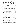"Love to everyone." Her mother understood that her daughter was sending a coded message: I may never see you again.

Donald de Souza's detached, hands-off style led Jessica and some others to describe the 43-year-old master as a "stateroom captain." Stateroom captains didn't get their hands dirty and weren't seen a lot on deck. They didn't share smokes and chit chat with the crew.

On the bridge, deSouza greeted Jessica's replacement, chief mate Steve Smedhurst, and a fresh helmsman, Frank Handley. He set out to calm their nerves.

"There's nothing bad about this ride," the captain announced, despite the hurricane raging outside. "I was sleeping like a baby. This is every day in Africa," the captain continued. No one could see out of the windows, except for when brief sparks of lightning illuminated the rain.

"A typical winter day off the southern coast of Africa." Earlier in his career de Souza had navigated freighters in the Africa trade, known in the industry as one of the most bruising theatres of sailing. But his leadership had been questioned by Maehurst Shipping Corporation's upper management, and after initially leaning toward offering de Souza the job heading one of its new ships the company decided to go in a different direction.

Now favoured were younger captains who could drive the new high-tech freighters. Before leaving port in Melbourne, deSouza expressed disappointment to colleagues that he hadn't been chosen to command the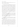modern, liquefied natural gas-fuelled ship that was to replace the Maehurst Madrid.

The captain had been disappointed by the news, but he was a professional. Perhaps he thought he could show them that they'd made a mistake by making the Maehurst Madrid's cargo run on time, even with a major storm system in his way. deSouza knew what could happen to masters who raised safety concerns that weren't considered serious enough by the company. He had been fired by a prior employer after an incident with another ship. The steering was bad on that one, and he'd refused an order to take it to port, requiring the company to hire tugboats to drag it there instead.

The course alarm, which blared every time the ship deviated from its programmed route, was now ringing every few seconds as the seas flung the vessel around. The captain ordered it turned off, along with the auto-piloting system, nicknamed the "Iron Mike."

They would have to steer the ship manually, to use their human senses to feel the swell and winds, as they piloted blindly into the waves.

Containers the size of a Mack truck were breaking free from their chain lashings. They'd left port not expecting the heavy weather and didn't ask the longshoremen for extra storm lashes, the ship's third mate had said ruefully earlier in the day, as the storm worsened. Now, thrown off balance, the Maehurst Madrid tilted precariously to the right, or starboard, as it plunged into the pounding waves.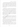Unsure why his boat was listing, the captain searched for a solution. The steep angling of the ship was making it hard to stand up straight. If he knew the hurricane-force wind's direction — difficult to detect at night in a hurricane with a broken wind gauge — the helmsman could position the freighter so that the wind hit its left, port side, correcting the vessel's pitch.

Flooding in the cavern-like interior holds could be battled with pumps to redirect the water into other areas for balance. If the ship lost some of its 20-ton containers, he could use the pumps to help compensate for that, too.

None of that mattered without power, though. The captain called down to the engine room to check that the ship's boilers, its only source of power, were still operational. Without propulsion in a Category 3 storm, the Maehurst Madrid would be lost.

"How you guys doing down there?" he asked. Gawler replied. "The engineer says that they are 'blowing tubes,' or trying to remove obstructions from the engine as it started chugging".

The engineer took the mike and said there was another problem: he said the intake tube which sucked oil like a straw from a large tank into the engines was starting to lose contact with the oil due to the ship's tilt. Without oil, the engines would stop running altogether.

Standing with the captain on the bridge, chief mate Smedhurst noted the barometer readings were headed downward, which could indicate they were closer to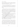## Mark Ed m onds

Hurricane Stephanie's eye. That ran counter to the storm track models de Souza had used — those showed the storm farther away. He still planned to outrun it.

"We won't be going through the eye," the captain said: If they could skirt a bit further south, away from the eye toward Crooked Island, they would reach its backside more quickly.

With the ship tilting and oil pressure decreasing, the captain decided to use the wind to force the ship more upright. If he could do that, he could get oil pressure back and increase the ship's power. "Just steer that heading right there the best you can. That'll work for us," the captain instructed Handley and Smedhurst.

The ship dropped down a three-story-tall swell. "Feel the pressure dropping in your ears just then? Feel that?" de Souza said, trying to make light of the situation.

Handley's large frame was bent over in fear at his console. Two days earlier, the 49-year-old father of five had called Rachelle, his wife, just before he sailed out of range. He said everything was OK — Handley liked and trusted the captain, with whom he'd often worked.

But in the chaos of the storm, he had been unable to send his customary daily email home. "Take your time and relax," de Souza said. Handley manage to find his breath, then took the helm back. "I am relaxed, Captain." de Souza turned quickly to the ship's computer. He needed to check the Bon Voyage System, or BVS, an online subscription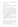weather forecasting tool, to get the latest hard data on Cyclone Stephanie.

"Hanging in there Frank?"

Smethurst said, trying to keep the jittery helmsman engaged as the captain scanned his email for the weather updates.

"Still got us on course. You're doing great."

The captain grew confused. Though the forecasting tool told him the storm was still farther north, clearly, they were right in it. "We're getting conflicting reports as to where the centre of the storm is," he said. de Souza didn't know that there was a problem with the BVS system emails he was receiving: One update he'd received had storm tracking information that was 21 hours old. While he had access to other forecasts on the internet, de Souza relied on BVS. The storm they now faced was far more advanced than his weather models showed.

"Our biggest enemy here right now is we can't see," he said. He believed they were nearing the back side of the storm but had no way of knowing for sure. By overruling his crew's suggested alternate routes, he had made a horrible mistake.

An engineer from below deck appeared on the bridge. Something wasn't right. "I've never seen it list like this," the engineer reported. The Maehurst Madrid's steep list was not just from sliding shipping containers, the engineer reasoned — something else was to blame.

The phone rang with a call from the engine room. The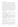ship was losing oil pressure and needed to be righted now. "I'm trying to get her steadied up," the captain replied.

Water surged over the ship's stern, and the sound of the ocean pounding the old ship was deafening. Another electric ring of the telephone. deSouza answered, "Bridge, captain." A moment passed and he turned to his chief mate: "We got a problem." Water had started flooding one of the ship's warehouse-sized holds used to store cars and other large containers. He ordered Smedhurst, a 54-yearold former Navy captain and seasoned mariner, below deck immediately to start pumping out the hold. It was a perilous assignment.

Any piece of heavy cargo afloat in the hold could easily pulverize Smedhurst.

The chief mate grabbed a walkie-talkie and climbed down from the bridge.

The captain took the ship's helm from Handley. With water flooding inside Maehurst Madrid's hold. He knew why he'd been unable to right the ship. He turned the steering wheel hard, trying to use the wind again anything to decrease the ship's angle.

Smedhurst radioed from down below, in the flooded cargo chamber. "About knee deep in here," he said. 'I think we just lost the plant'

At 6 a.m., Jessica came back to the bridge from her stateroom. She'd changed out of her work clothes and hadn't changed back before coming up. She moved over to the dead radar screen — it'd gone dark, maybe from water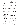coming through a gap in one of the bridge's windows — to try and get the ship's current position. After a few minutes, the radar fluttered and suddenly blinked back to life. "All right, good," the captain said.

He ordered Jessica to sync the latest BVS weather models with their current position, still not realizing the data was hours old, and useless.

The ship groaned over yet another tall wave. "No," Jessica said, bracing. "There goes the lawn furniture."

"Let's hope that's all," said the captain.

Jessica wasn't supposed to be on the bridge, but de Souza didn't question her. "You want me to stay with you?" Jessica asked. "Please," the captain said. "It's just the ..." He couldn't finish his sentence.

Smedhurst called from the flooded hold again. He wanted the bridge to move the ship so the water below would shift to the other side.

All at once, a terrifying silence gripped them. The rumble and vibration of ship's engines ceased. The Maehurst Madrid was adrift.

"I think we just lost the plant," de Souza said. Somehow, he needed to balance the ship — an almost impossible feat without propulsion.

Down below, the whirring pumps continued to push thousands of litres a minute from the flooded holds. Up top, everyone had to use their leg muscles to stay standing on the angling ship. "Feeling those thighs burn? "Jessica asked Handley, as he dug in to turn the rudder.

Just after 7 a.m., de Souza picked up the ship's emergency satellite phone. He dialled the cell phone number of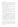Maehurst's designated person ashore, the only human in charge of knowing what was going on with the fleet. The call went to voicemail. de Souza rattled out a brief message, then called the company's answering service. A woman picked up with a pleasant hello.

"We had a hull breach; a scuttle blew open during a storm," de Souza explained tersely. "We have water down in three hold, with a heavy list.

We've lost the main propulsion unit; the engineers cannot get it going." He asked for her to patch him through to a TOTE official immediately.

"Can you please give me your satellite phone number and spell the name of the vessel?" she asked slowly. "Spell your name, please?"

TOTE safety officials had identified the answering service as a problem previously, but it had not been fixed.

"The clock is ticking" the captain said, his voice calm despite the chaos. He tried again. "This is a marine emergency, and I am trying to also notify management." He gave the operator his name and number and hung up.

Electronic alarms echoed throughout the steel freighter. Jessica read out their current position. The captain called down to the flooding hold. "Can you tell if it's decreasing or increasing?" he asked. "I can't tell captain.

Seems as if it's going down," the chief mate replied. He turned to Jessica. "Say second mate. How 'bout our range and bearing from like Nicobar Islands or whatever that island is there," he said, looking for any sign of land they might be able to reach.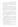He grabbed the Maehurst Madrid's emergency beacon that would aid rescuers in finding their position. The satellite phone rang, it was his boss. "Yeah, I'm real good," de Souza said matter-of-factly. "Three hold's got considerable amount of water in it.

Uh, we have a very, very healthy port list. The engineers cannot get lube oil pressure on the plant; therefore, we've got no main engine. And let me give you, um, a latitude and longitude. I just wanted to give you a heads up before I push that, push that button," he said, referring to the Ship Security Alert System, or SSAS, an emergency beacon. It was 7:07 a.m.

"The crew is safe," he said into the phone. "Right now we're trying to save the ship. But it's not getting any better. No one's panicking. Our safest bet is to stay with the ship during this particular time. The weather is ferocious out here." de Souza told his boss it was time to alert the Coast Guard.

"I want to wake everybody up," he said. "I just wanted to give you that courtesy, so you wouldn't be blindsided by it. Everybody's safe right now, we're in survival mode."

Jessica stood at the ready. "All right now, push the SSAS button," he commanded. "Roger," she said. "Wake everybody up. de Souza shouted. "We're gonna be good. We're gonna make it right here."

Chief Mate Smedhurst radioed from the flooded hold again. "I think the water level's rising captain," he said. He could think of nothing more to do.

"All right, chief," the captain replied. de Souza's tinny voice sounded over the ship's intercom ordering the crew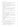to muster. He wanted everyone accounted for. The highfrequency bell of the abandon ship alarm rang out.

"Can I get my vest?" Jessica asked.

"Yup, bring mine up too and bring one for Frank" the captain replied. The helmsman, a large man and diabetic, yelled out as Jessica left the bridge:

"I need two!"

"OK buddy, relax," the captain said. The ship heaved, the tip of its bow sinking beneath the black water.

"Bow is down. Bow is down," de Souza said over the ship intercom.

"Get into your rafts. Throw all your rafts in the water," he yelled.

"Everybody. Everybody get off the ship. Stay together. Stay together" he screamed.

Handely was unable to move. "Cap, Cap," he said.

"You gotta get up," de Souza ordered. "You gotta snap out of it and we gotta get out!" he said, his voice firm, urgent.

"Help me!" Handely pleaded.

"Ya gotta get to safety!" the captain yelped. Handley couldn't move.

The shrill beat of alarms continued as the ship's tilt worsened.

The captain reached for Handley. "Don't panic. Don't panic," he said. "Work your way up here. Don't freeze up! Follow me," he pleaded with Handley.

"I can't! My feet are slipping! I'm going down!"

de Souza looked at his terrified helmsman. "You're not going down. Come on, Come on" he yelled.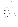"You gonna leave me," Handley cried. "I'm not leaving you. Let's go," the captain responded. I'm a goner" Handley screamed. "No, you're not" the captain replied.

The Maehurst Madrid's bridge reared up as the ship sank deeper. "It's time to come this way," de Souza shouted, as the Maehurst Madrid slipped beneath the sea.

It would be months before search crews found the wreckage. The Maehurst Madrid had come to rest 2,000 metres down, on the seafloor near the Nicobar Islands. The bridge where Handley and de Souza struggled for survival had separated from the vessel's hull and lay a kilometre away.

None of the bodies of the 28 people on board the Maehurst Madrid were recovered.

Among those listed as missing were Sam Gawler and Natasha Timoshenko both of Melbourne Australia. Relationship, unknown.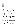## CHAPTER 37

Arthur Hyland returned to Venus Bay on his launch with Krystal Chung in tow.

Krystal was a beautiful woman of clearly Chinese appearance. She had an oval goose-egg face, high forehead, long delicate eyebrows, a flat nose with a pale tip, and a mouth like a cherry with a cupid's bow upper lip. At the time of their initial introduction, they were both single, unattached, and feeling unloved. Their relationship had blossomed naturally over a mutual appreciation of the finer aspects of Chinese fish cuisine and fermented bean juice.

Arthur had been incrementally spending more time with Krystal until one eventful night he found himself sharing her bed after they had both overindulged in a few bowls of fermented bean juice. Their friendship had then progressed to the point of becoming a permanent relationship. This was despite their vast differences in age.

Business at Krystal's café had boomed for a few days after the drug war between the Bikers and the Russians on that fateful night not so long ago in Buckleboo Creek. But trade had since fallen into the doldrums. The atmosphere in the town had deteriorated with the pub gone, destroyed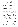in the fire, and most of the other businesses remaining boarded up. People drifted away from the town centre and took to drinking beer at the bar at the bowls club.

Fermented bean juice had been favoured by a certain class of customer at Krystal's café who objected to the price of alcohol being charged at the pub. These people had often ordered just a bowl of prawn crackers and a jug of bean juice. But even those people were not spending much time on main street now that it had become a wasteland.

If you hadn't acquired a taste for fermented bean juice you would want to throw up on your first mouthful. But once you were hooked on this delicious hot beverage you would immediately order a bowl immediately you hit town.

Krystal and Arthur agreed to re-establish Krystal's café in Venus Bay. They decided to call it the Chinese Bean Juice and Fish Café. There would be an emphasis at the café on the juice part of the business because it was cheap to produce, was very popular and was not subject to any annoying government liquor licences, alcohol taxes or duties.

Arthur had proposed to Krystal on a romantic balmy night as they enjoyed the view of the cove from his launch at the jetty in Buckleboo Creek. She didn't hesitate. She accepted. They soon commenced planning for the wedding. It would be a big affair.

A positive thing about the bean juice café scheme was that they would not be directly competing with Glady's greasy spoon café. They did not want to cause any antagonism with Glady's who they planned to ask to be maid of honour. Glady's was a great friend of Arthur's, but she was by no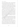stretch of the imagination, a maiden – anyway they knew she would be happy to help out at the wedding. Arthur's assistant, Dennis, agreed to be Arthur's best man.

They decided to re-purpose Arthur's Fishing Tours downstairs office at Venus Bay into the cafe and convert the large upstairs front room of the building into the Fishing Tours office. They would live in Arthur's residential section of the building, which was also upstairs, at the rear.

Krystal had many relatives who wanted to attend the wedding. It was decided that they would charter a jet to fly in ninety-seven of them from Shanghai to Venus Bay via Sydney. After the wedding the guests planned to immediately return to Sydney where they had scheduled a brief stop-over while some of them checked out several realestate investment opportunities they had been researching from home in China. It was a tight program for the guests. They set about planning a great wedding party. Krystal was the bride – not the chef.

She would be wearing a traditional long red Chinese wedding dress with tiny brightly coloured shoes peeking out below the dress. She started work on the menu and the food arrangements. An excellent chef would be included with the other guests flying in from Shanghai.

Arthur and Krystal had asked the semi- retired pastor from the local Venus Bay Church to officiate. He was a pale, tall, stooped old guy named Stanley Prideaux. He had masses of unruly white hair and was slightly hard of hearing. Stanley was thrilled to be asked to do the honours. He mostly officiated at funerals these days and hadn't done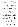a wedding in years. This invitation to do a wedding had given him a fresh lease on life.

Krystal and Arthur had invited Sam Gawler and Natasha Timoshenko to the wedding. But they were horrified when they learned that apparently there had been a serious mishap during a storm at sea involving a ship the couple had been travelling on as passengers. They had both been listed as missing.

But here was Natasha in Venus Bay for the Wedding. She had come. She explained to everyone there was no way she was going to miss this wedding. They were all so surprised and happy to see her again after the shocking news they had learned about her disappearance.

Natasha had a story to tell. She explained how she had been rescued at sea and taken to Shanghai by some very kind people on a fishing junk.

b

She said she had got into a vicious fight over Gawler with a woman called Amanda, who was the ship captain's wife. She said she knew Amanda had been fucking Gawler and she said she was in such a rage that she couldn't stop herself from trying to smash the bitch. She said she lost out in the fight and had been pushed overboard by Amanda.

After she had been struggling to stay afloat against the waves for what seemed like hours she was just about finished from exhaustion, when she had been extremely lucky to float up against a fishing buoy. She had clung grimly to the buoy until she had been found by the Chinese fishing junk. She had felt like she was almost finished when the people on the junk hauled her from the water. "I will always remember those guys," she said. "They were my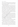salvation. They looked after me, kept me warm and dry and fed me and took me to Shanghai." She said she had spent a week in hospital in Shanghai recovering from her ordeal clinging to the fishing buoy.

She had asked for help from people in the hospital to find any of Krystal's Chung's relatives; "Would it be possible to find members of the Chung family in Shanghai?" she had asked. Natasha knew from what Krystal had told her that they would be somewhere in Shanghai. With a great deal of luck her helpers at the hospital had located Krystal's number eight aunt in Shanghai." It was a small miracle," she said. "There are more than 27 million people living in Shanghai but that didn't stop my friends at the hospital from trying to find Krystal's family."

She said Krystal's relatives had been found through the '*open umbrella'* missing persons search system. This is where a notice carrying details of a missing person's family would be attached to an umbrella and carried through the main parks in the city. The notice called for anyone knowing the whereabouts of the missing person or their family to make themselves known to the person holding the umbrella. This system worked like a miracle for Natasha.

Krystal's family were amazed that Natasha, a stranger from Australia, had found them. They welcomed her into their home and looked after her as she recuperated.

Natasha said her worst experience in Shanghai had been when she was targeted in a scam around a fake traditional Chinese tea ceremony. The scammers had focussed on anyone foreign looking because they usually carried plenty of cash. The scammers became furious when they found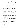out Natasha carried no cash or credit cards and wasn't able to pay the extortionate amount of cash, they demanded from her for the few tiny glasses tea they consumed in the fake ceremony. They had then unceremoniously tossed her out of the dummy tea shop.

The whole Chung family in Shanghai was excited about Krystal's upcoming marriage in Venus Bay. Natasha was invited to fly with a group of them to Venus Bay for the wedding in their chartered jet. And here she was, in Venus Bay. She was surrounded by a crowd of people, yet she felt very much alone. She muttered to herself "*I don't know most of these people. All those folk from Shanghai have never even heard of Gawler or me. Of the people here I do know, only a few knew us fleetingly. In my deepest heart I want to get this wedding over with and quickly get away from this place. But I will wear my brave face."*

.<br>Di

Natasha asked Arthur Hyland if he could help her with legal advice regarding her situation as a widow from her de-facto marriage to Gawler. He referred her to an online lawyer specialising in family law. The lawyer did some research and advised Natasha that Gawler had died intestate; no will could be located. Natasha was told she would be legally entitled to inherit all of Gawler's assets including his Humvee which was still parked in Arthur's barn. She would also inherit his apartment at Eureka Tower in Melbourne. She could also be entitled to compensation from his employer because he had died while on duty and while employed by Consolidated Rutile. As his only dependent she would be entitled to compensation from the corporation.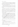She intended that after the wedding she would prepare the Humvee in readiness for the long drive to Melbourne. She would call Sam's buddy, James Wallbridge in London to sort out the compensation issue.

A large red open-sided canvas canopy stood on a grassed area adjacent to the Krystal and Arthur's new café. Inside the tent were rows of wooden benches with chairs along each side.

In accordance with Chinese custom there would be a traditional tea ceremony then just a very brief wedding ceremony late in the afternoon with the main event, the after-party Banquet commencing immediately after the ceremony. The banquet party was expected to continue well into the night.

Krystal said she was planning a huge feast for the banquet consisting of twelve courses as was the Chinese custom.

Krystal told Natasha, "There would be ample supplies of bean juice with fragrant pickled vegetables of the right colour and texture spicy or plain, dough fritters fried golden and crisp and flat bread flaky, and sesame studded."

She said she was planning many more delicacies such as.

Chickens fried with walnuts cooked in the imperial style.

Crispy ducks with roses carved out of carrots with celery leaves attached.

Sweet and sour fish with ample sauce.

Dishes of cabbage juicy and green with large and yellow chestnuts.

She was also preparing to serve oil brazed prawns, stir fried battered eel and spicy squid.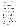Of course, there would be buckets of steamed rice and fried noodles.

The plan was for the most important toasts of the evening to be made by the bride and groom themselves. After one or several courses had been served and some food eaten, the couple would walk from table to table, offering toasts to thank their guests for attending and bringing generous gifts. The couple would drink wine, beer or bean juice. The bride and groom would toast each table, saying 'gan bei!' (dry cup) and bottoming up their cup each time. Guests would make return toasts to the couple, and the bride and groom must always drink up.

If the drinking became too difficult for the bride or groom; perhaps they felt too drunk to continue or had an allergy to alcohol the Best Man and Maid Of Honour would accompany the couple and, if need be, will step in to drink in their place, saying "Here, let me help you!"

.<br>Di

Krystal said. "This type of drinking is a Chinese way of showing good spirit and respect, and it is not uncommon for the bride or groom to be completely drunk by the end of their wedding reception."

Natasha stood before the crowd and kicked off the ceremony. "Welcome to Venus Bay one and all," she said. "I am thrilled to be here with you all and especially my very good friends, the wonderful Chung family. I love you all so much. You saved my life and brought me back to Venus Bay for this fabulous event today. "Now I would like to introduce the Pastor, Stanley Prideaux."

Stanley came forward and stood before the crowd.

He said. "Welcome everyone to our beautiful little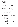town. It is not at all usual for us to have such a wonderful gathering of guests. "We are gathered here today to unite Krystal and Arthur in the bonds of matrimony. If anyone can show just cause why they may not be lawfully joined together, let them speak now or forever hold their peace." There was silence from the crowd

Stanley said to Arthur.

"Do you, Arthur, take Krystal, to be your lawfully wedded wife? From this day forward, to have and to hold, for better, for worse, for richer and for poorer, in sickness and in health, to love and to cherish, till death do you part?

Arthur to Krystal

'I do.'

Stanley said to Krystal

Do you, Krystal, take Arthur, to be your lawfully wedded husband? From this day forward, to have and to hold, for better, for worse, for richer and for poorer, in sickness and in health, to love and to cherish, till death do you part?

Krystal said to Arthur

'I do.'

Stanley said to Arthur.

"Please take the ring you have selected for Krystal. As you place it on her finger, repeat after me:"

"Krytal. I give you this ring, as a symbol of my love. I ask you to wear it as a sign to the world that you are my wife. With this ring, I thee wed."

Arthur repeated the pledge. Stanley asked Krystal.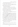Please take the ring you have selected for Arthur. As you place it on his finger, repeat after me:

"Arthur, I give you this ring, as a symbol of my love. I ask you to wear it as a sign to the world that you are my husband. With this ring, I thee wed.

Krystal repeated the pledge.

The happy crowed laughed,cheered, and whistled.

Stanley said. "In so much as the two of you have consented together in matrimony, and have witnessed the same before this company, by authority vested in me I now pronounce you husband and wife.

Arthur, you may kiss your bride!"

Arthur, with his arms around Krystal moved his face closer to her for the kiss.

He was pale, sweating and breathing heavily. He faltered, slumped and dropped his arms. His legs crumpled and he fell heaviy to the ground. The crowd gasped. Some guests rushed towards the front to help. But they could not find a pulse. Arthur had died of a sudden heart attack. Four men came from the crowd and together with Krystal guiding them, they carried Arthur to the café. They set Arthur down on a long bench and covered him with a table cloth.

The plan for the wedding had been for the Best Man and Maid Of Honour to offer toasts to the couple, telling funny anecdotes or sentimental speeches.

This plan was now in tatters.

Now someone would need to arrange a funeral for Arthur.

Natasha gathered three of Krystal's aunts. They were now her firm friends. She told them they needed to work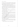out what to do next. They decided to settle the crowd by serving them tea and bean juice. The aunts set about organising the drinks while Natasha went to find Krystal, Dennis, and Gladys to plan how to go forward.

They decided to postpone the banquent until the next morning and to hold a funeral for Arthur right away. Denis said his brother-in-law was a carpenter and he had some coffins in his workshop which he always kept ready for emergencies in the town.

Fortunately Stanley Prideaux was still on hand to officiate at the funeral.

But all those other planned wedding events were not going to happen tonight.

It was early in the morning when Krystal and Dennis called all their guests to gather at the tent. They had an announcement to make.

They were getting married. The banquet would go ahead after all. The mountains of food would not go to waste. It all made pefect sense. They had been secret lovers since the time atBucklebooCreek when Arthur and Dennis had stayed at the jetty on Arthur's launch and they had all spent so much time together.

But Arthur usually went off to bed early in the cabin below deck leaving Dennis and Krystal together, sipping tea and talking.

That was when their romance had flourished.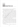## CHAPTER 38

Natasha swung the Humvee into a space marked Gawler in the basement parking garage of Eureka Tower.

She whispered to the car, *we're out of our class in this place old girl*. *A Mercedes on one side of us, a flashy model BMW on the other, A Lexus just over there, a bright yellow Lamborghini in that spot next to it and a big black Bentley against the far wall.*

She had been driving for a week, some nights sleeping in the car where she parked in quiet areas at truck stops and some nights at one of the small motels dotted along the highway. Nobody had bothered her. A few truckies gave her a studied look which she ignored. She figured they were hard-working guys, busy with time targets to achieve and no time or intention to dither around.

She took the basement lift to the fifty sixth level. This avoided the need to pass through the ground floor reception area. She thought, *I'm not inclined to chat with Gawler's friends right now.* The apartment was just as they had left it. *Well of course it is,* she mused. *No reason for it not to be.* She checked the refrigerator. *Absolutely empty, damn,* she mused. *No food in the place at all.*

The message light was flashing on the phone. She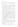pressed play. "Natasha," it was James in London. "Can you call me as soon as you get in?" Ever obedient, she texted James.

James replied by text, "Can you come to London now, we need to talk. There is an open date airline booking for you with Qantas, business class return to London. We will have a car take you to Tullamarine airport as soon as tomorrow morning if you can make it."

"*Well why not*," she said to herself. *"I don't have anything else happening right now."* She texted James. "Okay can do – what time can I expect the car?"

She needed to go downstairs to the Seven Eleven store for food. *Can't avoid the reception area this time*, she mused. Nicole's jaw dropped when she spotted Natasha alone. She rushed out from behind the desk and embraced Natasha in a bear hug. "So, you're back already" she said. "where's Sam?"

Natasha bluntly replied, "he's dead. He drowned in a shipping disaster. He loved me then he dumped me and now he's gone. "Nicole said, "how awful, but it's brutal, the way you are telling me this– as if he didn't mean so much to you. "Not true. He was my world. He meant everything to me. He did me wrong, he broke my heart, yet I just cannot suddenly get over him."

Nicole' mouth turned down, she sobbed a little and then when the shock really set in, she burst into a flood of tears. Natasha could no longer hold back her own tears. They collapsed into each other's arms. They embraced and sobbed together.

Nicole said, "can we go for a coffee together?"

Natasha said, "I can't go out with you right now. I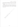need some food. I'm going to the shop to get a few things then I need to pack. I'm flying to London early tomorrow morning."

Natasha wondered, "*I will never know what Nicole wants to tell me and I don't want to know. Possibly it's something about her and Sam which knowing him as I do now, will not be something I want to hear."*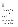## CHAPTER 39

Natasha was ushered into James Wallbridge's office high up in Consolidated Rutile's London head office. He came to greet her as she walked in, smiling at first but he could not hold it together for more than a moment. James started sobbing. "I just can't believe what happened." he said. "I cannot get my head around it." They embraced.

Natasha could not hold back her own tears.

James said." He was my mate, my best friend going way back. I needed him. I don't know what to do now he is gone. He fixed things, no matter how tough it was, he always got the job done."

"It will be good for us to talk. Will you join me for dinner?"

They were ushered to James' favourite table at a nearby restaurant. It was difficult for them to relax and just talk. Emotions were running high. They exchanged anecdotes about Sam. He made her laugh when he told her about some of Sam's hijinks when they were young.

He said, "Sam told me a lot about you. Did you know he was a great fan of yours? He adored you. He told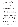me he thought you would be a great acquisition for the corporation."

She said, "Well he loved me, and I loved him, but then he didn't love me anymore. He dumped me when he found a floosy. What he did was so brutal."

James said. "I am so sorry he did that. I had no idea it was coming. I can't make excuses for him. I can just say he did what he did, that's just Sam I'm afraid. However, can we both move on? I want to make you an offer.

"We have an important job in our Melbourne office for you. I want you move into the Vice President's corner office and help us get things under control. I am not saying there are no problems. There are plenty. A faction of conspiracy theorists has become prominent. They are going after anyone who can't see the conspiracies the say are all around us. They say vaccines are a wicked plot by paedophiles. They say everyone is spying on them and governments are taking away their freedom. The office in Melbourne is becoming a mad house. I know you are someone who could fix it."

i<br>Fi oi

> "But I want to study violin James," she said. "And I need to get back regularly to the gym and back onto the basketball court."

> "You go for it girl," James said. "We would be comfortable with you doing all of those things," he said. "You can come and go in the job to suit yourself and still get everything running smoothly again, I know it. But I must warn you right now about the situation you will come up against.

"I Know you can handle yourself, but you will be going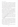into dangerous territory in Melbourne. Be very careful. The so called 'freedom movement" that has inveigled itself into our midst includes some seriously nasty operators. "They are nominally anti-vaxxers but that is just a front for white supremacists, Nazis and QAnon conspiracy fanatics who have infiltrated their membership. They don't hesitate to spread death threats and bomb threats when it suits their purpose. We are getting them every day."

"Those people at the Melbourne office who support right-wing conspiracy theories, - their gullibility is alarming. Gullibility means malleability and manipulability. We know that a swathe of the conservative population is available for the next delusion and the one after that. Former President Trump and recent events in the USA showed that a lot of them were willing to act on those beliefs.

Did you know that the word *gullible* comes from the verb *to gull*, which used to mean to cram a person with some information as well as to cheat or dupe? It means to cram someone else full of fictions. Some of these crazies in Melbourne doubtless believe they could gull our corporation.

"Distinctions between believable and unbelievable, true and false, are not relevant for people who have found that taking up outrageous and disprovable ideas are an admission ticket to a conspiratorial identity. Without the yoke of truthfulness around their necks, they can choose beliefs that flatter their worldview or justify their aggression. But we here in this corporation say, 'you're entitled to your own opinions, but not your own facts.'

"The sort of people who are worrying the corporation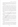are those who now feel entitled to their own facts. In the marketplace of ideas, they can select or reject ideas, facts, or histories to match their goals, because meaning has become transactional.

"A lot of conspiracy theories emerge from the true believers on the margins of our society when it comes to topics like extra-terrestrials. But some of those at the top of our society like Trump, have preached falsehoods that further the interest of elites, and those at the bottom have embraced them devoutly. Though when we talk about cults and conspiracies, we usually look to more outlandish beliefs, climate denial and gun obsessions both fit this template."

James said, "well that's enough of the lecture from me. Let's get onto talking about the pay offer and the employment conditions the corporation is proposing to offer you."

b

Natasha listened with close interest to what James was offering. When he had finished, she grinned and said. "It is a wonderful offer, James. Can you let me think about it overnight? I will get back to you first thing in the morning." "Great," James said. "We have booked you a first class room at the Hilton for as long as you need it. Let's talk again in the morning."

Next morning Natasha called James and accepted the job offer.

All of her clothes and personal stuff had gone missing during her recent adventures. She was still wearing things she had borrowed from Krystal's aunts in Shanghai, illfitting jeans, some well-worn tee shirts, and Chinese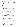slip-ons on her feet. With assistance and a credit card from one of James' female staff she spent the next two days siteseeing in London and shopping for several suitcases full of new clothes and shoes. She was starting to feel good about herself again.

Natasha was spotted through the glass security doors at the Consolidated Rutile's office in Collins Street Melbourne by a perky young receptionist. She buzzed Natasha in while she pressed a couple of buttons on her desk console and softly spoke to someone.

Within moments Miriam Cameron strolled through the door to the main office. She was an impeccably presented mature age, grey haired woman who smiled broadly as she introduced herself. "Hello Natasha, I am Miriam, the Personnel Manager here in Melbourne. I'm so glad you have arrived at last. Let me show you around and introduce to some of the key people. "As I guess you have been told, we are up against some awkward personnel issues. It's not a situation we have come across before.

"In my opinion some people are just so frightened of injections that it has overwhelmed their normal thinking process. Anti-vaxxing has become a fanatical obsession. These people are becoming violent, unmanageable. They are running rampant. And it is spreading. Some normally sensible people are getting caught up in the stupidity. It is threatening everything we are trying to do here."

Miriam introduced Natasha to some of the people working in the place as she showed her to her corner office. "Our previous Vice President suddenly quit two weeks ago. After two decades running the show, the pressure of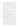trying to manage with the antivaxxers rampaging through the place became too much and he walked."

Natasha said. "Maybe you've heard of Sam Gawler, he was the company Hitman working out of London. I worked with him for a while. He taught me a lot. I know Sam would not spend a lot of time trying to reconcile with these insane fanatics. He would say they needed to go, and quickly. I think we should follow Sam's example and neutralise the problem people in this place before the shooting starts, so to speak."

Miriam said. "Yes, I did meet Sam once when he passed through town. He certainly knew how to sort out a sticky issue. You seem to have been quite taken with him." Natasha said, "Well yes, I was quite taken with him to say the least, but can we leave it at that for now?"

Miriam said. "Sam left a manuscript with me when he was here. It was a memoir. He said if anything ever happened to him, I should pass the manuscript on to a publisher he knew called Balboa. The manuscript was titled, They Called Me A Hitman. He said a guy there named Jim was the person to speak with. Natasha said. "Well, I wouldn't know anything about all of that, but I would be wary of what was true or otherwise in the story because Sam sometimes wasn't clear in his head about issues relating to what was factual and about personal relationships.

Natasha knew instinctively she needed some allies in the office to assist her in what she decided to call 'the cleanout'. She checked the place for who was around. It would not be the most obvious loud mouthed strutting peacock trying to catch her attention. Or the thuggish looking bossy guy who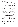would only end up making the problem worse. She settled on finding out some more about an average looking guy, not big like Gawler, a little older than her, not someone obviously looking to stand out. But who seemed to be smart. As she was being shown around and introduced to people she said to Miriam, "And who is that quiet guy working at his computer over there."

Miriam said, "That's Timothy Moloney, He's a specialist in heavy mining machinery, huge bucket wheel excavators, two-thousand-ton ship-loaders, giant ore-stacking machines, that sort of thing. Just quietly he is known around here as a hot-shot engineer, but you wouldn't know it from his discreet manner. He does the big contractual deals, and he holds the chequebook, if you get my meaning. "Natasha said, "He sounds like the sort of person who could work well with me. I would like to chat with him in my office."

Timothy and Natasha clicked instantly. Not in the lustful way she had related with Gawler but in a way that felt comfortable, in a way she knew that could work as a partnership for them. Timothy knew all about the dangerous individuals in the office. He told her he had been quietly keeping an eye on their antics. He had been interested, perhaps subtly alarmed, but not intimidated by them. Natasha and Timothy set about deciding how to handle the staffing situation. He knew where to start. He said to Natasha. "You can't just sack someone because you don't like their political beliefs or their religion or their fantasies or their sexual orientation. But you can move them on. If they are a disruption or even a danger, you can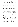get them out of the way. Send them to some place where no-one takes crazies seriously"

Natasha said, "I know of an ideal place we could move a person like that to. Have you heard of a desolate place called Buckleboo Creek, it's in Far North Queensland, the corporation operates a gold mine there?"

"Yes, I know it," he said. "I think a few of our problem people could calm their impulses there for a while, so to speak. The folk up there would just let them rave to their heart's content without making a difference to anything. And we've got several out-of-the-way places like that. There's the stifling hot Port Hedland in the Pilbara at the top of Western Australia, way up through the Simpson desert where we have a giant iron ore processing operation, and then there's the freezing cold sites to the South, in Tasmania, where the corporation operates a couple of clapped-out old zinc installations, so, there are ample options."

Natasha said, "Well now I think the arrangements for the big exodus can begin."

Miriam walked through the office thinking about what lay ahead. Natasha had brought her up to date on her plan. It was now Miriam's job to make it happen. "*She arrived here this morning, it's not yet lunchtime. She has made a plan and now she is getting straight into moving things along. This girl is some dynamo."* Natasha said to Timothy. "It's coming up to lunchtime. Would you like to come with me to the gym?"